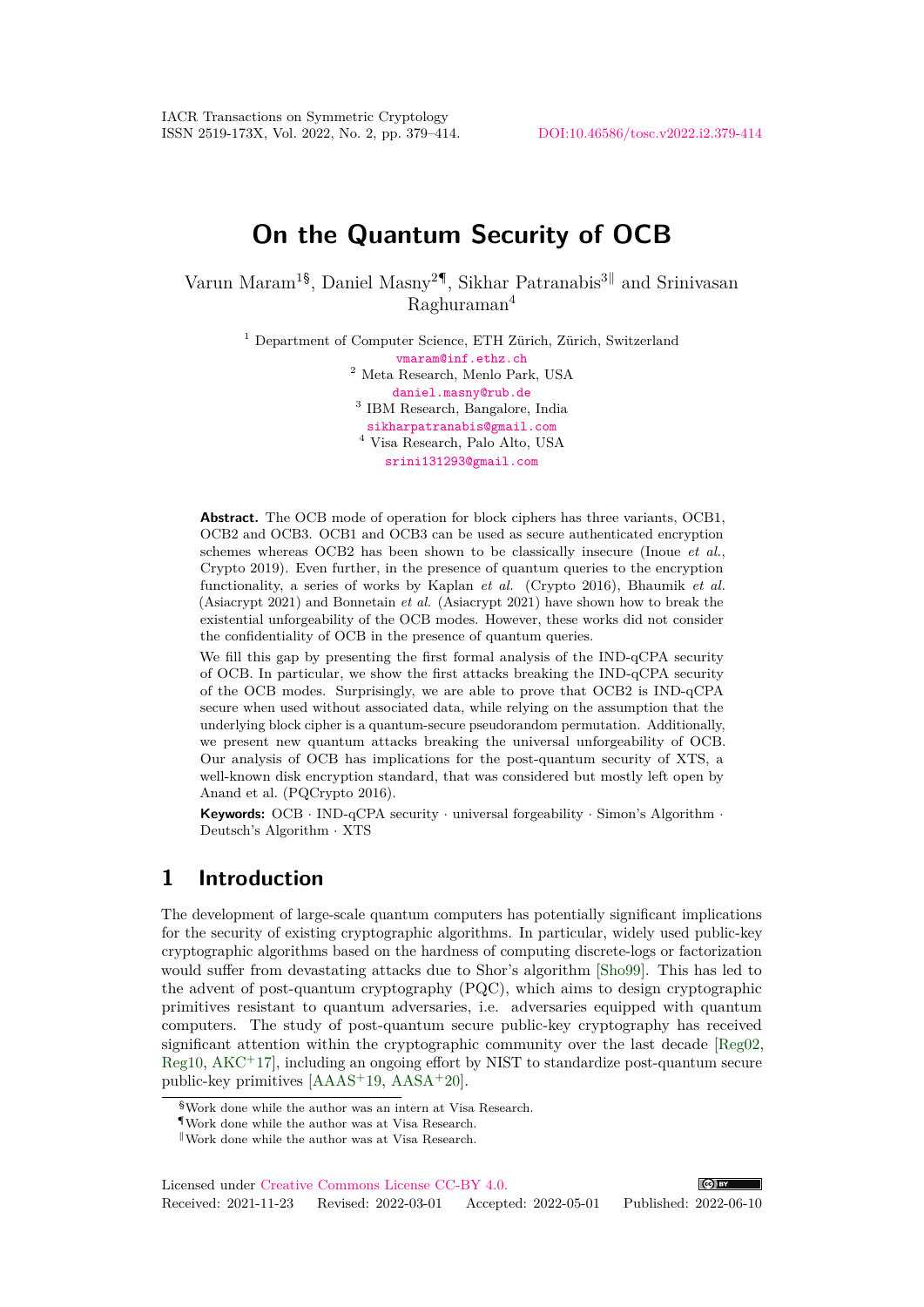# **On the Quantum Security of OCB**

Varun Maram<sup>1§</sup>, Daniel Masny<sup>2¶</sup>, Sikhar Patranabis<sup>3||</sup> and Srinivasan  $R$ aghuraman<sup>4</sup>

> <sup>1</sup> Department of Computer Science, ETH Zürich, Zürich, Switzerland [vmaram@inf.ethz.ch](mailto:vmaram@inf.ethz.ch) <sup>2</sup> Meta Research, Menlo Park, USA [daniel.masny@rub.de](mailto:daniel.masny@rub.de) 3 IBM Research, Bangalore, India [sikharpatranabis@gmail.com](mailto:sikharpatranabis@gmail.com) <sup>4</sup> Visa Research, Palo Alto, USA [srini131293@gmail.com](mailto:srini131293@gmail.com)

**Abstract.** The OCB mode of operation for block ciphers has three variants, OCB1, OCB2 and OCB3. OCB1 and OCB3 can be used as secure authenticated encryption schemes whereas OCB2 has been shown to be classically insecure (Inoue *et al.*, Crypto 2019). Even further, in the presence of quantum queries to the encryption functionality, a series of works by Kaplan *et al.* (Crypto 2016), Bhaumik *et al.* (Asiacrypt 2021) and Bonnetain *et al.* (Asiacrypt 2021) have shown how to break the existential unforgeability of the OCB modes. However, these works did not consider the confidentiality of OCB in the presence of quantum queries.

We fill this gap by presenting the first formal analysis of the IND-qCPA security of OCB. In particular, we show the first attacks breaking the IND-qCPA security of the OCB modes. Surprisingly, we are able to prove that OCB2 is IND-qCPA secure when used without associated data, while relying on the assumption that the underlying block cipher is a quantum-secure pseudorandom permutation. Additionally, we present new quantum attacks breaking the universal unforgeability of OCB. Our analysis of OCB has implications for the post-quantum security of XTS, a well-known disk encryption standard, that was considered but mostly left open by Anand et al. (PQCrypto 2016).

**Keywords:** OCB · IND-qCPA security · universal forgeability · Simon's Algorithm · Deutsch's Algorithm · XTS

## **1 Introduction**

The development of large-scale quantum computers has potentially significant implications for the security of existing cryptographic algorithms. In particular, widely used public-key cryptographic algorithms based on the hardness of computing discrete-logs or factorization would suffer from devastating attacks due to Shor's algorithm [\[Sho99\]](#page-35-0). This has led to the advent of post-quantum cryptography (PQC), which aims to design cryptographic primitives resistant to quantum adversaries, i.e. adversaries equipped with quantum computers. The study of post-quantum secure public-key cryptography has received significant attention within the cryptographic community over the last decade [\[Reg02,](#page-34-0) [Reg10,](#page-34-1)  $AKC<sup>+</sup>17$  $AKC<sup>+</sup>17$ , including an ongoing effort by NIST to standardize post-quantum secure public-key primitives [\[AAAS](#page-32-1)<sup>+</sup>19, [AASA](#page-32-2)<sup>+</sup>20].

<sup>§</sup>Work done while the author was an intern at Visa Research.

<sup>¶</sup>Work done while the author was at Visa Research.

 $\ensuremath{\mathsf{I}}$  Work done while the author was at Visa Research.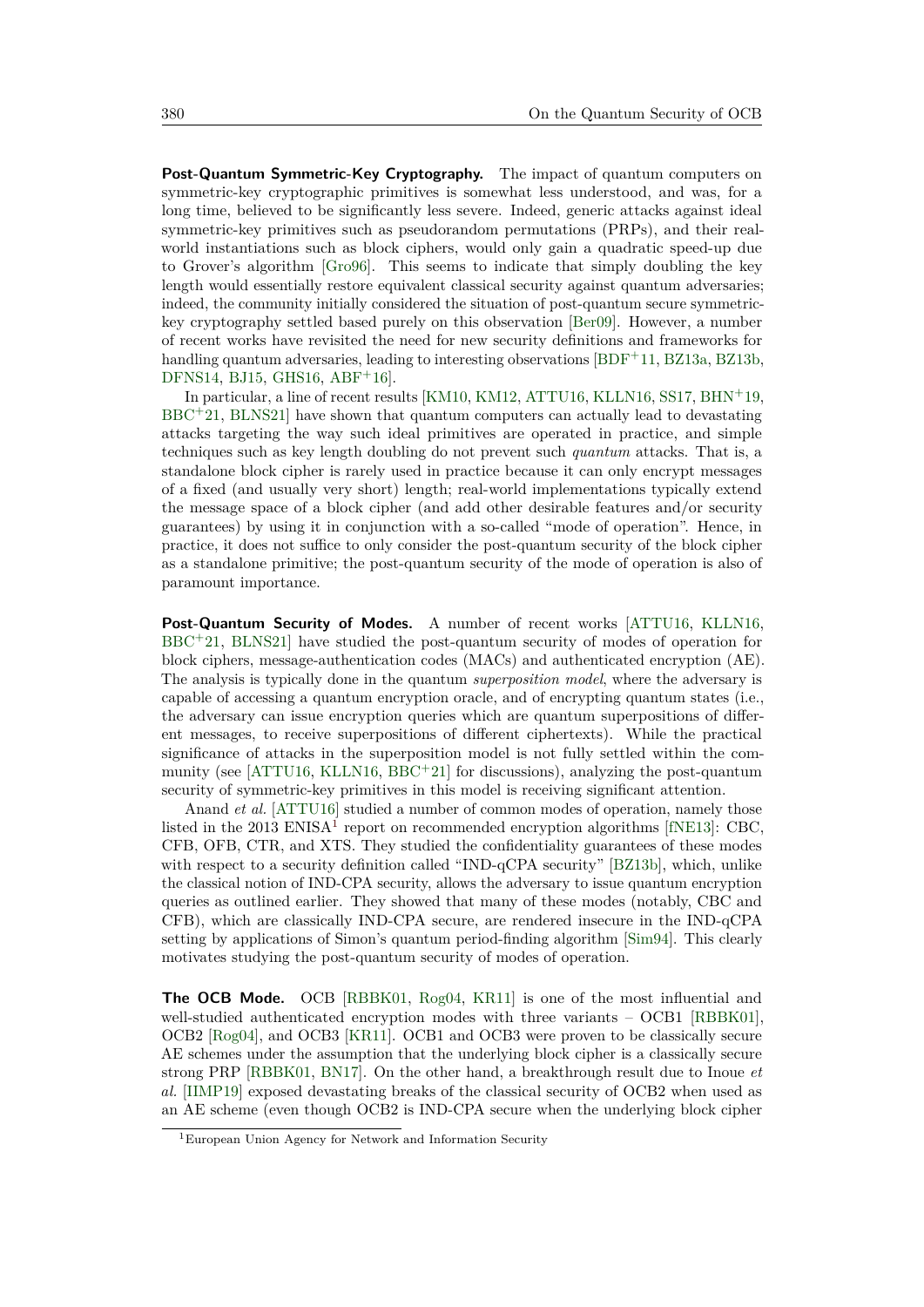**Post-Quantum Symmetric-Key Cryptography.** The impact of quantum computers on symmetric-key cryptographic primitives is somewhat less understood, and was, for a long time, believed to be significantly less severe. Indeed, generic attacks against ideal symmetric-key primitives such as pseudorandom permutations (PRPs), and their realworld instantiations such as block ciphers, would only gain a quadratic speed-up due to Grover's algorithm [\[Gro96\]](#page-33-0). This seems to indicate that simply doubling the key length would essentially restore equivalent classical security against quantum adversaries; indeed, the community initially considered the situation of post-quantum secure symmetrickey cryptography settled based purely on this observation [\[Ber09\]](#page-32-3). However, a number of recent works have revisited the need for new security definitions and frameworks for handling quantum adversaries, leading to interesting observations [\[BDF](#page-32-4)<sup>+</sup>11, [BZ13a,](#page-33-1) [BZ13b,](#page-33-2) [DFNS14,](#page-33-3) [BJ15,](#page-32-5) [GHS16,](#page-33-4) [ABF](#page-32-6)<sup>+</sup>16].

In particular, a line of recent results [\[KM10,](#page-34-2) [KM12,](#page-34-3) [ATTU16,](#page-32-7) [KLLN16,](#page-34-4) [SS17,](#page-35-1) [BHN](#page-32-8)<sup>+</sup>19, [BBC](#page-32-9)<sup>+</sup>21, [BLNS21\]](#page-33-5) have shown that quantum computers can actually lead to devastating attacks targeting the way such ideal primitives are operated in practice, and simple techniques such as key length doubling do not prevent such *quantum* attacks. That is, a standalone block cipher is rarely used in practice because it can only encrypt messages of a fixed (and usually very short) length; real-world implementations typically extend the message space of a block cipher (and add other desirable features and/or security guarantees) by using it in conjunction with a so-called "mode of operation". Hence, in practice, it does not suffice to only consider the post-quantum security of the block cipher as a standalone primitive; the post-quantum security of the mode of operation is also of paramount importance.

Post-Quantum Security of Modes. A number of recent works [\[ATTU16,](#page-32-7) [KLLN16,](#page-34-4) [BBC](#page-32-9)<sup>+</sup>21, [BLNS21\]](#page-33-5) have studied the post-quantum security of modes of operation for block ciphers, message-authentication codes (MACs) and authenticated encryption (AE). The analysis is typically done in the quantum *superposition model*, where the adversary is capable of accessing a quantum encryption oracle, and of encrypting quantum states (i.e., the adversary can issue encryption queries which are quantum superpositions of different messages, to receive superpositions of different ciphertexts). While the practical significance of attacks in the superposition model is not fully settled within the com-munity (see [\[ATTU16,](#page-32-7) [KLLN16,](#page-34-4)  $BBC+21$  $BBC+21$ ] for discussions), analyzing the post-quantum security of symmetric-key primitives in this model is receiving significant attention.

Anand *et al.* [\[ATTU16\]](#page-32-7) studied a number of common modes of operation, namely those listed in the 20[1](#page-1-0)3 ENISA<sup>1</sup> report on recommended encryption algorithms [\[fNE13\]](#page-33-6): CBC, CFB, OFB, CTR, and XTS. They studied the confidentiality guarantees of these modes with respect to a security definition called "IND-qCPA security" [\[BZ13b\]](#page-33-2), which, unlike the classical notion of IND-CPA security, allows the adversary to issue quantum encryption queries as outlined earlier. They showed that many of these modes (notably, CBC and CFB), which are classically IND-CPA secure, are rendered insecure in the IND-qCPA setting by applications of Simon's quantum period-finding algorithm [\[Sim94\]](#page-35-2). This clearly motivates studying the post-quantum security of modes of operation.

**The OCB Mode.** OCB [\[RBBK01,](#page-34-5) [Rog04,](#page-34-6) [KR11\]](#page-34-7) is one of the most influential and well-studied authenticated encryption modes with three variants – OCB1 [\[RBBK01\]](#page-34-5), OCB2 [\[Rog04\]](#page-34-6), and OCB3 [\[KR11\]](#page-34-7). OCB1 and OCB3 were proven to be classically secure AE schemes under the assumption that the underlying block cipher is a classically secure strong PRP [\[RBBK01,](#page-34-5) [BN17\]](#page-33-7). On the other hand, a breakthrough result due to Inoue *et al.* [\[IIMP19\]](#page-34-8) exposed devastating breaks of the classical security of OCB2 when used as an AE scheme (even though OCB2 is IND-CPA secure when the underlying block cipher

<span id="page-1-0"></span><sup>1</sup>European Union Agency for Network and Information Security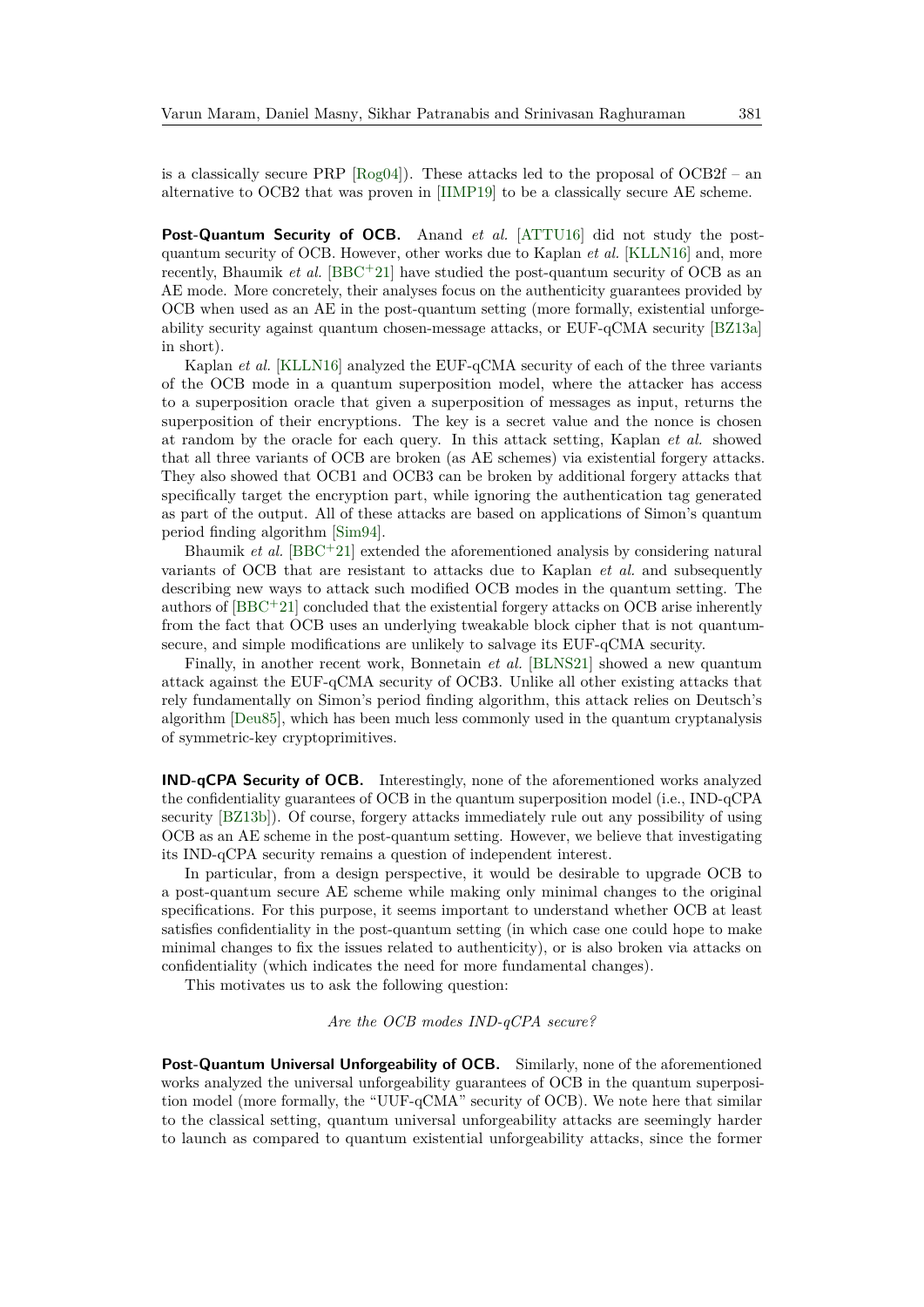is a classically secure PRP  $[Rog04]$ . These attacks led to the proposal of OCB2f – an alternative to OCB2 that was proven in [\[IIMP19\]](#page-34-8) to be a classically secure AE scheme.

**Post-Quantum Security of OCB.** Anand *et al.* [\[ATTU16\]](#page-32-7) did not study the postquantum security of OCB. However, other works due to Kaplan *et al.* [\[KLLN16\]](#page-34-4) and, more recently, Bhaumik *et al.*  $[BBC + 21]$  $[BBC + 21]$  have studied the post-quantum security of OCB as an AE mode. More concretely, their analyses focus on the authenticity guarantees provided by OCB when used as an AE in the post-quantum setting (more formally, existential unforgeability security against quantum chosen-message attacks, or EUF-qCMA security [\[BZ13a\]](#page-33-1) in short).

Kaplan *et al.* [\[KLLN16\]](#page-34-4) analyzed the EUF-qCMA security of each of the three variants of the OCB mode in a quantum superposition model, where the attacker has access to a superposition oracle that given a superposition of messages as input, returns the superposition of their encryptions. The key is a secret value and the nonce is chosen at random by the oracle for each query. In this attack setting, Kaplan *et al.* showed that all three variants of OCB are broken (as AE schemes) via existential forgery attacks. They also showed that OCB1 and OCB3 can be broken by additional forgery attacks that specifically target the encryption part, while ignoring the authentication tag generated as part of the output. All of these attacks are based on applications of Simon's quantum period finding algorithm [\[Sim94\]](#page-35-2).

Bhaumik *et al.* [\[BBC](#page-32-9)<sup>+</sup>21] extended the aforementioned analysis by considering natural variants of OCB that are resistant to attacks due to Kaplan *et al.* and subsequently describing new ways to attack such modified OCB modes in the quantum setting. The authors of  $[BBC + 21]$  $[BBC + 21]$  concluded that the existential forgery attacks on OCB arise inherently from the fact that OCB uses an underlying tweakable block cipher that is not quantumsecure, and simple modifications are unlikely to salvage its EUF-qCMA security.

Finally, in another recent work, Bonnetain *et al.* [\[BLNS21\]](#page-33-5) showed a new quantum attack against the EUF-qCMA security of OCB3. Unlike all other existing attacks that rely fundamentally on Simon's period finding algorithm, this attack relies on Deutsch's algorithm [\[Deu85\]](#page-33-8), which has been much less commonly used in the quantum cryptanalysis of symmetric-key cryptoprimitives.

**IND-qCPA Security of OCB.** Interestingly, none of the aforementioned works analyzed the confidentiality guarantees of OCB in the quantum superposition model (i.e., IND-qCPA security [\[BZ13b\]](#page-33-2)). Of course, forgery attacks immediately rule out any possibility of using OCB as an AE scheme in the post-quantum setting. However, we believe that investigating its IND-qCPA security remains a question of independent interest.

In particular, from a design perspective, it would be desirable to upgrade OCB to a post-quantum secure AE scheme while making only minimal changes to the original specifications. For this purpose, it seems important to understand whether OCB at least satisfies confidentiality in the post-quantum setting (in which case one could hope to make minimal changes to fix the issues related to authenticity), or is also broken via attacks on confidentiality (which indicates the need for more fundamental changes).

This motivates us to ask the following question:

#### *Are the OCB modes IND-qCPA secure?*

**Post-Quantum Universal Unforgeability of OCB.** Similarly, none of the aforementioned works analyzed the universal unforgeability guarantees of OCB in the quantum superposition model (more formally, the "UUF-qCMA" security of OCB). We note here that similar to the classical setting, quantum universal unforgeability attacks are seemingly harder to launch as compared to quantum existential unforgeability attacks, since the former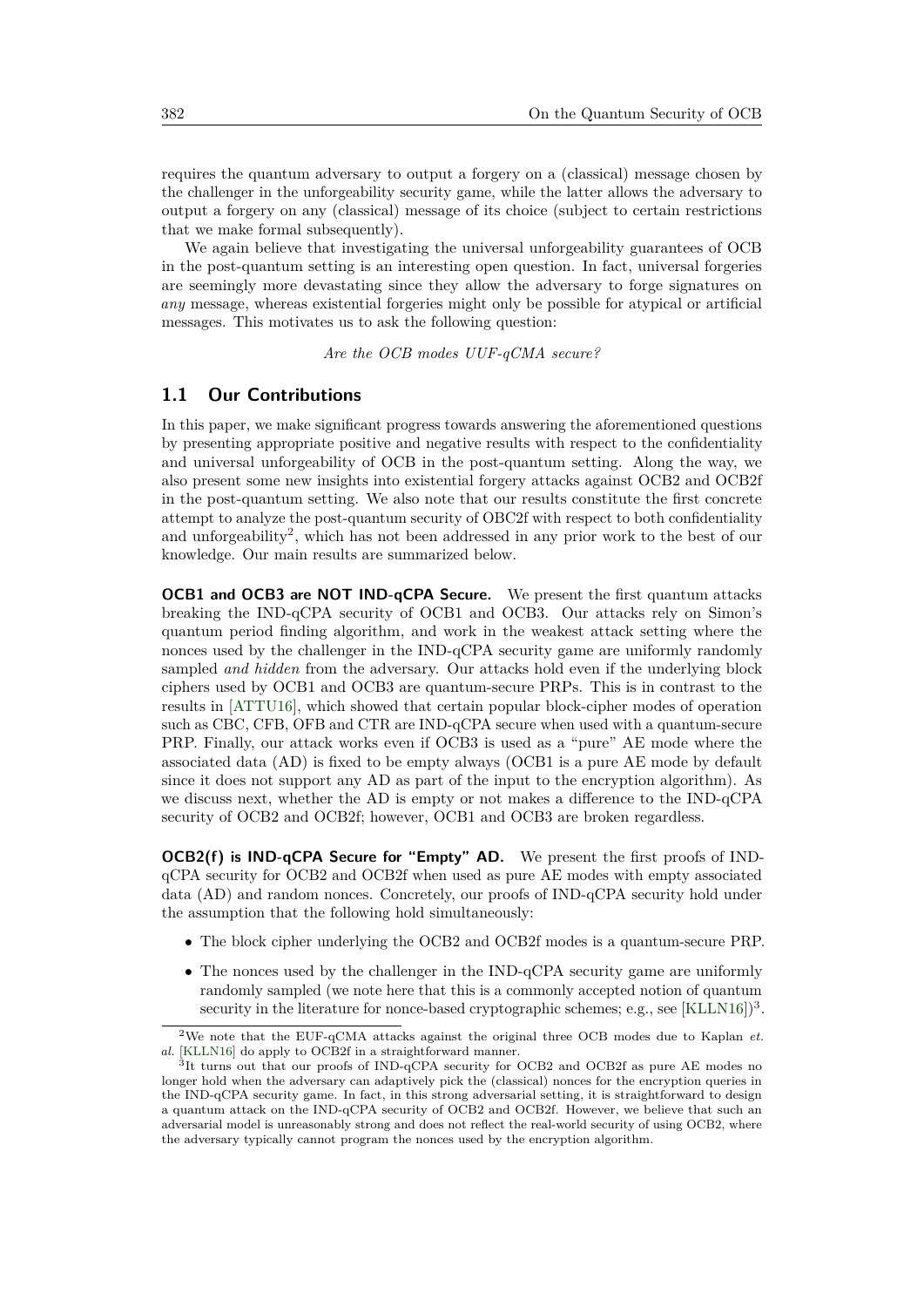requires the quantum adversary to output a forgery on a (classical) message chosen by the challenger in the unforgeability security game, while the latter allows the adversary to output a forgery on any (classical) message of its choice (subject to certain restrictions that we make formal subsequently).

We again believe that investigating the universal unforgeability guarantees of OCB in the post-quantum setting is an interesting open question. In fact, universal forgeries are seemingly more devastating since they allow the adversary to forge signatures on *any* message, whereas existential forgeries might only be possible for atypical or artificial messages. This motivates us to ask the following question:

*Are the OCB modes UUF-qCMA secure?*

#### **1.1 Our Contributions**

In this paper, we make significant progress towards answering the aforementioned questions by presenting appropriate positive and negative results with respect to the confidentiality and universal unforgeability of OCB in the post-quantum setting. Along the way, we also present some new insights into existential forgery attacks against OCB2 and OCB2f in the post-quantum setting. We also note that our results constitute the first concrete attempt to analyze the post-quantum security of OBC2f with respect to both confidentiality and unforgeability<sup>[2](#page-3-0)</sup>, which has not been addressed in any prior work to the best of our knowledge. Our main results are summarized below.

**OCB1 and OCB3 are NOT IND-qCPA Secure.** We present the first quantum attacks breaking the IND-qCPA security of OCB1 and OCB3. Our attacks rely on Simon's quantum period finding algorithm, and work in the weakest attack setting where the nonces used by the challenger in the IND-qCPA security game are uniformly randomly sampled *and hidden* from the adversary. Our attacks hold even if the underlying block ciphers used by OCB1 and OCB3 are quantum-secure PRPs. This is in contrast to the results in [\[ATTU16\]](#page-32-7), which showed that certain popular block-cipher modes of operation such as CBC, CFB, OFB and CTR are IND-qCPA secure when used with a quantum-secure PRP. Finally, our attack works even if OCB3 is used as a "pure" AE mode where the associated data (AD) is fixed to be empty always (OCB1 is a pure AE mode by default since it does not support any AD as part of the input to the encryption algorithm). As we discuss next, whether the AD is empty or not makes a difference to the IND-qCPA security of OCB2 and OCB2f; however, OCB1 and OCB3 are broken regardless.

**OCB2(f) is IND-qCPA Secure for "Empty" AD.** We present the first proofs of INDqCPA security for OCB2 and OCB2f when used as pure AE modes with empty associated data (AD) and random nonces. Concretely, our proofs of IND-qCPA security hold under the assumption that the following hold simultaneously:

- The block cipher underlying the OCB2 and OCB2f modes is a quantum-secure PRP.
- The nonces used by the challenger in the IND-qCPA security game are uniformly randomly sampled (we note here that this is a commonly accepted notion of quantum security in the literature for nonce-based cryptographic schemes; e.g., see  $[KLLN16])^3$  $[KLLN16])^3$  $[KLLN16])^3$ .

<span id="page-3-0"></span><sup>2</sup>We note that the EUF-qCMA attacks against the original three OCB modes due to Kaplan *et. al.* [\[KLLN16\]](#page-34-4) do apply to OCB2f in a straightforward manner.

<span id="page-3-1"></span><sup>&</sup>lt;sup>3</sup>It turns out that our proofs of IND-qCPA security for OCB2 and OCB2f as pure AE modes no longer hold when the adversary can adaptively pick the (classical) nonces for the encryption queries in the IND-qCPA security game. In fact, in this strong adversarial setting, it is straightforward to design a quantum attack on the IND-qCPA security of OCB2 and OCB2f. However, we believe that such an adversarial model is unreasonably strong and does not reflect the real-world security of using OCB2, where the adversary typically cannot program the nonces used by the encryption algorithm.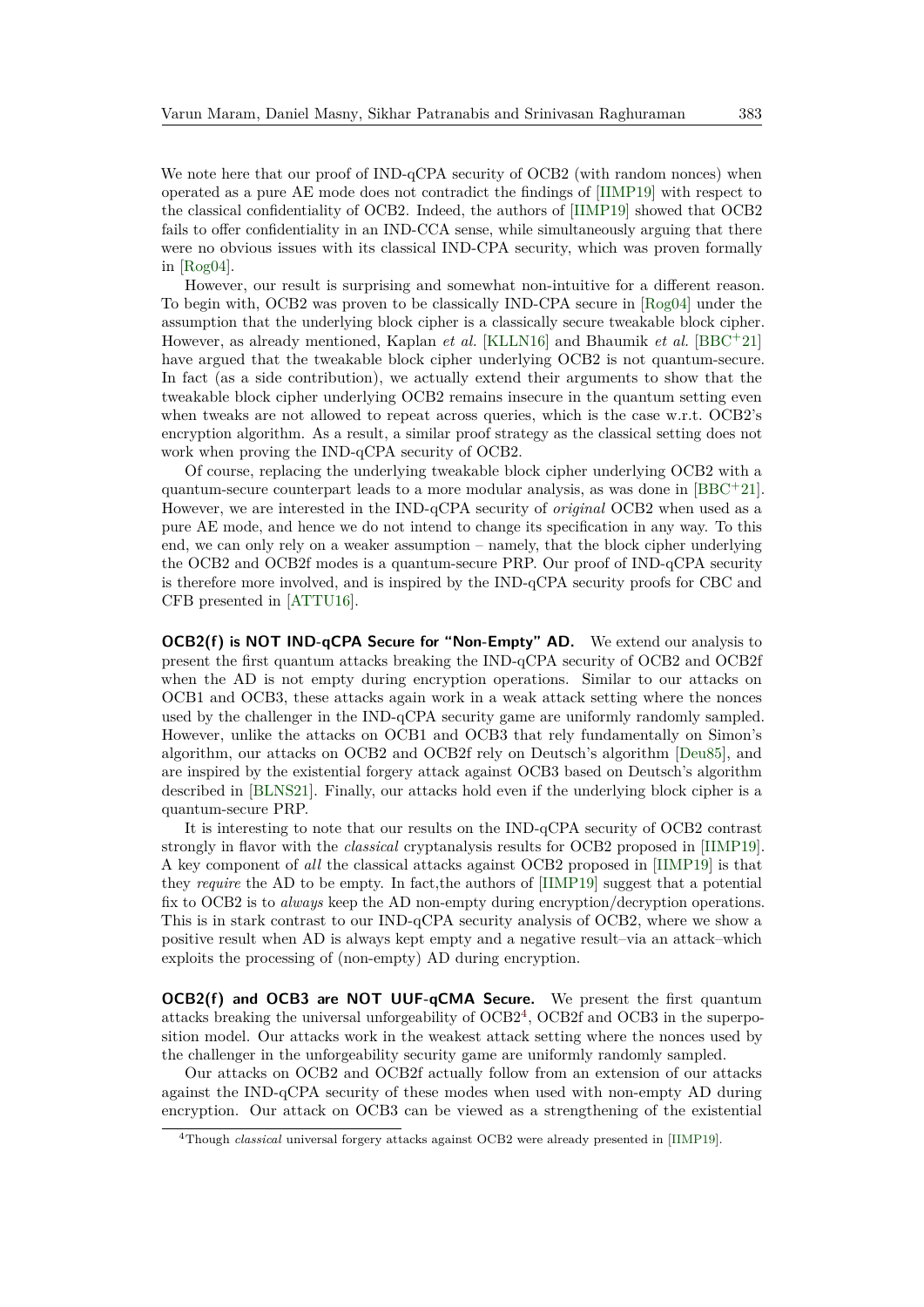We note here that our proof of IND-qCPA security of OCB2 (with random nonces) when operated as a pure AE mode does not contradict the findings of [\[IIMP19\]](#page-34-8) with respect to the classical confidentiality of OCB2. Indeed, the authors of [\[IIMP19\]](#page-34-8) showed that OCB2 fails to offer confidentiality in an IND-CCA sense, while simultaneously arguing that there were no obvious issues with its classical IND-CPA security, which was proven formally in [\[Rog04\]](#page-34-6).

However, our result is surprising and somewhat non-intuitive for a different reason. To begin with, OCB2 was proven to be classically IND-CPA secure in [\[Rog04\]](#page-34-6) under the assumption that the underlying block cipher is a classically secure tweakable block cipher. However, as already mentioned, Kaplan *et al.* [\[KLLN16\]](#page-34-4) and Bhaumik *et al.* [\[BBC](#page-32-9)<sup>+</sup>21] have argued that the tweakable block cipher underlying OCB2 is not quantum-secure. In fact (as a side contribution), we actually extend their arguments to show that the tweakable block cipher underlying OCB2 remains insecure in the quantum setting even when tweaks are not allowed to repeat across queries, which is the case w.r.t. OCB2's encryption algorithm. As a result, a similar proof strategy as the classical setting does not work when proving the IND-qCPA security of OCB2.

Of course, replacing the underlying tweakable block cipher underlying OCB2 with a quantum-secure counterpart leads to a more modular analysis, as was done in  $[BBC+21]$  $[BBC+21]$ . However, we are interested in the IND-qCPA security of *original* OCB2 when used as a pure AE mode, and hence we do not intend to change its specification in any way. To this end, we can only rely on a weaker assumption – namely, that the block cipher underlying the OCB2 and OCB2f modes is a quantum-secure PRP. Our proof of IND-qCPA security is therefore more involved, and is inspired by the IND-qCPA security proofs for CBC and CFB presented in [\[ATTU16\]](#page-32-7).

**OCB2(f) is NOT IND-qCPA Secure for "Non-Empty" AD.** We extend our analysis to present the first quantum attacks breaking the IND-qCPA security of OCB2 and OCB2f when the AD is not empty during encryption operations. Similar to our attacks on OCB1 and OCB3, these attacks again work in a weak attack setting where the nonces used by the challenger in the IND-qCPA security game are uniformly randomly sampled. However, unlike the attacks on OCB1 and OCB3 that rely fundamentally on Simon's algorithm, our attacks on OCB2 and OCB2f rely on Deutsch's algorithm [\[Deu85\]](#page-33-8), and are inspired by the existential forgery attack against OCB3 based on Deutsch's algorithm described in [\[BLNS21\]](#page-33-5). Finally, our attacks hold even if the underlying block cipher is a quantum-secure PRP.

It is interesting to note that our results on the IND-qCPA security of OCB2 contrast strongly in flavor with the *classical* cryptanalysis results for OCB2 proposed in [\[IIMP19\]](#page-34-8). A key component of *all* the classical attacks against OCB2 proposed in [\[IIMP19\]](#page-34-8) is that they *require* the AD to be empty. In fact,the authors of [\[IIMP19\]](#page-34-8) suggest that a potential fix to OCB2 is to *always* keep the AD non-empty during encryption/decryption operations. This is in stark contrast to our IND-qCPA security analysis of OCB2, where we show a positive result when AD is always kept empty and a negative result–via an attack–which exploits the processing of (non-empty) AD during encryption.

**OCB2(f) and OCB3 are NOT UUF-qCMA Secure.** We present the first quantum attacks breaking the universal unforgeability of OCB2[4](#page-4-0) , OCB2f and OCB3 in the superposition model. Our attacks work in the weakest attack setting where the nonces used by the challenger in the unforgeability security game are uniformly randomly sampled.

Our attacks on OCB2 and OCB2f actually follow from an extension of our attacks against the IND-qCPA security of these modes when used with non-empty AD during encryption. Our attack on OCB3 can be viewed as a strengthening of the existential

<span id="page-4-0"></span><sup>4</sup>Though *classical* universal forgery attacks against OCB2 were already presented in [\[IIMP19\]](#page-34-8).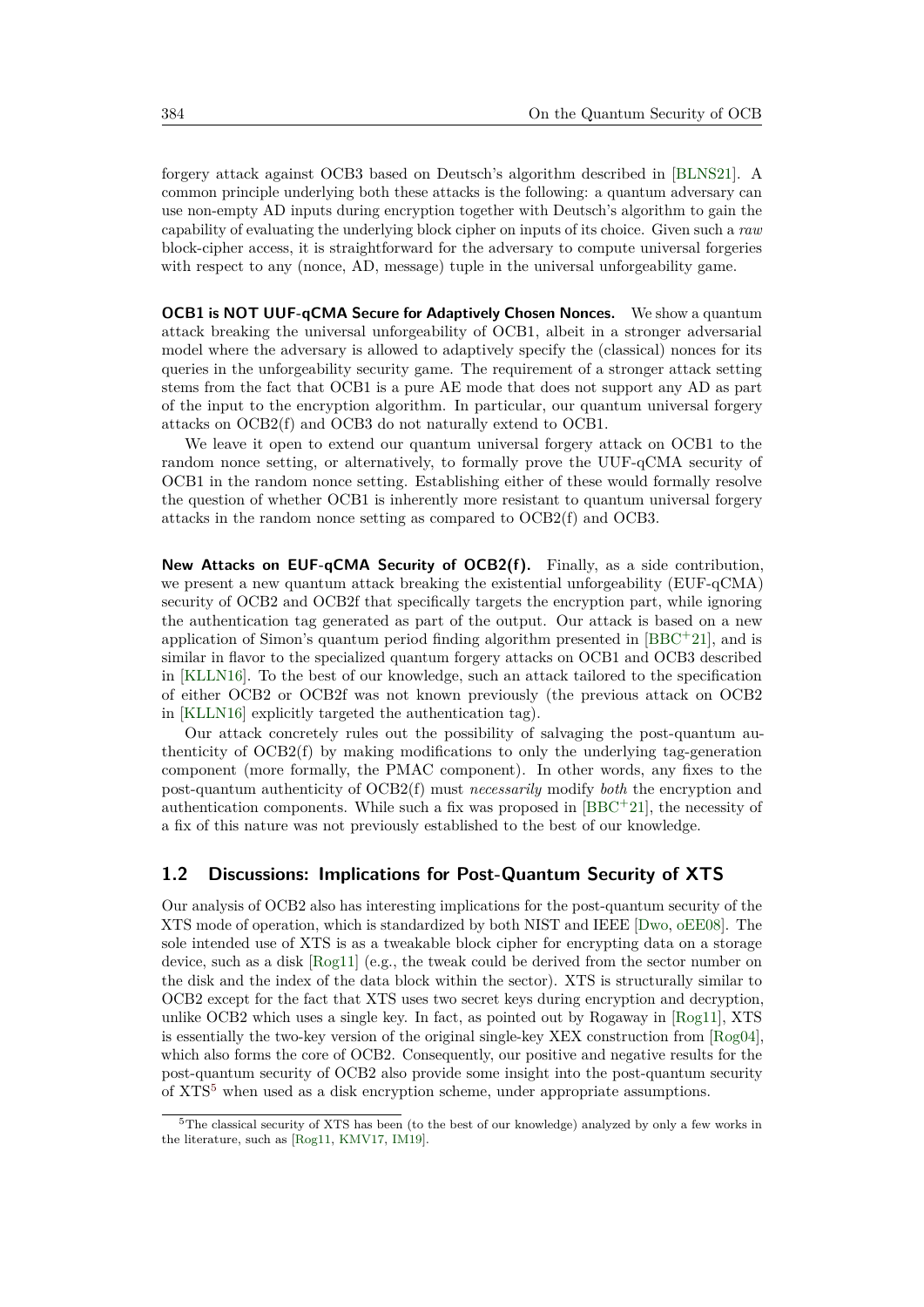forgery attack against OCB3 based on Deutsch's algorithm described in [\[BLNS21\]](#page-33-5). A common principle underlying both these attacks is the following: a quantum adversary can use non-empty AD inputs during encryption together with Deutsch's algorithm to gain the capability of evaluating the underlying block cipher on inputs of its choice. Given such a *raw* block-cipher access, it is straightforward for the adversary to compute universal forgeries with respect to any (nonce, AD, message) tuple in the universal unforgeability game.

**OCB1 is NOT UUF-qCMA Secure for Adaptively Chosen Nonces.** We show a quantum attack breaking the universal unforgeability of OCB1, albeit in a stronger adversarial model where the adversary is allowed to adaptively specify the (classical) nonces for its queries in the unforgeability security game. The requirement of a stronger attack setting stems from the fact that OCB1 is a pure AE mode that does not support any AD as part of the input to the encryption algorithm. In particular, our quantum universal forgery attacks on OCB2(f) and OCB3 do not naturally extend to OCB1.

We leave it open to extend our quantum universal forgery attack on OCB1 to the random nonce setting, or alternatively, to formally prove the UUF-qCMA security of OCB1 in the random nonce setting. Establishing either of these would formally resolve the question of whether OCB1 is inherently more resistant to quantum universal forgery attacks in the random nonce setting as compared to OCB2(f) and OCB3.

**New Attacks on EUF-qCMA Security of OCB2(f).** Finally, as a side contribution, we present a new quantum attack breaking the existential unforgeability (EUF-qCMA) security of OCB2 and OCB2f that specifically targets the encryption part, while ignoring the authentication tag generated as part of the output. Our attack is based on a new application of Simon's quantum period finding algorithm presented in [\[BBC](#page-32-9)<sup>+</sup>21], and is similar in flavor to the specialized quantum forgery attacks on OCB1 and OCB3 described in [\[KLLN16\]](#page-34-4). To the best of our knowledge, such an attack tailored to the specification of either OCB2 or OCB2f was not known previously (the previous attack on OCB2 in [\[KLLN16\]](#page-34-4) explicitly targeted the authentication tag).

Our attack concretely rules out the possibility of salvaging the post-quantum authenticity of OCB2(f) by making modifications to only the underlying tag-generation component (more formally, the PMAC component). In other words, any fixes to the post-quantum authenticity of OCB2(f) must *necessarily* modify *both* the encryption and authentication components. While such a fix was proposed in  $[BBC+21]$  $[BBC+21]$ , the necessity of a fix of this nature was not previously established to the best of our knowledge.

#### <span id="page-5-1"></span>**1.2 Discussions: Implications for Post-Quantum Security of XTS**

Our analysis of OCB2 also has interesting implications for the post-quantum security of the XTS mode of operation, which is standardized by both NIST and IEEE [\[Dwo,](#page-33-9) [oEE08\]](#page-34-9). The sole intended use of XTS is as a tweakable block cipher for encrypting data on a storage device, such as a disk [\[Rog11\]](#page-35-3) (e.g., the tweak could be derived from the sector number on the disk and the index of the data block within the sector). XTS is structurally similar to OCB2 except for the fact that XTS uses two secret keys during encryption and decryption, unlike OCB2 which uses a single key. In fact, as pointed out by Rogaway in [\[Rog11\]](#page-35-3), XTS is essentially the two-key version of the original single-key XEX construction from  $[\text{Rog04}]$ , which also forms the core of OCB2. Consequently, our positive and negative results for the post-quantum security of OCB2 also provide some insight into the post-quantum security of XTS[5](#page-5-0) when used as a disk encryption scheme, under appropriate assumptions.

<span id="page-5-0"></span><sup>5</sup>The classical security of XTS has been (to the best of our knowledge) analyzed by only a few works in the literature, such as [\[Rog11,](#page-35-3) [KMV17,](#page-34-10) [IM19\]](#page-34-11).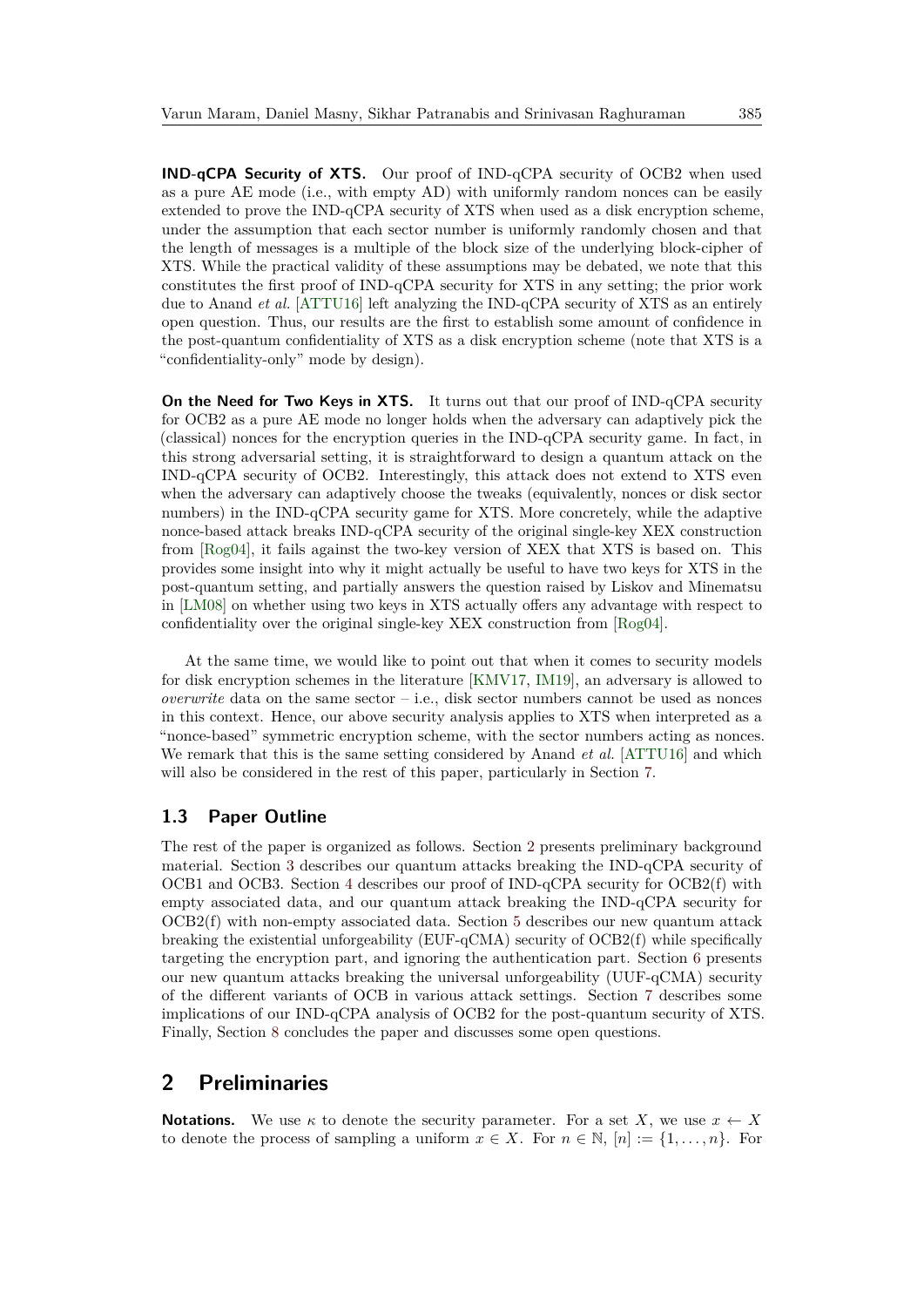**IND-qCPA Security of XTS.** Our proof of IND-qCPA security of OCB2 when used as a pure AE mode (i.e., with empty AD) with uniformly random nonces can be easily extended to prove the IND-qCPA security of XTS when used as a disk encryption scheme, under the assumption that each sector number is uniformly randomly chosen and that the length of messages is a multiple of the block size of the underlying block-cipher of XTS. While the practical validity of these assumptions may be debated, we note that this constitutes the first proof of IND-qCPA security for XTS in any setting; the prior work due to Anand *et al.* [\[ATTU16\]](#page-32-7) left analyzing the IND-qCPA security of XTS as an entirely open question. Thus, our results are the first to establish some amount of confidence in the post-quantum confidentiality of XTS as a disk encryption scheme (note that XTS is a "confidentiality-only" mode by design).

**On the Need for Two Keys in XTS.** It turns out that our proof of IND-qCPA security for OCB2 as a pure AE mode no longer holds when the adversary can adaptively pick the (classical) nonces for the encryption queries in the IND-qCPA security game. In fact, in this strong adversarial setting, it is straightforward to design a quantum attack on the IND-qCPA security of OCB2. Interestingly, this attack does not extend to XTS even when the adversary can adaptively choose the tweaks (equivalently, nonces or disk sector numbers) in the IND-qCPA security game for XTS. More concretely, while the adaptive nonce-based attack breaks IND-qCPA security of the original single-key XEX construction from [\[Rog04\]](#page-34-6), it fails against the two-key version of XEX that XTS is based on. This provides some insight into why it might actually be useful to have two keys for XTS in the post-quantum setting, and partially answers the question raised by Liskov and Minematsu in [\[LM08\]](#page-34-12) on whether using two keys in XTS actually offers any advantage with respect to confidentiality over the original single-key XEX construction from [\[Rog04\]](#page-34-6).

At the same time, we would like to point out that when it comes to security models for disk encryption schemes in the literature [\[KMV17,](#page-34-10) [IM19\]](#page-34-11), an adversary is allowed to *overwrite* data on the same sector  $-$  i.e., disk sector numbers cannot be used as nonces in this context. Hence, our above security analysis applies to XTS when interpreted as a "nonce-based" symmetric encryption scheme, with the sector numbers acting as nonces. We remark that this is the same setting considered by Anand *et al.* [\[ATTU16\]](#page-32-7) and which will also be considered in the rest of this paper, particularly in Section [7.](#page-29-0)

#### **1.3 Paper Outline**

The rest of the paper is organized as follows. Section [2](#page-6-0) presents preliminary background material. Section [3](#page-10-0) describes our quantum attacks breaking the IND-qCPA security of OCB1 and OCB3. Section [4](#page-14-0) describes our proof of IND-qCPA security for OCB2(f) with empty associated data, and our quantum attack breaking the IND-qCPA security for OCB2(f) with non-empty associated data. Section [5](#page-27-0) describes our new quantum attack breaking the existential unforgeability (EUF-qCMA) security of OCB2(f) while specifically targeting the encryption part, and ignoring the authentication part. Section [6](#page-28-0) presents our new quantum attacks breaking the universal unforgeability (UUF-qCMA) security of the different variants of OCB in various attack settings. Section [7](#page-29-0) describes some implications of our IND-qCPA analysis of OCB2 for the post-quantum security of XTS. Finally, Section [8](#page-31-0) concludes the paper and discusses some open questions.

### <span id="page-6-0"></span>**2 Preliminaries**

**Notations.** We use  $\kappa$  to denote the security parameter. For a set *X*, we use  $x \leftarrow X$ to denote the process of sampling a uniform  $x \in X$ . For  $n \in \mathbb{N}$ ,  $[n] := \{1, \ldots, n\}$ . For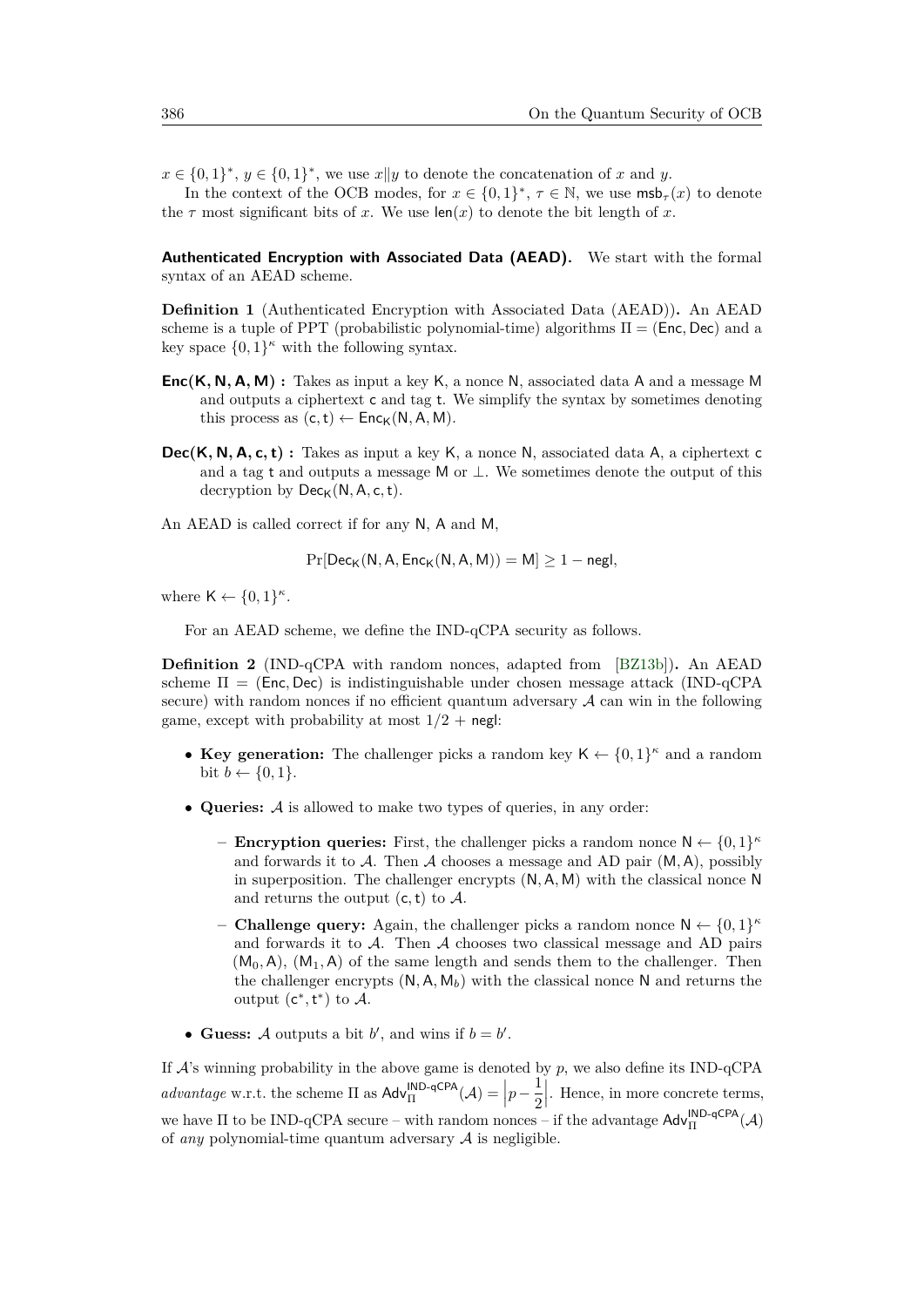$x \in \{0,1\}^*, y \in \{0,1\}^*$ , we use  $x||y$  to denote the concatenation of *x* and *y*.

In the context of the OCB modes, for  $x \in \{0,1\}^*, \tau \in \mathbb{N}$ , we use  $\textsf{msb}_\tau(x)$  to denote the  $\tau$  most significant bits of *x*. We use  $\text{len}(x)$  to denote the bit length of *x*.

**Authenticated Encryption with Associated Data (AEAD).** We start with the formal syntax of an AEAD scheme.

**Definition 1** (Authenticated Encryption with Associated Data (AEAD))**.** An AEAD scheme is a tuple of PPT (probabilistic polynomial-time) algorithms Π = (Enc*,* Dec) and a key space  $\{0,1\}^{\kappa}$  with the following syntax.

- **Enc(K***,* **N***,* **A***,* **M) :** Takes as input a key K, a nonce N, associated data A and a message M and outputs a ciphertext c and tag t. We simplify the syntax by sometimes denoting this process as  $(c, t) \leftarrow \mathsf{Enc}_{\mathsf{K}}(\mathsf{N}, \mathsf{A}, \mathsf{M}).$
- **Dec(K***,* **N***,* **A***,* **c***,* **t) :** Takes as input a key K, a nonce N, associated data A, a ciphertext c and a tag t and outputs a message M or  $\perp$ . We sometimes denote the output of this decryption by  $Dec_{\mathsf{K}}(\mathsf{N}, \mathsf{A}, \mathsf{c}, \mathsf{t}).$
- An AEAD is called correct if for any N, A and M,

$$
\Pr[\mathsf{Dec}_{\mathsf{K}}(\mathsf{N},\mathsf{A},\mathsf{Enc}_{\mathsf{K}}(\mathsf{N},\mathsf{A},\mathsf{M}))=\mathsf{M}] \ge 1-\mathsf{negl},
$$

where  $\mathsf{K} \leftarrow \{0,1\}^{\kappa}$ .

For an AEAD scheme, we define the IND-qCPA security as follows.

**Definition 2** (IND-qCPA with random nonces, adapted from [\[BZ13b\]](#page-33-2))**.** An AEAD scheme Π = (Enc*,* Dec) is indistinguishable under chosen message attack (IND-qCPA secure) with random nonces if no efficient quantum adversary  $A$  can win in the following game, except with probability at most  $1/2$  + negl:

- Key generation: The challenger picks a random key  $\mathsf{K} \leftarrow \{0,1\}^{\kappa}$  and a random bit  $b \leftarrow \{0, 1\}.$
- **Queries:** A is allowed to make two types of queries, in any order:
	- **Encryption queries:** First, the challenger picks a random nonce  $N \leftarrow \{0, 1\}^{\kappa}$ and forwards it to A. Then A chooses a message and AD pair (M*,* A), possibly in superposition. The challenger encrypts (N*,* A*,* M) with the classical nonce N and returns the output  $(c, t)$  to  $\mathcal{A}$ .
	- **Challenge query:** Again, the challenger picks a random nonce  $N \leftarrow \{0, 1\}^{\kappa}$ and forwards it to  $A$ . Then  $A$  chooses two classical message and AD pairs  $(M_0, A)$ ,  $(M_1, A)$  of the same length and sends them to the challenger. Then the challenger encrypts  $(N, A, M_b)$  with the classical nonce N and returns the output  $(c^*, t^*)$  to A.
- Guess: A outputs a bit  $b'$ , and wins if  $b = b'$ .

If A's winning probability in the above game is denoted by *p*, we also define its IND-qCPA *advantage* w.r.t. the scheme  $\Pi$  as  $\mathsf{Adv}_{\Pi}^{\mathsf{IND-qCPA}}(\mathcal{A}) = \left| p - \frac{1}{2} \right|$ 2  $\left|$ . Hence, in more concrete terms, we have  $\Pi$  to be IND-qCPA secure – with random nonces – if the advantage  $\text{Adv}^{\text{IND-qCPA}}_{\Pi}(\mathcal{A})$ of *any* polynomial-time quantum adversary A is negligible.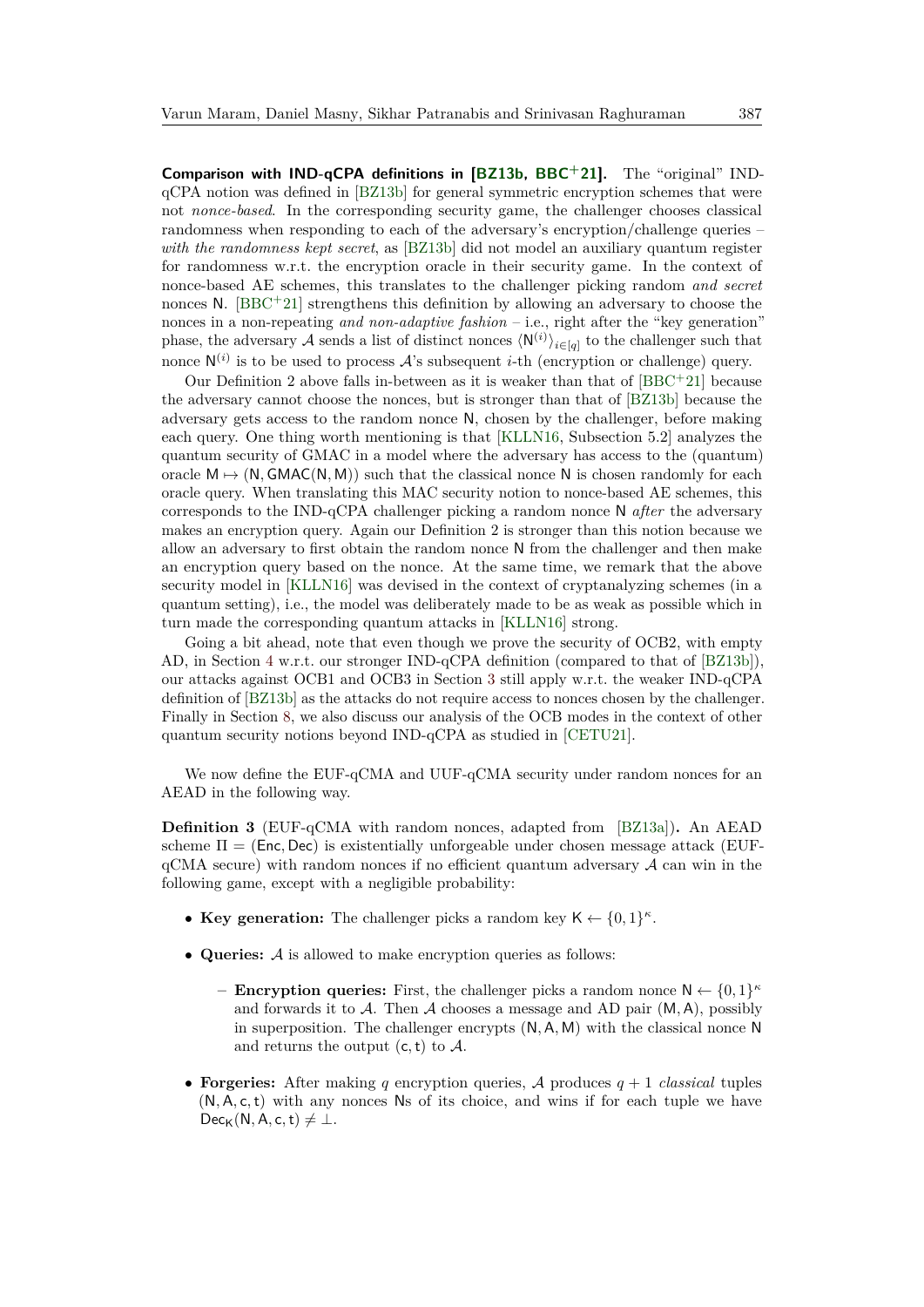**Comparison with IND-qCPA definitions in [\[BZ13b,](#page-33-2) [BBC](#page-32-9)+21].** The "original" INDqCPA notion was defined in [\[BZ13b\]](#page-33-2) for general symmetric encryption schemes that were not *nonce-based*. In the corresponding security game, the challenger chooses classical randomness when responding to each of the adversary's encryption/challenge queries – *with the randomness kept secret*, as [\[BZ13b\]](#page-33-2) did not model an auxiliary quantum register for randomness w.r.t. the encryption oracle in their security game. In the context of nonce-based AE schemes, this translates to the challenger picking random *and secret* nonces N.  $[BBC + 21]$  $[BBC + 21]$  strengthens this definition by allowing an adversary to choose the nonces in a non-repeating *and non-adaptive fashion* – i.e., right after the "key generation" phase, the adversary A sends a list of distinct nonces  $\langle N^{(i)} \rangle_{i \in [q]}$  to the challenger such that nonce  $\mathsf{N}^{(i)}$  is to be used to process  $\mathcal{A}$ 's subsequent *i*-th (encryption or challenge) query.

Our Definition 2 above falls in-between as it is weaker than that of [\[BBC](#page-32-9)<sup>+</sup>21] because the adversary cannot choose the nonces, but is stronger than that of [\[BZ13b\]](#page-33-2) because the adversary gets access to the random nonce N, chosen by the challenger, before making each query. One thing worth mentioning is that [\[KLLN16,](#page-34-4) Subsection 5.2] analyzes the quantum security of GMAC in a model where the adversary has access to the (quantum) oracle  $M \mapsto (N, GMAC(N, M))$  such that the classical nonce N is chosen randomly for each oracle query. When translating this MAC security notion to nonce-based AE schemes, this corresponds to the IND-qCPA challenger picking a random nonce N *after* the adversary makes an encryption query. Again our Definition 2 is stronger than this notion because we allow an adversary to first obtain the random nonce N from the challenger and then make an encryption query based on the nonce. At the same time, we remark that the above security model in [\[KLLN16\]](#page-34-4) was devised in the context of cryptanalyzing schemes (in a quantum setting), i.e., the model was deliberately made to be as weak as possible which in turn made the corresponding quantum attacks in [\[KLLN16\]](#page-34-4) strong.

Going a bit ahead, note that even though we prove the security of OCB2, with empty AD, in Section [4](#page-14-0) w.r.t. our stronger IND-qCPA definition (compared to that of [\[BZ13b\]](#page-33-2)), our attacks against OCB1 and OCB3 in Section [3](#page-10-0) still apply w.r.t. the weaker IND-qCPA definition of [\[BZ13b\]](#page-33-2) as the attacks do not require access to nonces chosen by the challenger. Finally in Section [8,](#page-31-0) we also discuss our analysis of the OCB modes in the context of other quantum security notions beyond IND-qCPA as studied in [\[CETU21\]](#page-33-10).

We now define the EUF-qCMA and UUF-qCMA security under random nonces for an AEAD in the following way.

<span id="page-8-0"></span>**Definition 3** (EUF-qCMA with random nonces, adapted from [\[BZ13a\]](#page-33-1))**.** An AEAD scheme  $\Pi = (Enc, Dec)$  is existentially unforgeable under chosen message attack (EUF $qCMA$  secure) with random nonces if no efficient quantum adversary  $A$  can win in the following game, except with a negligible probability:

- Key generation: The challenger picks a random key  $K \leftarrow \{0,1\}^{\kappa}$ .
- **Queries:** A is allowed to make encryption queries as follows:
	- **– Encryption queries:** First, the challenger picks a random nonce  $N \leftarrow \{0, 1\}^{\kappa}$ and forwards it to A. Then A chooses a message and AD pair (M*,* A), possibly in superposition. The challenger encrypts (N*,* A*,* M) with the classical nonce N and returns the output (c*,*t) to A.
- **Forgeries:** After making *q* encryption queries, A produces *q* + 1 *classical* tuples (N*,*A*,* c*,*t) with any nonces Ns of its choice, and wins if for each tuple we have  $Dec_{K}(N, A, c, t) \neq \bot.$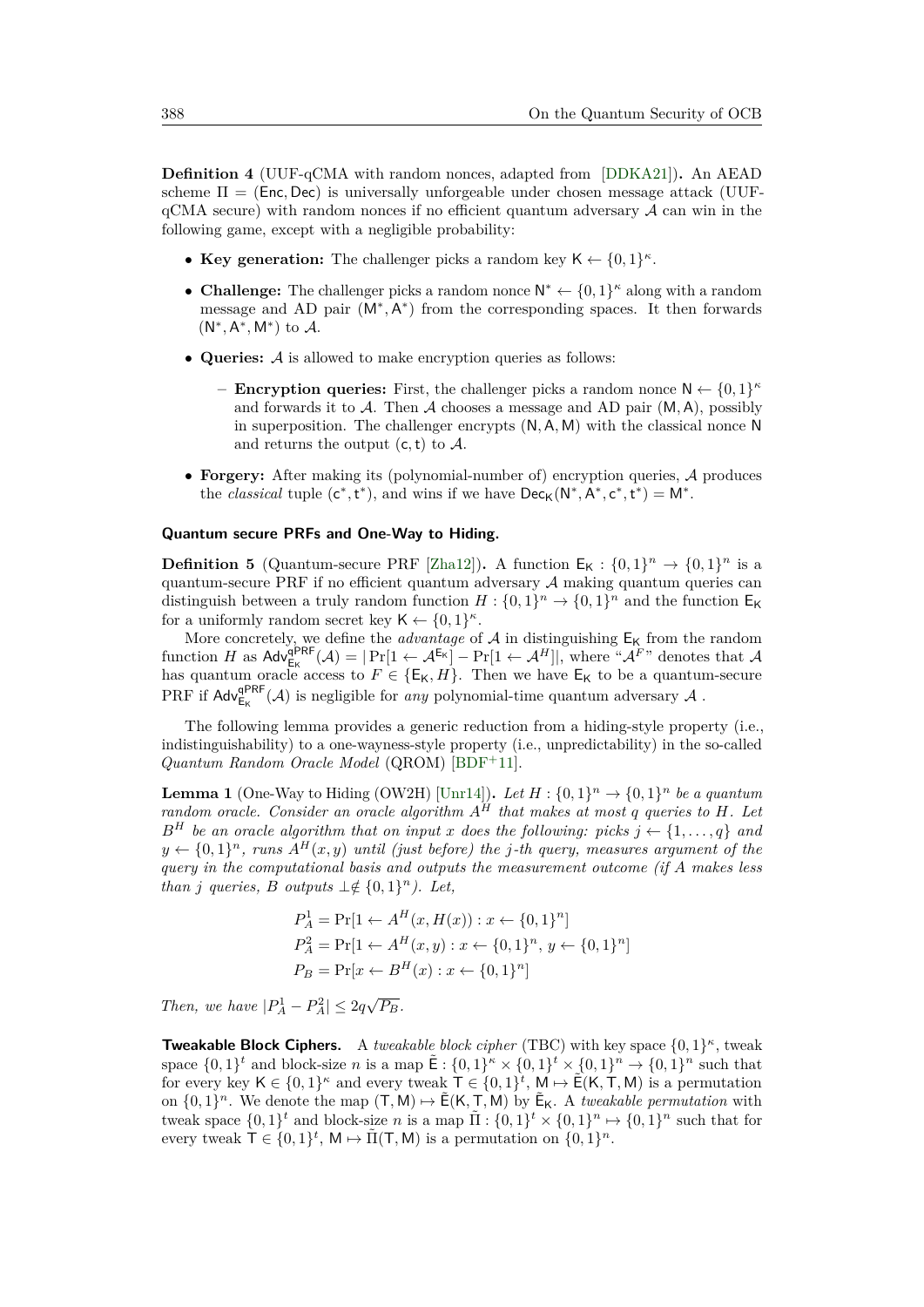<span id="page-9-1"></span>**Definition 4** (UUF-qCMA with random nonces, adapted from [\[DDKA21\]](#page-33-11))**.** An AEAD scheme  $\Pi = (Enc, Dec)$  is universally unforgeable under chosen message attack (UUF $qCMA$  secure) with random nonces if no efficient quantum adversary  $A$  can win in the following game, except with a negligible probability:

- Key generation: The challenger picks a random key  $K \leftarrow \{0,1\}^{\kappa}$ .
- **Challenge:** The challenger picks a random nonce  $N^* \leftarrow \{0,1\}^{\kappa}$  along with a random message and AD pair (M<sup>∗</sup>,A<sup>\*</sup>) from the corresponding spaces. It then forwards (N ∗ *,* A ∗ *,* M<sup>∗</sup> ) to A.
- **Queries:** A is allowed to make encryption queries as follows:
	- **– Encryption queries:** First, the challenger picks a random nonce  $N \leftarrow \{0, 1\}^{\kappa}$ and forwards it to A. Then A chooses a message and AD pair (M*,* A), possibly in superposition. The challenger encrypts (N*,* A*,* M) with the classical nonce N and returns the output (c*,*t) to A.
- **Forgery:** After making its (polynomial-number of) encryption queries, A produces the *classical* tuple  $(c^*, t^*)$ , and wins if we have  $Dec_K(N^*, A^*, c^*, t^*) = M^*$ .

#### **Quantum secure PRFs and One-Way to Hiding.**

**Definition 5** (Quantum-secure PRF [\[Zha12\]](#page-35-4)). A function  $E_K: \{0,1\}^n \to \{0,1\}^n$  is a quantum-secure PRF if no efficient quantum adversary  $A$  making quantum queries can distinguish between a truly random function  $H: \{0,1\}^n \to \{0,1\}^n$  and the function  $E_K$ for a uniformly random secret key  $\mathsf{K} \leftarrow \{0,1\}^{\kappa}$ .

More concretely, we define the *advantage* of  $A$  in distinguishing  $E_K$  from the random function *H* as  $\mathsf{Adv}_{\mathsf{E}_\mathsf{K}}^{\mathsf{QPRF}}(\mathcal{A}) = |\Pr[1 \leftarrow \mathcal{A}^{\mathsf{E}_\mathsf{K}}] - \Pr[1 \leftarrow \mathcal{A}^H]|$ , where " $\mathcal{A}^F$ " denotes that  $\mathcal{A}$ has quantum oracle access to  $F \in \{E_K, H\}$ . Then we have  $E_K$  to be a quantum-secure PRF if  $\mathsf{Adv}_{\mathsf{E}_\mathsf{K}}^{\mathsf{qPRF}}(\mathcal{A})$  is negligible for *any* polynomial-time quantum adversary  $\mathcal A$ .

The following lemma provides a generic reduction from a hiding-style property (i.e., indistinguishability) to a one-wayness-style property (i.e., unpredictability) in the so-called *Quantum Random Oracle Model* (QROM) [\[BDF](#page-32-4)<sup>+</sup>11].

<span id="page-9-0"></span>**Lemma 1** (One-Way to Hiding (OW2H) [\[Unr14\]](#page-35-5)). Let  $H: \{0,1\}^n \to \{0,1\}^n$  be a quantum *random oracle. Consider an oracle algorithm A<sup>H</sup> that makes at most q queries to H. Let*  $B^H$  *be an oracle algorithm that on input x does the following: picks*  $j \leftarrow \{1, \ldots, q\}$  *and*  $y \leftarrow \{0,1\}^n$ , runs  $A^H(x, y)$  *until (just before) the j-th query, measures argument of the query in the computational basis and outputs the measurement outcome (if A makes less than j queries*, *B outputs*  $\perp \notin \{0,1\}^n$ *). Let,* 

$$
P_A^1 = \Pr[1 \leftarrow A^H(x, H(x)) : x \leftarrow \{0, 1\}^n]
$$
  
\n
$$
P_A^2 = \Pr[1 \leftarrow A^H(x, y) : x \leftarrow \{0, 1\}^n, y \leftarrow \{0, 1\}^n]
$$
  
\n
$$
P_B = \Pr[x \leftarrow B^H(x) : x \leftarrow \{0, 1\}^n]
$$

*Then, we have*  $|P_A^1 - P_A^2| \leq 2q\sqrt{P_B}$ *.* 

**Tweakable Block Ciphers.** A *tweakable block cipher* (TBC) with key space {0*,* 1} *κ* , tweak space  $\{0,1\}^t$  and block-size *n* is a map  $\tilde{E}: \{0,1\}^k \times \{0,1\}^t \times \{0,1\}^n \to \{0,1\}^n$  such that for every key  $K \in \{0,1\}^{\kappa}$  and every tweak  $\mathsf{T} \in \{0,1\}^{\kappa}$ ,  $\mathsf{M} \mapsto \widetilde{\mathsf{E}}(\mathsf{K},\mathsf{T},\mathsf{M})$  is a permutation on  $\{0,1\}^n$ . We denote the map  $(T,M) \mapsto \tilde{E}(K,T,M)$  by  $\tilde{E}_K$ . A *tweakable permutation* with tweak space  $\{0,1\}^t$  and block-size *n* is a map  $\tilde{\Pi}$  :  $\{0,1\}^t \times \{0,1\}^n \mapsto \{0,1\}^n$  such that for every tweak  $\mathsf{T} \in \{0,1\}^t$ ,  $\mathsf{M} \mapsto \tilde{\Pi}(\mathsf{T}, \mathsf{M})$  is a permutation on  $\{0,1\}^n$ .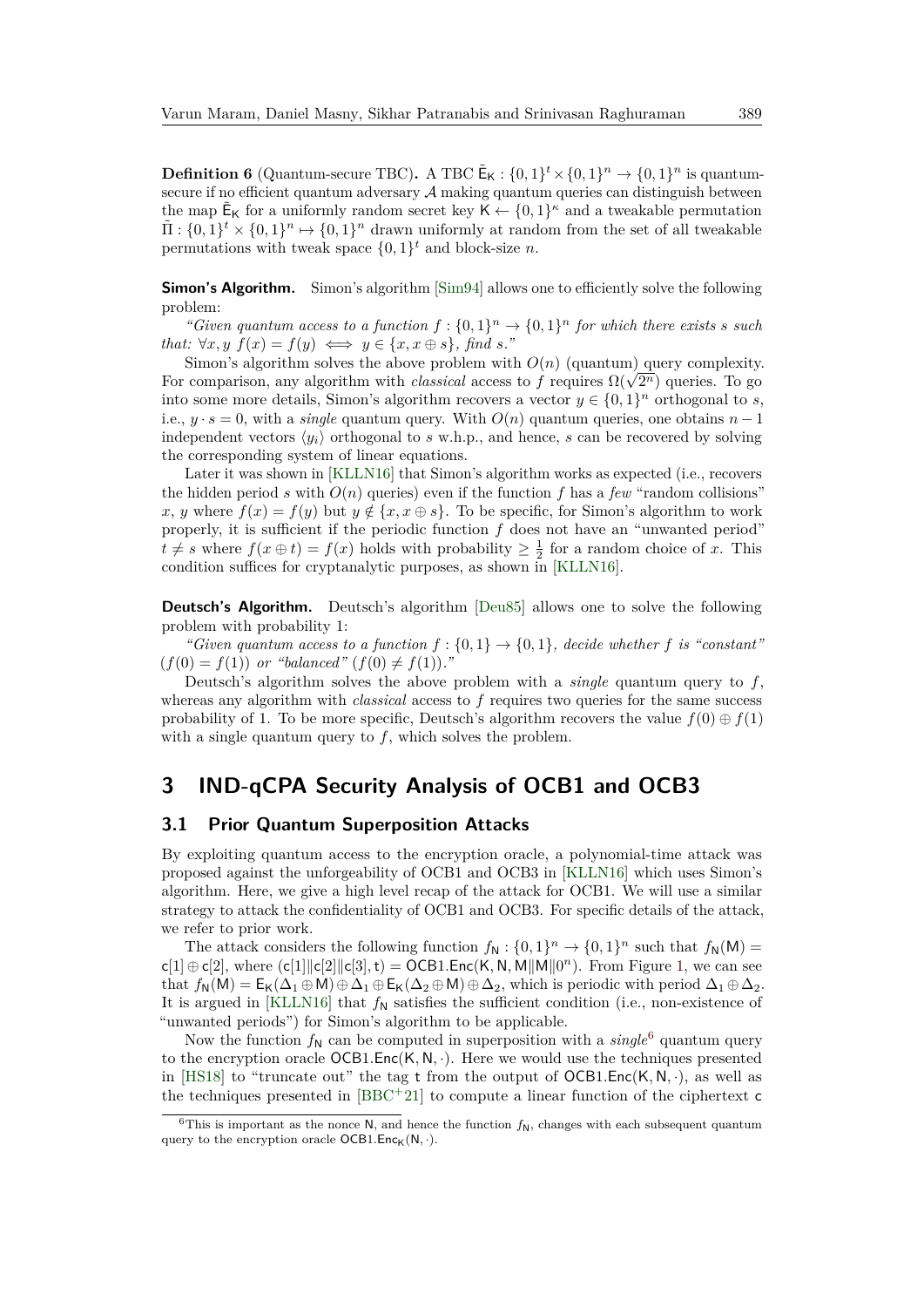<span id="page-10-2"></span>**Definition 6** (Quantum-secure TBC). A TBC  $\tilde{\mathsf{E}}_{\mathsf{K}}$  :  $\{0,1\}^t \times \{0,1\}^n \to \{0,1\}^n$  is quantumsecure if no efficient quantum adversary  $A$  making quantum queries can distinguish between the map  $\tilde{\mathsf{E}}_{\mathsf{K}}$  for a uniformly random secret key  $\mathsf{K} \leftarrow \{0,1\}^{\kappa}$  and a tweakable permutation  $\tilde{\Pi}: \{0,1\}^t \times \{0,1\}^n \mapsto \{0,1\}^n$  drawn uniformly at random from the set of all tweakable permutations with tweak space  $\{0,1\}^t$  and block-size *n*.

**Simon's Algorithm.** Simon's algorithm [\[Sim94\]](#page-35-2) allows one to efficiently solve the following problem:

"*Given quantum access to a function*  $f: \{0,1\}^n \to \{0,1\}^n$  *for which there exists s such that:*  $\forall x, y \ f(x) = f(y) \iff y \in \{x, x \oplus s\}$ *, find s.*"

Simon's algorithm solves the above problem with  $O(n)$  (quantum) query complexity. Simon's algorithm solves the above problem with  $O(n)$  (quantum) query complexity<br>For comparison, any algorithm with *classical* access to *f* requires  $\Omega(\sqrt{2^n})$  queries. To go into some more details, Simon's algorithm recovers a vector  $y \in \{0,1\}^n$  orthogonal to *s*, i.e.,  $y \cdot s = 0$ , with a *single* quantum query. With  $O(n)$  quantum queries, one obtains  $n-1$ independent vectors  $\langle y_i \rangle$  orthogonal to *s* w.h.p., and hence, *s* can be recovered by solving the corresponding system of linear equations.

Later it was shown in [\[KLLN16\]](#page-34-4) that Simon's algorithm works as expected (i.e., recovers the hidden period *s* with  $O(n)$  queries) even if the function f has a few "random collisions" *x*, *y* where  $f(x) = f(y)$  but  $y \notin \{x, x \oplus s\}$ . To be specific, for Simon's algorithm to work properly, it is sufficient if the periodic function *f* does not have an "unwanted period"  $t \neq s$  where  $f(x \oplus t) = f(x)$  holds with probability  $\geq \frac{1}{2}$  for a random choice of *x*. This condition suffices for cryptanalytic purposes, as shown in [\[KLLN16\]](#page-34-4).

**Deutsch's Algorithm.** Deutsch's algorithm [\[Deu85\]](#page-33-8) allows one to solve the following problem with probability 1:

*"Given quantum access to a function*  $f: \{0, 1\} \rightarrow \{0, 1\}$ , decide whether f is "constant"  $(f(0) = f(1))$  *or "balanced"*  $(f(0) \neq f(1))$ *."* 

Deutsch's algorithm solves the above problem with a *single* quantum query to *f*, whereas any algorithm with *classical* access to *f* requires two queries for the same success probability of 1. To be more specific, Deutsch's algorithm recovers the value  $f(0) \oplus f(1)$ with a single quantum query to *f*, which solves the problem.

### <span id="page-10-0"></span>**3 IND-qCPA Security Analysis of OCB1 and OCB3**

### <span id="page-10-3"></span>**3.1 Prior Quantum Superposition Attacks**

By exploiting quantum access to the encryption oracle, a polynomial-time attack was proposed against the unforgeability of OCB1 and OCB3 in [\[KLLN16\]](#page-34-4) which uses Simon's algorithm. Here, we give a high level recap of the attack for OCB1. We will use a similar strategy to attack the confidentiality of OCB1 and OCB3. For specific details of the attack, we refer to prior work.

The attack considers the following function  $f_N: \{0,1\}^n \to \{0,1\}^n$  such that  $f_N(M)$  $c[1] \oplus c[2]$ , where  $(c[1] \mid c[2] \mid c[3], t) = OCB1$ . Enc $(K, N, M \mid M \mid 0^n)$ . From Figure [1,](#page-11-0) we can see that  $f_N(M) = E_K(\Delta_1 \oplus M) \oplus \Delta_1 \oplus E_K(\Delta_2 \oplus M) \oplus \Delta_2$ , which is periodic with period  $\Delta_1 \oplus \Delta_2$ . It is argued in [\[KLLN16\]](#page-34-4) that  $f_N$  satisfies the sufficient condition (i.e., non-existence of "unwanted periods") for Simon's algorithm to be applicable.

Now the function  $f_N$  can be computed in superposition with a  $single^6$  $single^6$  quantum query to the encryption oracle OCB1*.*Enc(K*,* N*,* ·). Here we would use the techniques presented in [\[HS18\]](#page-33-12) to "truncate out" the tag t from the output of  $OCB1.Enc(K, N, \cdot)$ , as well as the techniques presented in  $[BBC+21]$  $[BBC+21]$  to compute a linear function of the ciphertext c

<span id="page-10-1"></span><sup>&</sup>lt;sup>6</sup>This is important as the nonce N, and hence the function  $f_N$ , changes with each subsequent quantum query to the encryption oracle  $OCB1.Enc<sub>K</sub>(N, \cdot)$ .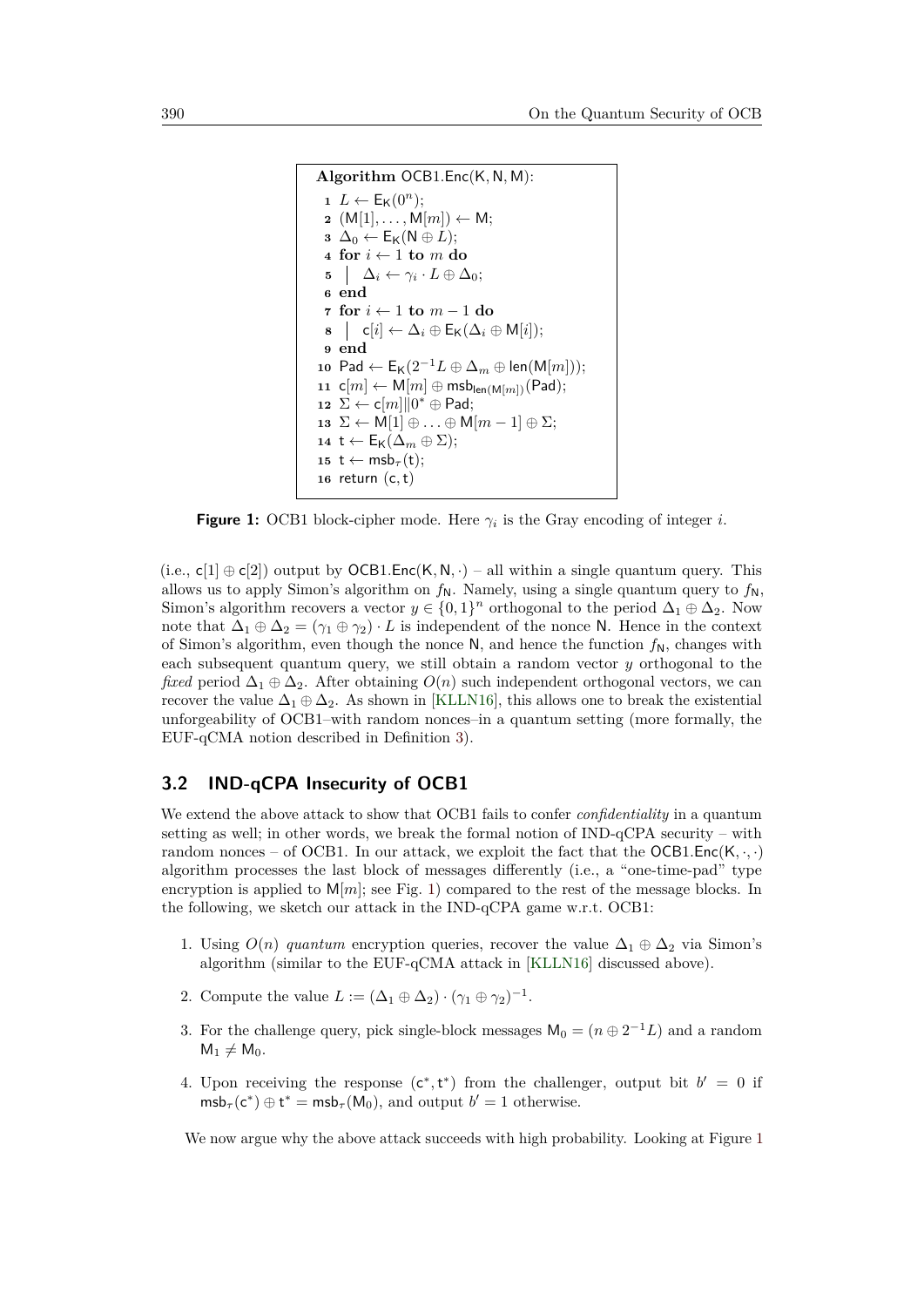```
Algorithm OCB1.Enc(K, N, M):
  1 L \leftarrow E_{\mathsf{K}}(0^n);2 \left( \mathsf{M}[1], \ldots, \mathsf{M}[m] \right) \leftarrow \mathsf{M};3 \Delta_0 ← E<sub>K</sub>(N ⊕ L);
  4 for i \leftarrow 1 to m do
   5 \Delta_i \leftarrow \gamma_i \cdot L \oplus \Delta_0;6 end
  7 for i ← 1 to m − 1 do
  8 | c[i] \leftarrow \Delta_i \oplus \mathsf{E}_{\mathsf{K}}(\Delta_i \oplus \mathsf{M}[i]);9 end
10 Pad ← E_K(2^{-1}L \oplus \Delta_m \oplus \text{len}(M[m]));
11 \mathsf{c}[m] \leftarrow \mathsf{M}[m] \oplus \mathsf{msb}_{\mathsf{len}(\mathsf{M}[m])}(\mathsf{Pad});12 ∑ ← c[m]\|0^* \oplus Pad;
 13 ∑ ← M[1] \oplus ... \oplus M[m-1] \oplus \Sigma;
 14 t ← E_K(\Delta_m ⊕ Σ);15 t \leftarrow \text{msb}_{\tau}(\text{t});16 return (c,t)
```
<span id="page-11-5"></span><span id="page-11-4"></span><span id="page-11-3"></span><span id="page-11-2"></span>**Figure 1:** OCB1 block-cipher mode. Here  $\gamma_i$  is the Gray encoding of integer *i*.

(i.e.,  $\mathsf{c}[1] \oplus \mathsf{c}[2]$ ) output by  $OCB1$ . Enc $(K, N, \cdot)$  – all within a single quantum query. This allows us to apply Simon's algorithm on  $f_N$ . Namely, using a single quantum query to  $f_N$ , Simon's algorithm recovers a vector  $y \in \{0,1\}^n$  orthogonal to the period  $\Delta_1 \oplus \Delta_2$ . Now note that  $\Delta_1 \oplus \Delta_2 = (\gamma_1 \oplus \gamma_2) \cdot L$  is independent of the nonce N. Hence in the context of Simon's algorithm, even though the nonce  $N$ , and hence the function  $f_N$ , changes with each subsequent quantum query, we still obtain a random vector *y* orthogonal to the *fixed* period  $\Delta_1 \oplus \Delta_2$ . After obtaining  $O(n)$  such independent orthogonal vectors, we can recover the value  $\Delta_1 \oplus \Delta_2$ . As shown in [\[KLLN16\]](#page-34-4), this allows one to break the existential unforgeability of OCB1–with random nonces–in a quantum setting (more formally, the EUF-qCMA notion described in Definition [3\)](#page-8-0).

#### <span id="page-11-6"></span>**3.2 IND-qCPA Insecurity of OCB1**

We extend the above attack to show that OCB1 fails to confer *confidentiality* in a quantum setting as well; in other words, we break the formal notion of  $IND-qCPA$  security – with random nonces – of OCB1. In our attack, we exploit the fact that the  $OCB1.Enc(K, \cdot, \cdot)$ algorithm processes the last block of messages differently (i.e., a "one-time-pad" type encryption is applied to  $M[m]$ ; see Fig. [1\)](#page-11-0) compared to the rest of the message blocks. In the following, we sketch our attack in the IND-qCPA game w.r.t. OCB1:

- 1. Using  $O(n)$  quantum encryption queries, recover the value  $\Delta_1 \oplus \Delta_2$  via Simon's algorithm (similar to the EUF-qCMA attack in [\[KLLN16\]](#page-34-4) discussed above).
- 2. Compute the value  $L := (\Delta_1 \oplus \Delta_2) \cdot (\gamma_1 \oplus \gamma_2)^{-1}$ .
- 3. For the challenge query, pick single-block messages  $M_0 = (n \oplus 2^{-1}L)$  and a random  $M_1 \neq M_0$ .
- 4. Upon receiving the response  $(c^*, t^*)$  from the challenger, output bit  $b' = 0$  if  $\mathsf{msb}_{\tau}(\mathsf{c}^*) \oplus \mathsf{t}^* = \mathsf{msb}_{\tau}(\mathsf{M}_0)$ , and output  $b' = 1$  otherwise.

We now argue why the above attack succeeds with high probability. Looking at Figure [1](#page-11-0)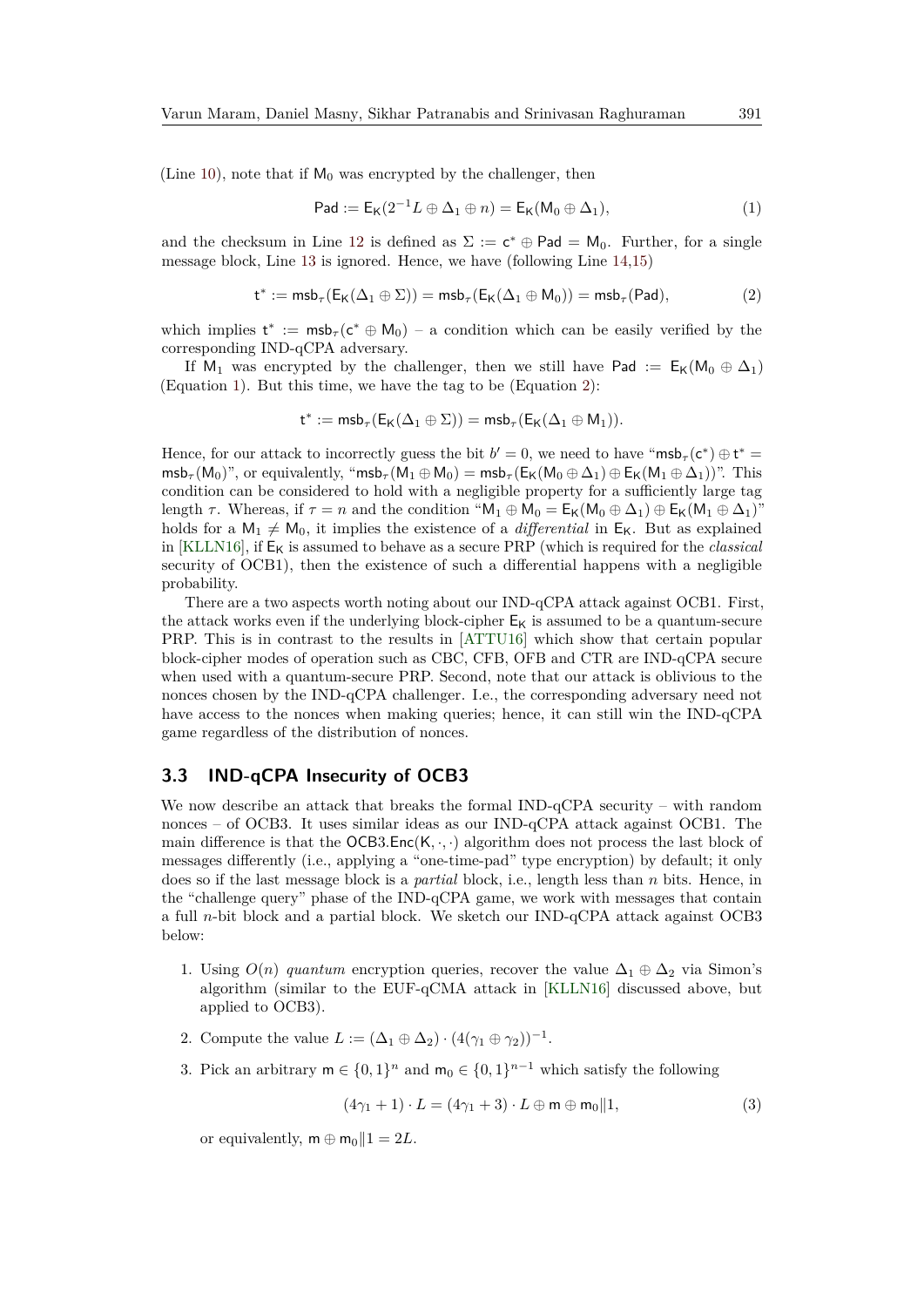(Line [10\)](#page-11-1), note that if  $M_0$  was encrypted by the challenger, then

<span id="page-12-1"></span><span id="page-12-0"></span>
$$
\mathsf{Pad} := \mathsf{E}_{\mathsf{K}}(2^{-1}L \oplus \Delta_1 \oplus n) = \mathsf{E}_{\mathsf{K}}(\mathsf{M}_0 \oplus \Delta_1),\tag{1}
$$

and the checksum in Line [12](#page-11-2) is defined as  $\Sigma := \mathsf{c}^* \oplus \mathsf{Pad} = \mathsf{M}_0$ . Further, for a single message block, Line [13](#page-11-3) is ignored. Hence, we have (following Line [14,](#page-11-4)[15\)](#page-11-5)

$$
t^*:=\textnormal{msb}_\tau(\mathsf{E}_\mathsf{K}(\Delta_1\oplus\Sigma))=\textnormal{msb}_\tau(\mathsf{E}_\mathsf{K}(\Delta_1\oplus\mathsf{M}_0))=\textnormal{msb}_\tau(\mathsf{Pad}),\qquad \qquad (2)
$$

which implies  $t^* := \text{msb}_\tau(c^* \oplus M_0) - a$  condition which can be easily verified by the corresponding IND-qCPA adversary.

If M<sub>1</sub> was encrypted by the challenger, then we still have Pad :=  $E_K(M_0 \oplus \Delta_1)$ (Equation [1\)](#page-12-0). But this time, we have the tag to be (Equation [2\)](#page-12-1):

$$
t^*:=\mathsf{msb}_\tau(\mathsf{E}_\mathsf{K}(\Delta_1\oplus\Sigma))=\mathsf{msb}_\tau(\mathsf{E}_\mathsf{K}(\Delta_1\oplus\mathsf{M}_1)).
$$

Hence, for our attack to incorrectly guess the bit  $b' = 0$ , we need to have "msb<sub>*T*</sub>( $c^*$ )  $\oplus t^*$  =  $m\mathsf{sb}_\tau(\mathsf{M}_0)$ ", or equivalently, " $m\mathsf{sb}_\tau(\mathsf{M}_1 \oplus \mathsf{M}_0) = m\mathsf{sb}_\tau(\mathsf{E}_\mathsf{K}(\mathsf{M}_0 \oplus \Delta_1) \oplus \mathsf{E}_\mathsf{K}(\mathsf{M}_1 \oplus \Delta_1))$ ". This condition can be considered to hold with a negligible property for a sufficiently large tag length  $\tau$ . Whereas, if  $\tau = n$  and the condition " $M_1 \oplus M_0 = E_K(M_0 \oplus \Delta_1) \oplus E_K(M_1 \oplus \Delta_1)$ " holds for a  $M_1 \neq M_0$ , it implies the existence of a *differential* in  $E_K$ . But as explained in  $KLLN16$ , if  $E_K$  is assumed to behave as a secure PRP (which is required for the *classical* security of OCB1), then the existence of such a differential happens with a negligible probability.

There are a two aspects worth noting about our IND-qCPA attack against OCB1. First, the attack works even if the underlying block-cipher  $E_K$  is assumed to be a quantum-secure PRP. This is in contrast to the results in [\[ATTU16\]](#page-32-7) which show that certain popular block-cipher modes of operation such as CBC, CFB, OFB and CTR are IND-qCPA secure when used with a quantum-secure PRP. Second, note that our attack is oblivious to the nonces chosen by the IND-qCPA challenger. I.e., the corresponding adversary need not have access to the nonces when making queries; hence, it can still win the IND-qCPA game regardless of the distribution of nonces.

#### **3.3 IND-qCPA Insecurity of OCB3**

We now describe an attack that breaks the formal IND-qCPA security – with random nonces – of OCB3. It uses similar ideas as our IND-qCPA attack against OCB1. The main difference is that the  $OCB3.Enc(K, \cdot, \cdot)$  algorithm does not process the last block of messages differently (i.e., applying a "one-time-pad" type encryption) by default; it only does so if the last message block is a *partial* block, i.e., length less than *n* bits. Hence, in the "challenge query" phase of the IND-qCPA game, we work with messages that contain a full *n*-bit block and a partial block. We sketch our IND-qCPA attack against OCB3 below:

- 1. Using  $O(n)$  *quantum* encryption queries, recover the value  $\Delta_1 \oplus \Delta_2$  via Simon's algorithm (similar to the EUF-qCMA attack in [\[KLLN16\]](#page-34-4) discussed above, but applied to OCB3).
- 2. Compute the value  $L := (\Delta_1 \oplus \Delta_2) \cdot (4(\gamma_1 \oplus \gamma_2))^{-1}$ .
- 3. Pick an arbitrary  $m \in \{0,1\}^n$  and  $m_0 \in \{0,1\}^{n-1}$  which satisfy the following

<span id="page-12-2"></span>
$$
(4\gamma_1 + 1) \cdot L = (4\gamma_1 + 3) \cdot L \oplus \mathsf{m} \oplus \mathsf{m}_0 \| 1,\tag{3}
$$

or equivalently,  $m \oplus m_0 || 1 = 2L$ .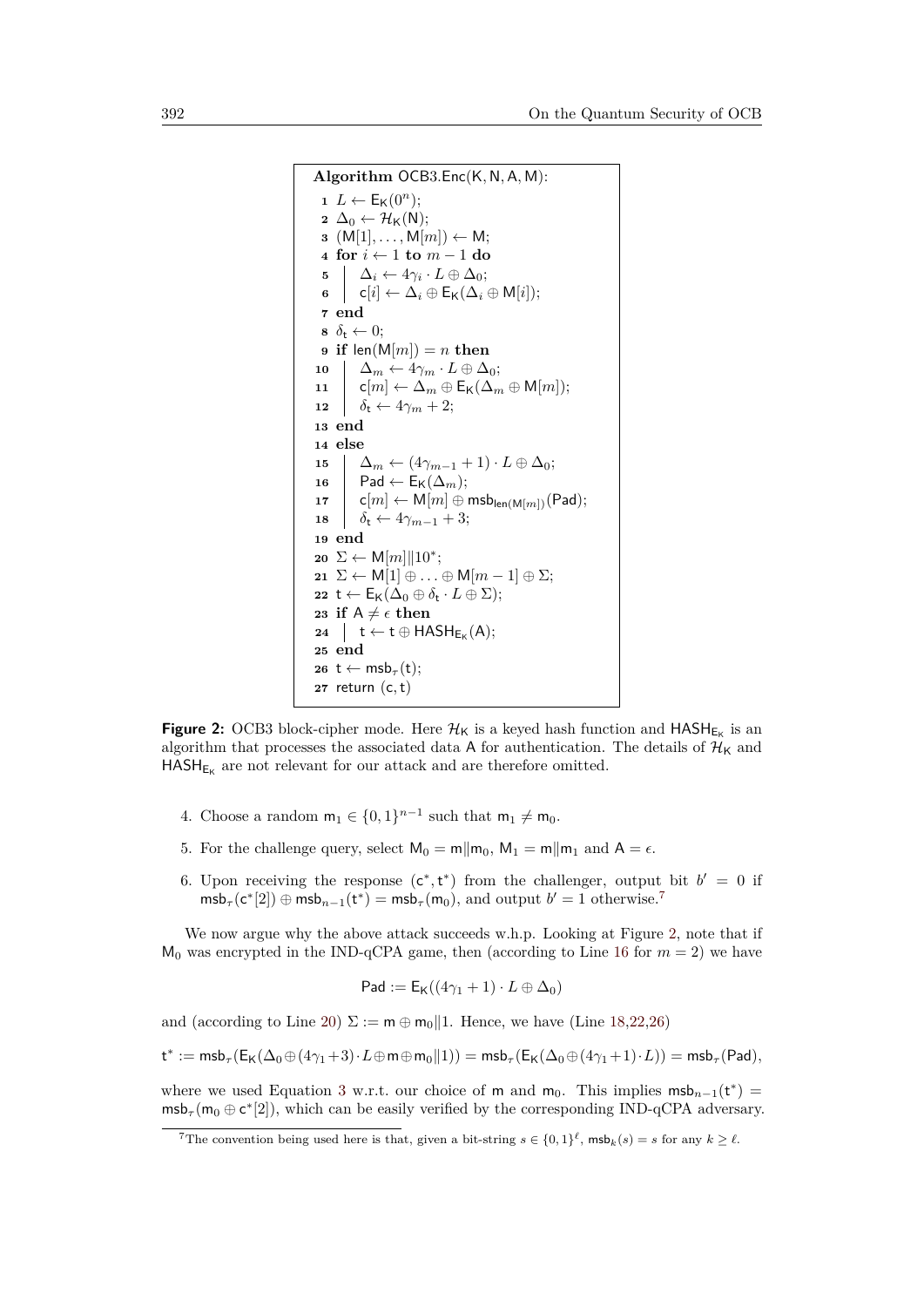```
Algorithm OCB3.Enc(K, N, A, M):
  1 L \leftarrow E_K(0^n);2 \Delta_0 \leftarrow \mathcal{H}_K(N);\mathbf{3} \ (\mathsf{M}[1], \ldots, \mathsf{M}[m]) \leftarrow \mathsf{M};4 for i ← 1 to m − 1 do
   5 \Delta_i \leftarrow 4\gamma_i \cdot L \oplus \Delta_0;6 \mathsf{c}[i] \leftarrow \Delta_i \oplus \mathsf{E}_{\mathsf{K}}(\Delta_i \oplus \mathsf{M}[i]);7 end
  \mathbf{s} \ \delta_{\mathbf{t}} \leftarrow 0;9 if len(M[m]) = n then
10 \Delta_m \leftarrow 4\gamma_m \cdot L \oplus \Delta_0;11 c[m] \leftarrow \Delta_m \oplus \mathsf{E}_{\mathsf{K}}(\Delta_m \oplus \mathsf{M}[m]);12 \delta_t \leftarrow 4\gamma_m + 2;13 end
14 else
15 \Delta_m \leftarrow (4\gamma_{m-1} + 1) \cdot L \oplus \Delta_0;16 Pad \leftarrow E<sub>K</sub>(\Delta_m);
\mathsf{I7} | \mathsf{c}[m] \leftarrow \mathsf{M}[m] \oplus \mathsf{msb}_{\mathsf{len}(\mathsf{M}[m])}(\mathsf{Pad});18 \delta_t \leftarrow 4\gamma_{m-1} + 3;19 end
20 ∑ ← M[m]||10<sup>*</sup>;
21 \Sigma \leftarrow M[1] \oplus \ldots \oplus M[m-1] \oplus \Sigma;22 t \leftarrow E_K(\Delta_0 \oplus \delta_t \cdot L \oplus \Sigma);23 if A \neq \epsilon then
 \begin{array}{c} \mathbf{24} \end{array} t \leftarrow t \oplus HASH<sub>EK</sub>(A);
25 end
26 t ← msb<sub>τ</sub>(t);
27 return (c,t)
```
<span id="page-13-6"></span><span id="page-13-5"></span><span id="page-13-4"></span><span id="page-13-3"></span>**Figure 2:** OCB3 block-cipher mode. Here  $\mathcal{H}_K$  is a keyed hash function and  $HASH_{E_K}$  is an algorithm that processes the associated data A for authentication. The details of  $\mathcal{H}_K$  and  $\mathsf{HASH}_{\mathsf{E_K}}$  are not relevant for our attack and are therefore omitted.

- 4. Choose a random  $m_1 \in \{0,1\}^{n-1}$  such that  $m_1 \neq m_0$ .
- 5. For the challenge query, select  $M_0 = m||m_0, M_1 = m||m_1$  and  $A = \epsilon$ .
- 6. Upon receiving the response  $(c^*, t^*)$  from the challenger, output bit  $b' = 0$  if  $msb_{\tau}(c^{*}[2]) \oplus msb_{n-1}(t^{*}) = msb_{\tau}(m_{0}),$  and output  $b' = 1$  otherwise.<sup>[7](#page-13-0)</sup>

We now argue why the above attack succeeds w.h.p. Looking at Figure [2,](#page-13-1) note that if  $M_0$  was encrypted in the IND-qCPA game, then (according to Line [16](#page-13-2) for  $m = 2$ ) we have

$$
\mathsf{Pad} := \mathsf{E}_{\mathsf{K}}((4\gamma_1 + 1) \cdot L \oplus \Delta_0)
$$

and (according to Line [20\)](#page-13-3)  $\Sigma := \mathsf{m} \oplus \mathsf{m}_0 || 1$ . Hence, we have (Line [18,](#page-13-4)[22,](#page-13-5)[26\)](#page-13-6)

$$
\mathsf{t}^* := {\sf msb}_\tau(\mathsf{E}_\mathsf{K}(\Delta_0\oplus (4\gamma_1+3)\cdot L\oplus \mathsf{m} \oplus \mathsf{m}_0\|1)) = {\sf msb}_\tau(\mathsf{E}_\mathsf{K}(\Delta_0\oplus (4\gamma_1+1)\cdot L)) = {\sf msb}_\tau(\mathsf{Pad}),
$$

where we used Equation [3](#page-12-2) w.r.t. our choice of m and m<sub>0</sub>. This implies  $msb_{n-1}(t^*)$  $\mathsf{msb}_{\tau}(\mathsf{m}_0 \oplus \mathsf{c}^*[2])$ , which can be easily verified by the corresponding IND-qCPA adversary.

<span id="page-13-0"></span><sup>&</sup>lt;sup>7</sup>The convention being used here is that, given a bit-string  $s \in \{0,1\}^{\ell}$ ,  $\textsf{msb}_k(s) = s$  for any  $k \geq \ell$ .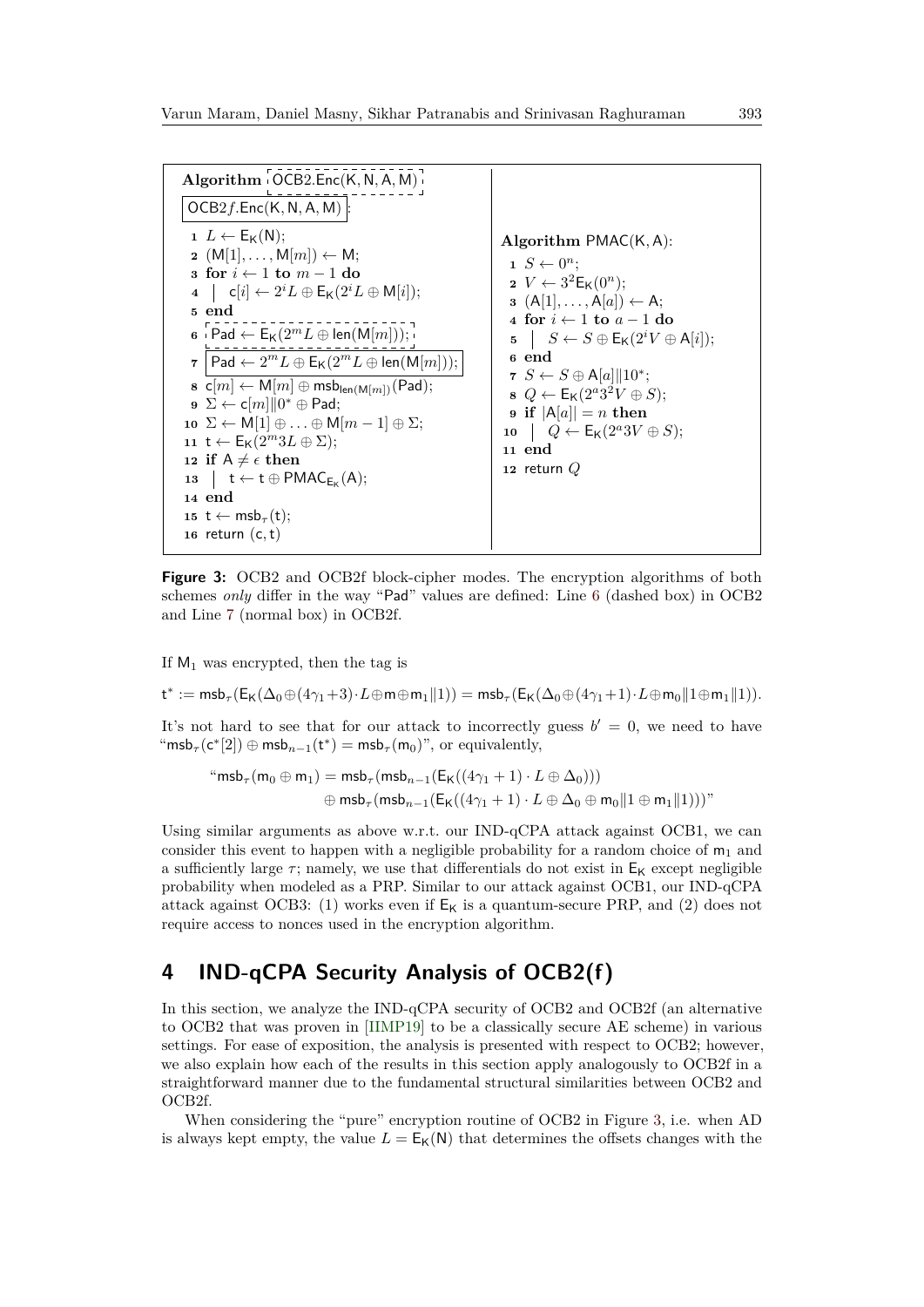<span id="page-14-6"></span><span id="page-14-4"></span><span id="page-14-3"></span><span id="page-14-2"></span><span id="page-14-1"></span>

| Algorithm OCB2.Enc(K, N, A, M)                                                                                                                                                                                                                                                                                                                                                                                                                                                                                                                                                                                                                                                                                                                                                                                                                                                                                                                                                           |                                                                                                                                                                                                                                                                                                                                                                                                                                                                                                                                 |
|------------------------------------------------------------------------------------------------------------------------------------------------------------------------------------------------------------------------------------------------------------------------------------------------------------------------------------------------------------------------------------------------------------------------------------------------------------------------------------------------------------------------------------------------------------------------------------------------------------------------------------------------------------------------------------------------------------------------------------------------------------------------------------------------------------------------------------------------------------------------------------------------------------------------------------------------------------------------------------------|---------------------------------------------------------------------------------------------------------------------------------------------------------------------------------------------------------------------------------------------------------------------------------------------------------------------------------------------------------------------------------------------------------------------------------------------------------------------------------------------------------------------------------|
| $OCB2f.Enc(K, N, A, M)$ :                                                                                                                                                                                                                                                                                                                                                                                                                                                                                                                                                                                                                                                                                                                                                                                                                                                                                                                                                                |                                                                                                                                                                                                                                                                                                                                                                                                                                                                                                                                 |
| $1 L \leftarrow E_K(N);$<br>$2 \left( M[1], \ldots, M[m] \right) \leftarrow M;$<br>s for $i \leftarrow 1$ to $m-1$ do<br>$\mathsf{q} \quad   \quad \mathsf{c}[i] \leftarrow 2^i L \oplus \mathsf{E}_{\mathsf{K}}(2^i L \oplus \mathsf{M}[i]);$<br>5 end<br>$\mathbf{6}$ Pad $\leftarrow$ E <sub>K</sub> $(2^m L \oplus \text{len}(\mathsf{M}[m]))$ ;<br>$  \text{Pad} \leftarrow 2^m L \oplus E_K(2^m L \oplus \text{len}(M[m]))$ ;<br>$\overline{7}$<br>$\mathbf{s} \ \mathsf{c}[m] \leftarrow \mathsf{M}[m] \oplus \mathsf{msb}_{\mathsf{len}(\mathsf{M}[m])}(\mathsf{Pad});$<br>$\mathbf{9} \Sigma \leftarrow \mathsf{c}[m] \  0^* \oplus \mathsf{Pad};$<br>10 $\Sigma \leftarrow M[1] \oplus  \oplus M[m-1] \oplus \Sigma;$<br>11 t $\leftarrow$ $E_K(2^m3L \oplus \Sigma);$<br>12 if $A \neq \epsilon$ then<br>13 $\uparrow$ t $\leftarrow$ t $\oplus$ PMAC <sub>E<sub>K</sub>(A);</sub><br>14 end<br>15 t $\leftarrow$ msb <sub><math>\tau</math></sub> (t);<br>16 return $(c, t)$ | Algorithm $PMAC(K, A)$ :<br>$1 S \leftarrow 0^n$<br>$2 V \leftarrow 3^2 \mathsf{E}_{\mathsf{K}}(0^n);$<br>$a \left( A[1], \ldots, A[a] \right) \leftarrow A;$<br>4 for $i \leftarrow 1$ to $a - 1$ do<br>5 $S \leftarrow S \oplus E_{\mathsf{K}}(2^i V \oplus \mathsf{A}[i]);$<br>6 end<br>7 $S \leftarrow S \oplus A[a] \  10^*;$<br>$\bullet \ Q \leftarrow E_{\mathsf{K}}(2^{a}3^{2}V \oplus S);$<br>9 if $ A[a]  = n$ then<br>10 $\left[ Q \leftarrow \mathsf{E}_{\mathsf{K}}(2^a 3V \oplus S);$<br>11 end<br>12 return $Q$ |

<span id="page-14-10"></span><span id="page-14-9"></span><span id="page-14-8"></span><span id="page-14-7"></span><span id="page-14-5"></span>**Figure 3:** OCB2 and OCB2f block-cipher modes. The encryption algorithms of both schemes *only* differ in the way "Pad" values are defined: Line [6](#page-14-1) (dashed box) in OCB2 and Line [7](#page-14-2) (normal box) in OCB2f.

If  $M_1$  was encrypted, then the tag is

 $\mathsf{t}^* := \mathsf{msb}_\tau(\mathsf{E}_\mathsf{K}(\Delta_0 \oplus (4\gamma_1+3)\cdot L \oplus \mathsf{m} \oplus \mathsf{m}_1 \| 1)) = \mathsf{msb}_\tau(\mathsf{E}_\mathsf{K}(\Delta_0 \oplus (4\gamma_1+1)\cdot L \oplus \mathsf{m}_0 \| 1 \oplus \mathsf{m}_1 \| 1)).$ 

It's not hard to see that for our attack to incorrectly guess  $b' = 0$ , we need to have "msb<sub>*τ*</sub>(c<sup>\*</sup>[2])  $\oplus$  msb<sub>*n*-1</sub>(t<sup>\*</sup>) = msb<sub>*τ*</sub>(m<sub>0</sub>)", or equivalently,

$$
\text{``msb}_{\tau}(\mathsf{m}_0 \oplus \mathsf{m}_1) = \text{msb}_{\tau}(\text{msb}_{n-1}(\mathsf{E}_{\mathsf{K}}((4\gamma_1 + 1) \cdot L \oplus \Delta_0)))
$$

$$
\oplus \text{msb}_{\tau}(\text{msb}_{n-1}(\mathsf{E}_{\mathsf{K}}((4\gamma_1 + 1) \cdot L \oplus \Delta_0 \oplus \mathsf{m}_0 || 1 \oplus \mathsf{m}_1 || 1))))"
$$

Using similar arguments as above w.r.t. our IND-qCPA attack against OCB1, we can consider this event to happen with a negligible probability for a random choice of  $m_1$  and a sufficiently large  $\tau$ ; namely, we use that differentials do not exist in  $E_K$  except negligible probability when modeled as a PRP. Similar to our attack against OCB1, our IND-qCPA attack against OCB3: (1) works even if  $E_K$  is a quantum-secure PRP, and (2) does not require access to nonces used in the encryption algorithm.

# <span id="page-14-0"></span>**4 IND-qCPA Security Analysis of OCB2(f)**

In this section, we analyze the IND-qCPA security of OCB2 and OCB2f (an alternative to OCB2 that was proven in [\[IIMP19\]](#page-34-8) to be a classically secure AE scheme) in various settings. For ease of exposition, the analysis is presented with respect to OCB2; however, we also explain how each of the results in this section apply analogously to OCB2f in a straightforward manner due to the fundamental structural similarities between OCB2 and OCB2f.

When considering the "pure" encryption routine of OCB2 in Figure [3,](#page-14-3) i.e. when AD is always kept empty, the value  $L = E_K(N)$  that determines the offsets changes with the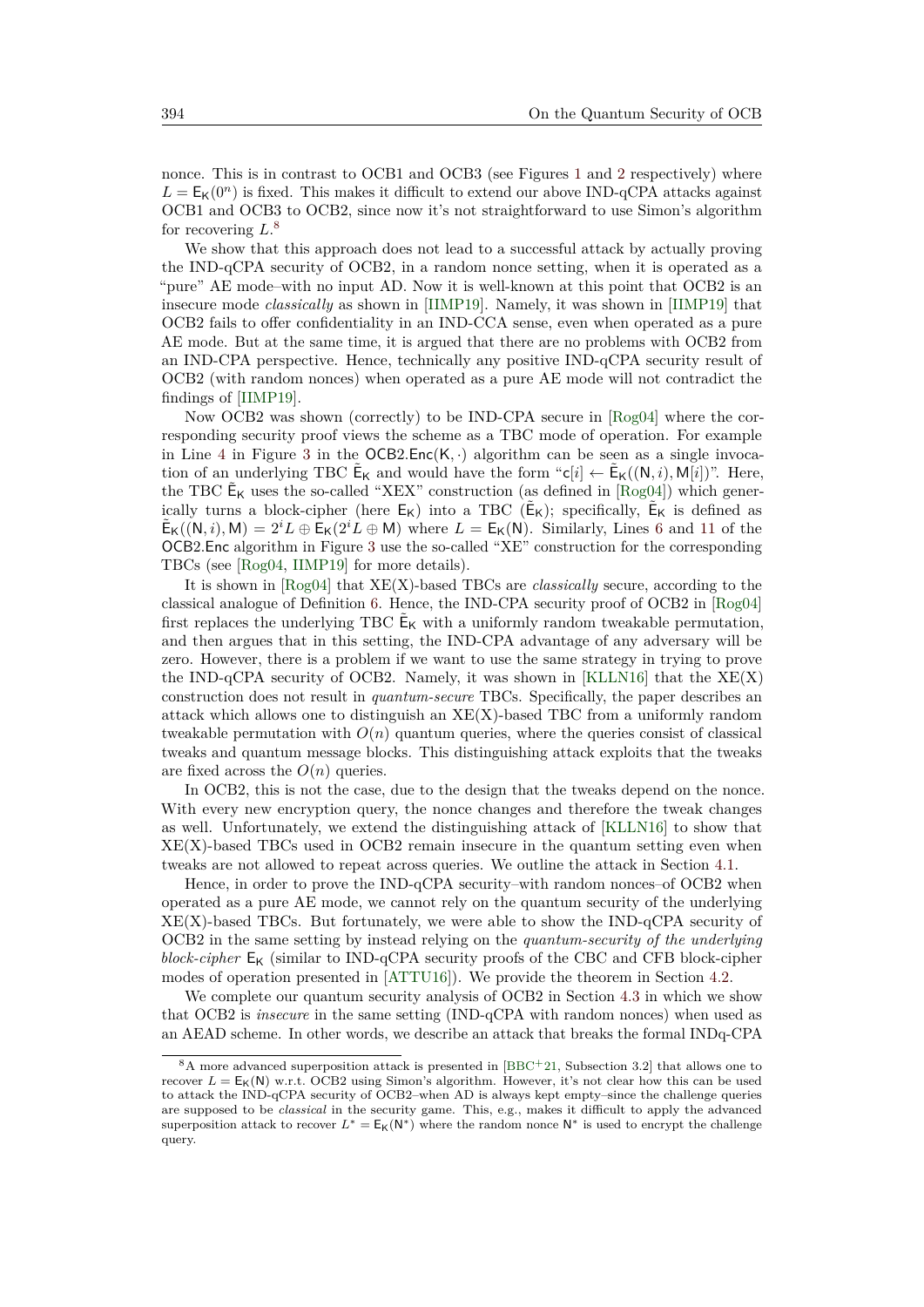nonce. This is in contrast to OCB[1](#page-11-0) and OCB3 (see Figures 1 and [2](#page-13-1) respectively) where  $L = E_K(0^n)$  is fixed. This makes it difficult to extend our above IND-qCPA attacks against OCB1 and OCB3 to OCB2, since now it's not straightforward to use Simon's algorithm for recovering *L*. [8](#page-15-0)

We show that this approach does not lead to a successful attack by actually proving the IND-qCPA security of OCB2, in a random nonce setting, when it is operated as a "pure" AE mode–with no input AD. Now it is well-known at this point that OCB2 is an insecure mode *classically* as shown in [\[IIMP19\]](#page-34-8). Namely, it was shown in [\[IIMP19\]](#page-34-8) that OCB2 fails to offer confidentiality in an IND-CCA sense, even when operated as a pure AE mode. But at the same time, it is argued that there are no problems with OCB2 from an IND-CPA perspective. Hence, technically any positive IND-qCPA security result of OCB2 (with random nonces) when operated as a pure AE mode will not contradict the findings of [\[IIMP19\]](#page-34-8).

Now OCB2 was shown (correctly) to be IND-CPA secure in [\[Rog04\]](#page-34-6) where the corresponding security proof views the scheme as a TBC mode of operation. For example in Line [4](#page-14-4) in Figure [3](#page-14-3) in the  $OCB2Enc(K, \cdot)$  algorithm can be seen as a single invocation of an underlying TBC  $\tilde{\mathsf{E}}_{\mathsf{K}}$  and would have the form " $\mathsf{c}[i] \leftarrow \tilde{\mathsf{E}}_{\mathsf{K}}((\mathsf{N}, i), \mathsf{M}[i])$ ". Here, the TBC  $\tilde{\mathsf{E}}_{\mathsf{K}}$  uses the so-called "XEX" construction (as defined in  $[\text{Rog04}]$ ) which generically turns a block-cipher (here  $E_K$ ) into a TBC  $(E_K)$ ; specifically,  $E_K$  is defined as  $\tilde{\mathsf{E}}_{\mathsf{K}}((\mathsf{N},i),\mathsf{M}) = 2^i L \oplus \mathsf{E}_{\mathsf{K}}(2^i L \oplus \mathsf{M})$  where  $L = \mathsf{E}_{\mathsf{K}}(\mathsf{N})$ . Similarly, Lines [6](#page-14-1) and [11](#page-14-5) of the OCB2*.*Enc algorithm in Figure [3](#page-14-3) use the so-called "XE" construction for the corresponding TBCs (see [\[Rog04,](#page-34-6) [IIMP19\]](#page-34-8) for more details).

It is shown in [\[Rog04\]](#page-34-6) that XE(X)-based TBCs are *classically* secure, according to the classical analogue of Definition [6.](#page-10-2) Hence, the IND-CPA security proof of OCB2 in [\[Rog04\]](#page-34-6) first replaces the underlying TBC  $\tilde{\mathsf{E}}_{\mathsf{K}}$  with a uniformly random tweakable permutation, and then argues that in this setting, the IND-CPA advantage of any adversary will be zero. However, there is a problem if we want to use the same strategy in trying to prove the IND-qCPA security of OCB2. Namely, it was shown in  $KLLN16$  that the  $XE(X)$ construction does not result in *quantum-secure* TBCs. Specifically, the paper describes an attack which allows one to distinguish an  $XE(X)$ -based TBC from a uniformly random tweakable permutation with  $O(n)$  quantum queries, where the queries consist of classical tweaks and quantum message blocks. This distinguishing attack exploits that the tweaks are fixed across the  $O(n)$  queries.

In OCB2, this is not the case, due to the design that the tweaks depend on the nonce. With every new encryption query, the nonce changes and therefore the tweak changes as well. Unfortunately, we extend the distinguishing attack of [\[KLLN16\]](#page-34-4) to show that  $XE(X)$ -based TBCs used in OCB2 remain insecure in the quantum setting even when tweaks are not allowed to repeat across queries. We outline the attack in Section [4.1.](#page-16-0)

Hence, in order to prove the IND-qCPA security–with random nonces–of OCB2 when operated as a pure AE mode, we cannot rely on the quantum security of the underlying  $XE(X)$ -based TBCs. But fortunately, we were able to show the IND-qCPA security of OCB2 in the same setting by instead relying on the *quantum-security of the underlying block-cipher*  $E_K$  (similar to IND-qCPA security proofs of the CBC and CFB block-cipher modes of operation presented in [\[ATTU16\]](#page-32-7)). We provide the theorem in Section [4.2.](#page-16-1)

We complete our quantum security analysis of OCB2 in Section [4.3](#page-23-0) in which we show that OCB2 is *insecure* in the same setting (IND-qCPA with random nonces) when used as an AEAD scheme. In other words, we describe an attack that breaks the formal INDq-CPA

<span id="page-15-0"></span><sup>8</sup>A more advanced superposition attack is presented in [\[BBC](#page-32-9)+21, Subsection 3.2] that allows one to recover  $L = E_K(N)$  w.r.t. OCB2 using Simon's algorithm. However, it's not clear how this can be used to attack the IND-qCPA security of OCB2–when AD is always kept empty–since the challenge queries are supposed to be *classical* in the security game. This, e.g., makes it difficult to apply the advanced superposition attack to recover  $L^* = E_K(N^*)$  where the random nonce N<sup>∗</sup> is used to encrypt the challenge query.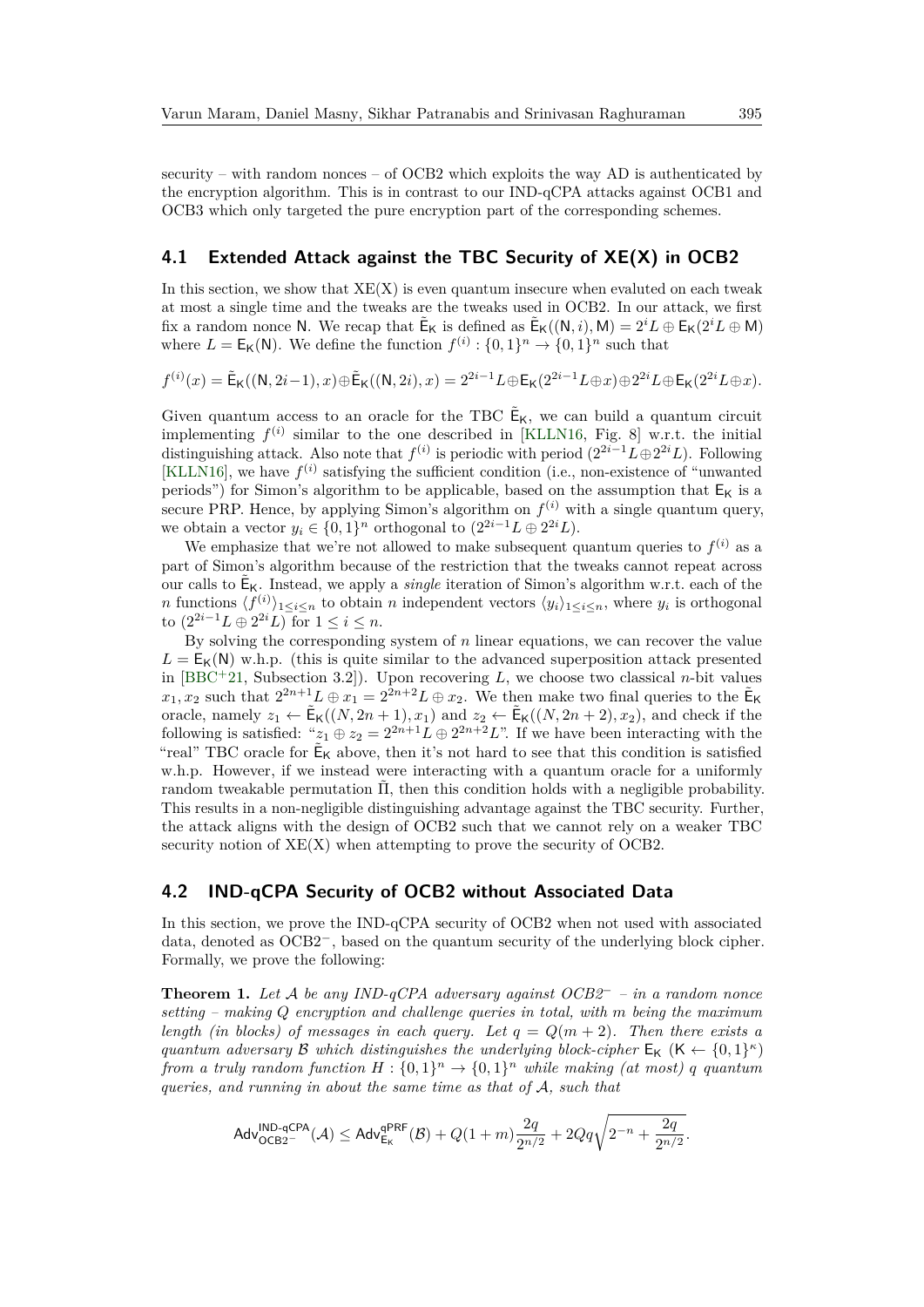security – with random nonces – of OCB2 which exploits the way AD is authenticated by the encryption algorithm. This is in contrast to our IND-qCPA attacks against OCB1 and OCB3 which only targeted the pure encryption part of the corresponding schemes.

#### <span id="page-16-0"></span>**4.1 Extended Attack against the TBC Security of XE(X) in OCB2**

In this section, we show that  $XE(X)$  is even quantum insecure when evaluted on each tweak at most a single time and the tweaks are the tweaks used in OCB2. In our attack, we first fix a random nonce N. We recap that  $\tilde{\mathsf{E}}_{\mathsf{K}}$  is defined as  $\tilde{\mathsf{E}}_{\mathsf{K}}((\mathsf{N},i),\mathsf{M}) = 2^i L \oplus \mathsf{E}_{\mathsf{K}}(2^i L \oplus \mathsf{M})$ where  $L = \mathsf{E}_{\mathsf{K}}(\mathsf{N})$ . We define the function  $f^{(i)} : \{0,1\}^n \to \{0,1\}^n$  such that

$$
f^{(i)}(x)=\tilde{\mathsf{E}}_\mathsf{K}((\mathsf{N}, 2i-1), x)\oplus \tilde{\mathsf{E}}_\mathsf{K}((\mathsf{N}, 2i), x)=2^{2i-1}L\oplus \mathsf{E}_\mathsf{K}(2^{2i-1}L\oplus x)\oplus 2^{2i}L\oplus \mathsf{E}_\mathsf{K}(2^{2i}L\oplus x).
$$

Given quantum access to an oracle for the TBC  $\tilde{\mathsf{E}}_{\mathsf{K}}$ , we can build a quantum circuit implementing  $f^{(i)}$  similar to the one described in [\[KLLN16,](#page-34-4) Fig. 8] w.r.t. the initial distinguishing attack. Also note that  $f^{(i)}$  is periodic with period  $(2^{2i-1}L\oplus 2^{2i}L)$ . Following [\[KLLN16\]](#page-34-4), we have  $f^{(i)}$  satisfying the sufficient condition (i.e., non-existence of "unwanted") periods") for Simon's algorithm to be applicable, based on the assumption that  $E_K$  is a secure PRP. Hence, by applying Simon's algorithm on  $f^{(i)}$  with a single quantum query, we obtain a vector  $y_i \in \{0,1\}^n$  orthogonal to  $(2^{2i-1}L \oplus 2^{2i}L)$ .

We emphasize that we're not allowed to make subsequent quantum queries to  $f^{(i)}$  as a part of Simon's algorithm because of the restriction that the tweaks cannot repeat across our calls to  $\tilde{\mathsf{E}}_{\mathsf{K}}$ . Instead, we apply a *single* iteration of Simon's algorithm w.r.t. each of the *n* functions  $\langle f^{(i)} \rangle_{1 \le i \le n}$  to obtain *n* independent vectors  $\langle y_i \rangle_{1 \le i \le n}$ , where  $y_i$  is orthogonal to  $(2^{2i-1}L \oplus 2^{2i}L)$  for  $1 \le i \le n$ .

By solving the corresponding system of *n* linear equations, we can recover the value  $L = E_K(N)$  w.h.p. (this is quite similar to the advanced superposition attack presented in [\[BBC](#page-32-9)<sup>+</sup>21, Subsection 3.2]). Upon recovering *L*, we choose two classical *n*-bit values  $x_1, x_2$  such that  $2^{2n+1}L \oplus x_1 = 2^{2n+2}L \oplus x_2$ . We then make two final queries to the  $\tilde{\mathsf{E}}_{\mathsf{K}}$ oracle, namely  $z_1 \leftarrow \tilde{\mathsf{E}}_{\mathsf{K}}((N, 2n+1), x_1)$  and  $z_2 \leftarrow \tilde{\mathsf{E}}_{\mathsf{K}}((N, 2n+2), x_2)$ , and check if the following is satisfied: " $z_1 \oplus z_2 = 2^{2n+1}L \oplus 2^{2n+2}L$ ". If we have been interacting with the "real" TBC oracle for  $\tilde{\mathsf{E}}_K$  above, then it's not hard to see that this condition is satisfied w.h.p. However, if we instead were interacting with a quantum oracle for a uniformly random tweakable permutation  $\tilde{\Pi}$ , then this condition holds with a negligible probability. This results in a non-negligible distinguishing advantage against the TBC security. Further, the attack aligns with the design of OCB2 such that we cannot rely on a weaker TBC security notion of  $XE(X)$  when attempting to prove the security of OCB2.

#### <span id="page-16-1"></span>**4.2 IND-qCPA Security of OCB2 without Associated Data**

In this section, we prove the IND-qCPA security of OCB2 when not used with associated data, denoted as OCB2<sup>−</sup>, based on the quantum security of the underlying block cipher. Formally, we prove the following:

<span id="page-16-2"></span>**Theorem 1.** *Let* A *be any IND-qCPA adversary against OCB2*<sup>−</sup> *– in a random nonce setting – making Q encryption and challenge queries in total, with m being the maximum length (in blocks) of messages in each query. Let*  $q = Q(m + 2)$ *. Then there exists a quantum adversary*  $\mathcal{B}$  *which distinguishes the underlying block-cipher*  $E_K$  ( $K \leftarrow \{0,1\}^{\kappa}$ ) *from a truly random function*  $H: \{0,1\}^n \to \{0,1\}^n$  *while making (at most) q quantum queries, and running in about the same time as that of* A*, such that*

$$
\mathsf{Adv}_{\mathsf{OCB2}^-}^{\mathsf{IND}\text{-}\mathsf{qCPA}}(\mathcal{A}) \leq \mathsf{Adv}_{\mathsf{E_K}}^{\mathsf{qPRF}}(\mathcal{B}) + Q(1+m)\frac{2q}{2^{n/2}} + 2Qq\sqrt{2^{-n} + \frac{2q}{2^{n/2}}}.
$$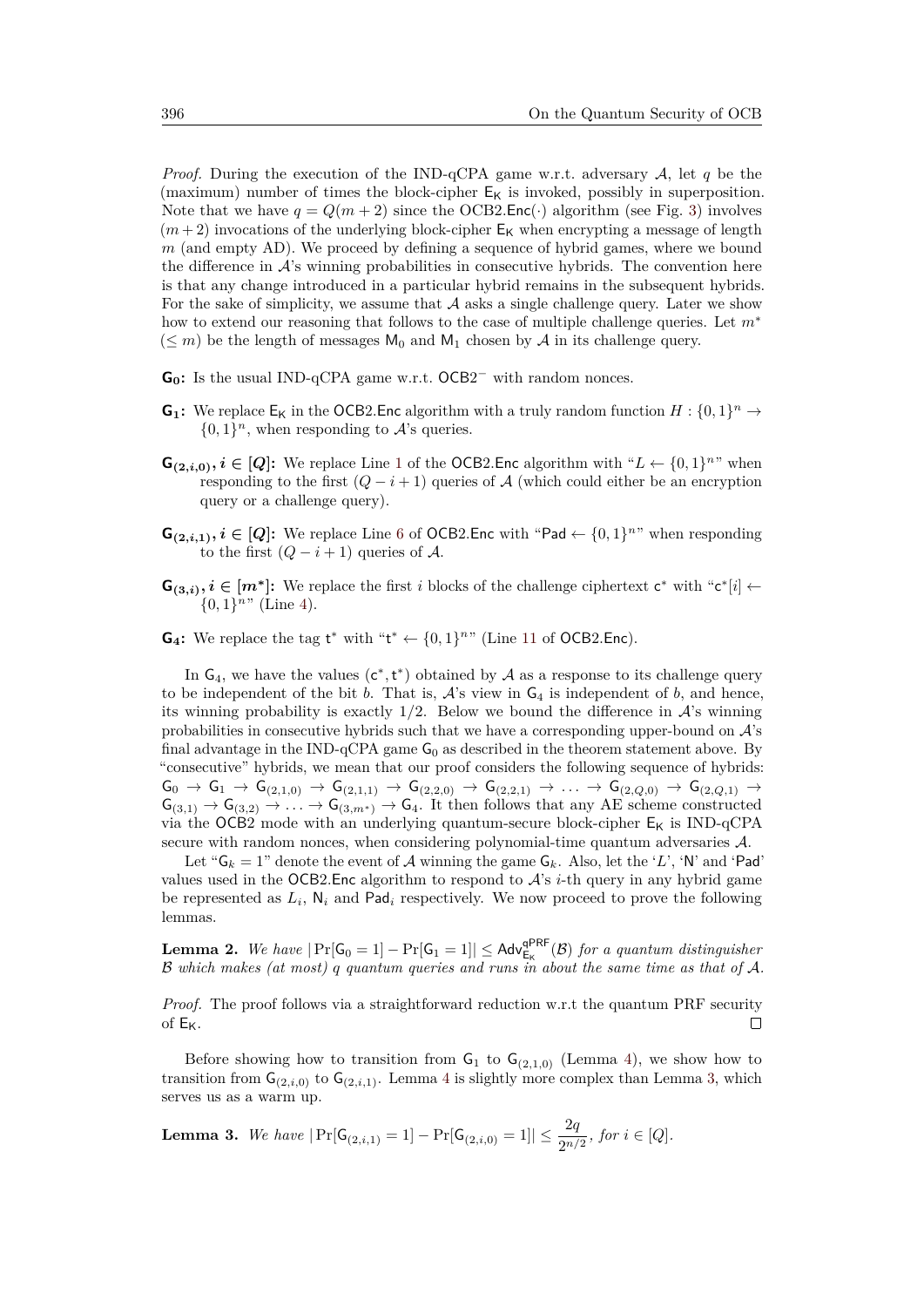*Proof.* During the execution of the IND-qCPA game w.r.t. adversary A, let *q* be the (maximum) number of times the block-cipher  $E_K$  is invoked, possibly in superposition. Note that we have  $q = Q(m + 2)$  since the OCB2.Enc(·) algorithm (see Fig. [3\)](#page-14-3) involves  $(m+2)$  invocations of the underlying block-cipher  $E_K$  when encrypting a message of length *m* (and empty AD). We proceed by defining a sequence of hybrid games, where we bound the difference in  $\mathcal{A}$ 's winning probabilities in consecutive hybrids. The convention here is that any change introduced in a particular hybrid remains in the subsequent hybrids. For the sake of simplicity, we assume that  $A$  asks a single challenge query. Later we show how to extend our reasoning that follows to the case of multiple challenge queries. Let *m*<sup>∗</sup>  $(\leq m)$  be the length of messages  $M_0$  and  $M_1$  chosen by A in its challenge query.

- $G_0$ : Is the usual IND-qCPA game w.r.t.  $OCB2^-$  with random nonces.
- **G**<sub>1</sub>: We replace  $E_K$  in the OCB2. Enc algorithm with a truly random function  $H: \{0,1\}^n \to$  $\{0,1\}^n$ , when responding to  $\mathcal{A}$ 's queries.
- $\mathbf{G}_{(2,i,0)}, i \in [Q]$ : We replace Line [1](#page-14-6) of the OCB2. Enc algorithm with " $L \leftarrow \{0,1\}^{n}$ " when responding to the first  $(Q - i + 1)$  queries of A (which could either be an encryption query or a challenge query).
- **G**<sub>(2,*i*,1)</sub>, *i* ∈ [*Q*]: We replace Line [6](#page-14-1) of OCB2.Enc with "Pad ← {0,1}<sup>n"</sup> when responding to the first  $(Q - i + 1)$  queries of A.
- **G**<sub>(3,*i*)</sub>, *i* ∈ [*m*<sup>\*</sup>]: We replace the first *i* blocks of the challenge ciphertext  $c^*$  with " $c^*[i]$  ←  $\{0,1\}$ <sup>n</sup>" (Line [4\)](#page-14-4).
- **G<sub>4</sub>**: We replace the tag  $t^*$  with " $t^* \leftarrow \{0, 1\}^n$ " (Line [11](#page-14-5) of OCB2.Enc).

In  $G_4$ , we have the values  $(c^*, t^*)$  obtained by A as a response to its challenge query to be independent of the bit  $b$ . That is,  $A$ 's view in  $G_4$  is independent of  $b$ , and hence, its winning probability is exactly  $1/2$ . Below we bound the difference in  $\mathcal{A}$ 's winning probabilities in consecutive hybrids such that we have a corresponding upper-bound on  $\mathcal{A}$ 's final advantage in the IND-qCPA game  $G_0$  as described in the theorem statement above. By "consecutive" hybrids, we mean that our proof considers the following sequence of hybrids:  $G_0 \rightarrow G_1 \rightarrow G_{(2,1,0)} \rightarrow G_{(2,1,1)} \rightarrow G_{(2,2,0)} \rightarrow G_{(2,2,1)} \rightarrow \ldots \rightarrow G_{(2,Q,0)} \rightarrow G_{(2,Q,1)} \rightarrow$  $\mathsf{G}_{(3,1)} \to \mathsf{G}_{(3,2)} \to \ldots \to \mathsf{G}_{(3,m^*)} \to \mathsf{G}_4$ . It then follows that any AE scheme constructed via the OCB2 mode with an underlying quantum-secure block-cipher  $E_K$  is IND-qCPA secure with random nonces, when considering polynomial-time quantum adversaries A.

Let " $G_k = 1$ " denote the event of A winning the game  $G_k$ . Also, let the 'L', 'N' and 'Pad' values used in the OCB2.Enc algorithm to respond to  $A$ 's *i*-th query in any hybrid game be represented as  $L_i$ ,  $N_i$  and Pad<sub>i</sub> respectively. We now proceed to prove the following lemmas.

**Lemma 2.** We have  $|\Pr[\mathsf{G}_0 = 1] - \Pr[\mathsf{G}_1 = 1]| \leq \mathsf{Adv}_{\mathsf{E}_{\mathsf{K}}}^{\mathsf{qPRF}}(\mathcal{B})$  for a quantum distinguisher B *which makes (at most) q quantum queries and runs in about the same time as that of* A*.*

*Proof.* The proof follows via a straightforward reduction w.r.t the quantum PRF security of  $E_K$ . П

Before showing how to transition from  $G_1$  to  $G_{(2,1,0)}$  (Lemma [4\)](#page-19-0), we show how to transition from  $\mathsf{G}_{(2,i,0)}$  to  $\mathsf{G}_{(2,i,1)}$ . Lemma [4](#page-19-0) is slightly more complex than Lemma [3,](#page-17-0) which serves us as a warm up.

<span id="page-17-0"></span>**Lemma 3.** We have 
$$
|\Pr[\mathsf{G}_{(2,i,1)} = 1] - \Pr[\mathsf{G}_{(2,i,0)} = 1]| \leq \frac{2q}{2^{n/2}}
$$
, for  $i \in [Q]$ .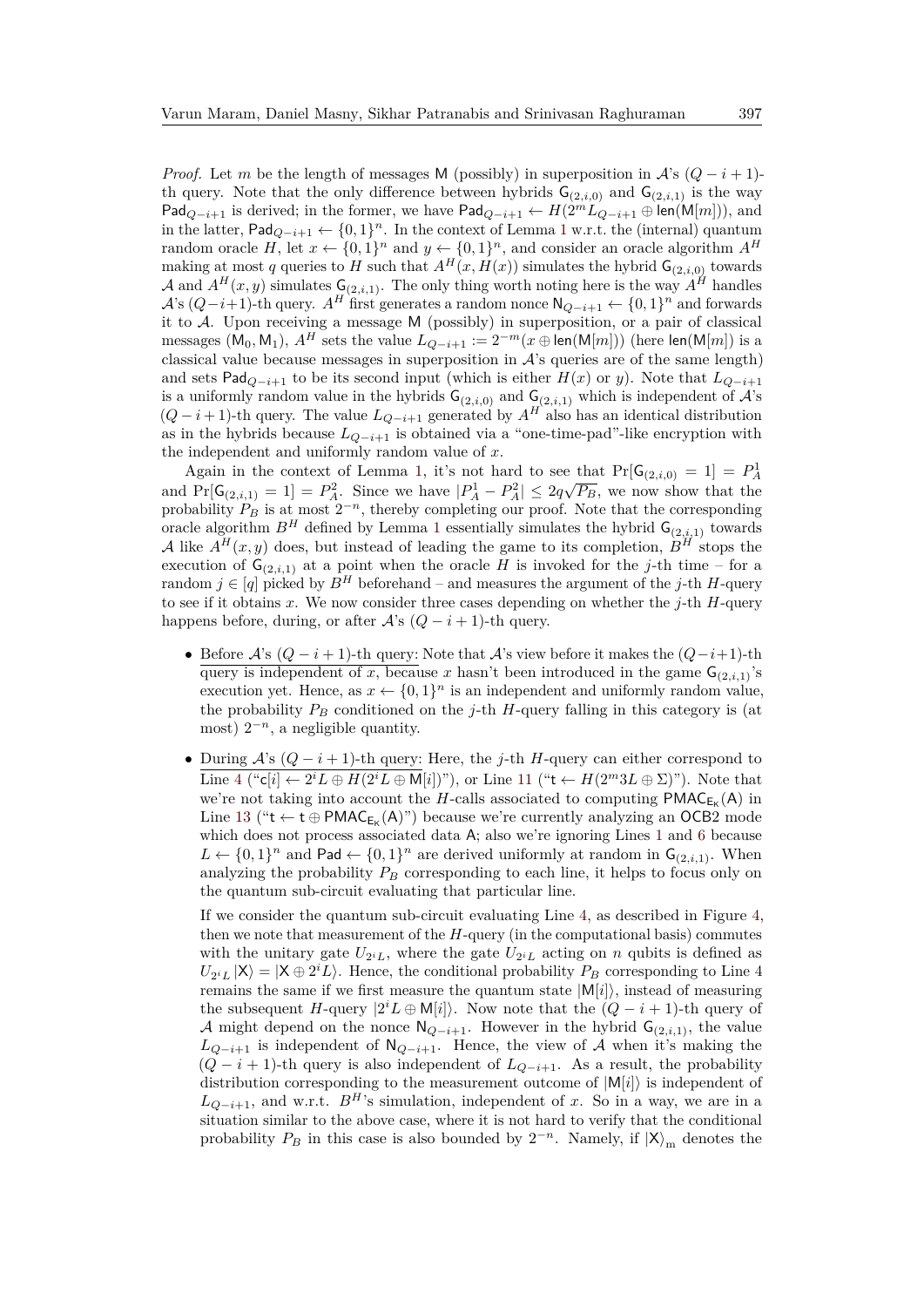*Proof.* Let *m* be the length of messages M (possibly) in superposition in  $\mathcal{A}$ 's ( $Q - i + 1$ )th query. Note that the only difference between hybrids  $G_{(2,i,0)}$  and  $G_{(2,i,1)}$  is the way Pad<sub>*Q*−*i*+1</sub> is derived; in the former, we have Pad<sub>*Q*−*i*+1</sub> ←  $H(2^m L_{Q-i+1} \oplus \text{len}(M[m]))$ , and in the latter,  $\mathsf{Pad}_{Q-i+1} \leftarrow \{0,1\}^n$  $\mathsf{Pad}_{Q-i+1} \leftarrow \{0,1\}^n$  $\mathsf{Pad}_{Q-i+1} \leftarrow \{0,1\}^n$ . In the context of Lemma 1 w.r.t. the (internal) quantum random oracle *H*, let  $x \leftarrow \{0,1\}^n$  and  $y \leftarrow \{0,1\}^n$ , and consider an oracle algorithm  $A^H$ making at most *q* queries to *H* such that  $A^H(x, H(x))$  simulates the hybrid  $G_{(2,i,0)}$  towards A and  $A^H(x, y)$  simulates  $\mathsf{G}_{(2,i,1)}$ . The only thing worth noting here is the way  $A^H$  handles  $\mathcal{A}$ 's ( $Q-i+1$ )-th query.  $A^H$  first generates a random nonce  $\mathsf{N}_{Q-i+1} \leftarrow \{0,1\}^n$  and forwards it to A. Upon receiving a message M (possibly) in superposition, or a pair of classical messages (M<sub>0</sub>, M<sub>1</sub>),  $A^H$  sets the value  $L_{Q-i+1} := 2^{-m}(x \oplus \text{len}(M[m]))$  (here  $\text{len}(M[m])$ ) is a classical value because messages in superposition in  $A$ 's queries are of the same length) and sets Pad<sub>*Q*−*i*+1</sub> to be its second input (which is either  $H(x)$  or *y*). Note that  $L_{Q-i+1}$ is a uniformly random value in the hybrids  $G_{(2,i,0)}$  and  $G_{(2,i,1)}$  which is independent of  $\mathcal{A}$ 's  $(Q - i + 1)$ -th query. The value  $L_{Q-i+1}$  generated by  $A<sup>H</sup>$  also has an identical distribution as in the hybrids because  $L_{Q-i+1}$  is obtained via a "one-time-pad"-like encryption with the independent and uniformly random value of *x*.

Again in the context of Lemma [1,](#page-9-0) it's not hard to see that  $Pr[G_{(2,i,0)} = 1] = P_A^1$  $\Pr[\mathsf{G}_{(2,i,1)} = 1] = P_A^2$ . Since we have  $|P_A^1 - P_A^2| \leq 2q\sqrt{P_B}$ , we now show that the probability  $P_B$  is at most  $2^{-n}$ , thereby completing our proof. Note that the corresponding oracle algorithm  $B^H$  defined by Lemma [1](#page-9-0) essentially simulates the hybrid  $\mathsf{G}_{(2,i,1)}$  towards A like  $A^H(x, y)$  does, but instead of leading the game to its completion,  $B^H$  stops the execution of  $G_{(2,i,1)}$  at a point when the oracle *H* is invoked for the *j*-th time – for a random  $j \in [q]$  picked by  $B^H$  beforehand – and measures the argument of the *j*-th *H*-query to see if it obtains *x*. We now consider three cases depending on whether the *j*-th *H*-query happens before, during, or after  $A$ 's  $(Q - i + 1)$ -th query.

- Before  $\mathcal{A}$ 's  $(Q i + 1)$ -th query: Note that  $\mathcal{A}$ 's view before it makes the  $(Q i + 1)$ -th query is independent of *x*, because *x* hasn't been introduced in the game  $G_{(2,i,1)}$ 's execution yet. Hence, as  $x \leftarrow \{0,1\}^n$  is an independent and uniformly random value, the probability  $P_B$  conditioned on the *j*-th *H*-query falling in this category is (at most)  $2^{-n}$ , a negligible quantity.
- During A's (*Q* − *i* + 1)-th query: Here, the *j*-th *H*-query can either correspond to Line [4](#page-14-4) (" $c[i] \leftarrow 2^{i}L \oplus H(2^{i}L \oplus M[i])$ "), or Line [11](#page-14-5) (" $t \leftarrow H(2^{m}3L \oplus \Sigma)$ "). Note that we're not taking into account the *H*-calls associated to computing  $PMAC_{E_K}(A)$  in Line [13](#page-14-7) (" $t \leftarrow t \oplus \text{PMAC}_{E_K}(A)$ ") because we're currently analyzing an OCB2 mode which does not process associated data A; also we're ignoring Lines [1](#page-14-6) and [6](#page-14-1) because  $L \leftarrow \{0,1\}^n$  and Pad  $\leftarrow \{0,1\}^n$  are derived uniformly at random in  $\mathsf{G}_{(2,i,1)}$ . When analyzing the probability  $P_B$  corresponding to each line, it helps to focus only on the quantum sub-circuit evaluating that particular line.

If we consider the quantum sub-circuit evaluating Line [4,](#page-14-4) as described in Figure [4,](#page-19-1) then we note that measurement of the *H*-query (in the computational basis) commutes with the unitary gate  $U_{2^iL}$ , where the gate  $U_{2^iL}$  acting on *n* qubits is defined as  $U_{2^iL} |X\rangle = |X \oplus 2^iL\rangle$ . Hence, the conditional probability  $P_B$  corresponding to Line 4 remains the same if we first measure the quantum state  $|M[i]\rangle$ , instead of measuring the subsequent *H*-query  $|2^{i} L \oplus M[i]$ . Now note that the  $(Q - i + 1)$ -th query of A might depend on the nonce  $\mathsf{N}_{Q-i+1}$ . However in the hybrid  $\mathsf{G}_{(2,i,1)}$ , the value *L*<sub>*Q*−*i*+1</sub> is independent of  $N_{Q-i+1}$ . Hence, the view of A when it's making the  $(Q - i + 1)$ -th query is also independent of  $L_{Q-i+1}$ . As a result, the probability distribution corresponding to the measurement outcome of  $|M[i]\rangle$  is independent of  $L_{Q-i+1}$ , and w.r.t. *B<sup>H*</sup>'s simulation, independent of *x*. So in a way, we are in a situation similar to the above case, where it is not hard to verify that the conditional probability  $P_B$  in this case is also bounded by  $2^{-n}$ . Namely, if  $|X\rangle_m$  denotes the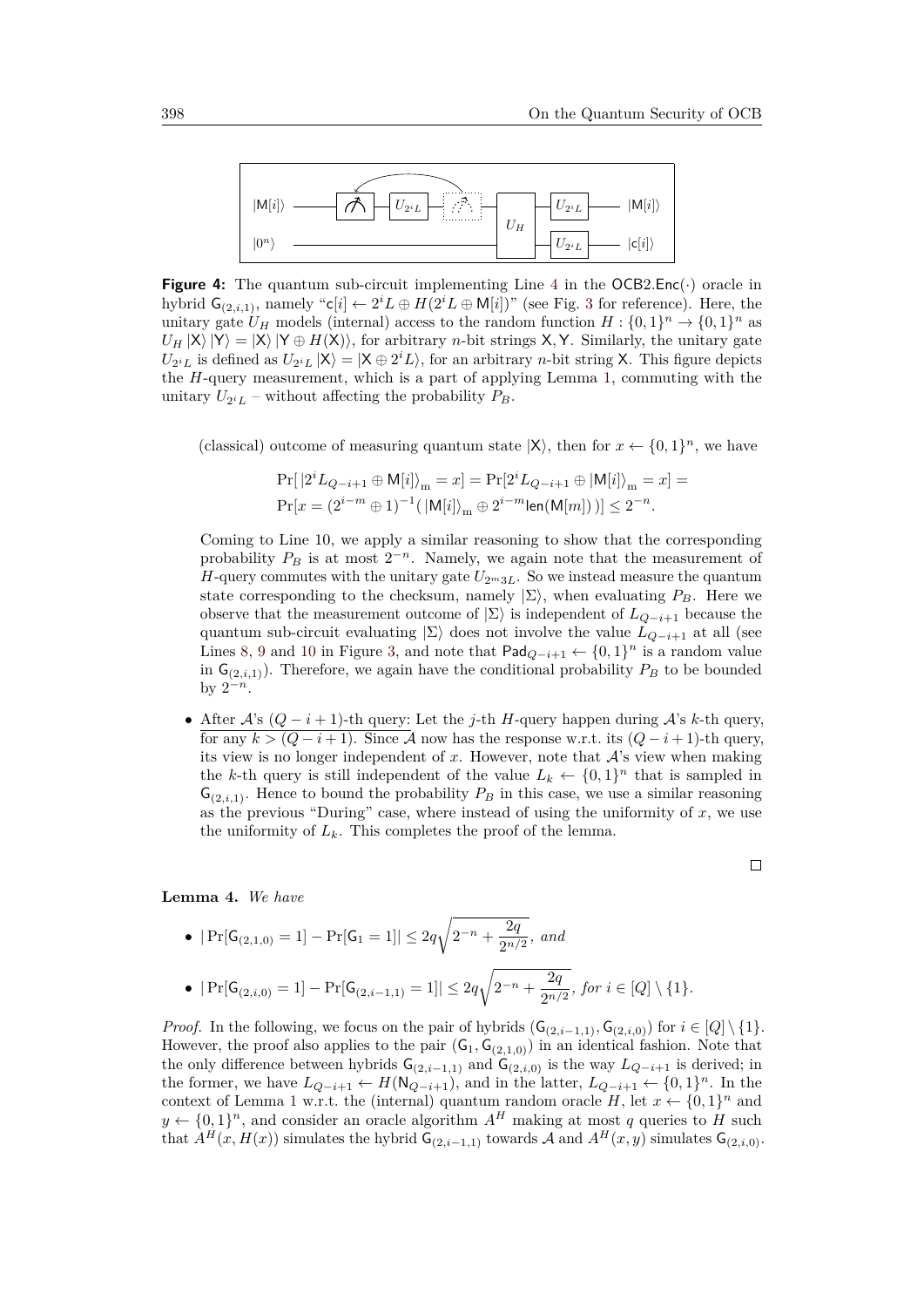<span id="page-19-1"></span>

**Figure [4](#page-14-4):** The quantum sub-circuit implementing Line 4 in the  $OCB2$ . Enc( $\cdot$ ) oracle in hybrid  $\mathsf{G}_{(2,i,1)}$ , namely " $\mathsf{c}[i] \leftarrow 2^i L \oplus H(2^i L \oplus \mathsf{M}[i])$ " (see Fig. [3](#page-14-3) for reference). Here, the unitary gate  $U_H$  models (internal) access to the random function  $H: \{0,1\}^n \to \{0,1\}^n$  as  $U_H$  |X $\rangle$  |Y  $\rangle =$  |X $\rangle$  |Y  $\oplus$  *H*(X)), for arbitrary *n*-bit strings X,Y. Similarly, the unitary gate  $U_{2^iL}$  is defined as  $U_{2^iL} |X\rangle = |X \oplus 2^iL\rangle$ , for an arbitrary *n*-bit string X. This figure depicts the *H*-query measurement, which is a part of applying Lemma [1,](#page-9-0) commuting with the unitary  $U_{2^iL}$  – without affecting the probability  $P_B$ .

(classical) outcome of measuring quantum state  $|X\rangle$ , then for  $x \leftarrow \{0,1\}^n$ , we have

$$
\Pr[\,\vert 2^iL_{Q-i+1}\oplus \mathsf{M}[i]\rangle_{\mathsf{m}}=x]=\Pr[2^iL_{Q-i+1}\oplus \vert \mathsf{M}[i]\rangle_{\mathsf{m}}=x]=\\\Pr[x=(2^{i-m}\oplus 1)^{-1}(\,\vert \mathsf{M}[i]\rangle_{\mathsf{m}}\oplus 2^{i-m}\mathsf{len}(\mathsf{M}[m]))\,]\le 2^{-n}.
$$

Coming to Line 10, we apply a similar reasoning to show that the corresponding probability  $P_B$  is at most  $2^{-n}$ . Namely, we again note that the measurement of *H*-query commutes with the unitary gate  $U_{2m3L}$ . So we instead measure the quantum state corresponding to the checksum, namely  $|\Sigma\rangle$ , when evaluating  $P_B$ . Here we observe that the measurement outcome of  $|\Sigma\rangle$  is independent of  $L_{Q-i+1}$  because the quantum sub-circuit evaluating  $|\Sigma\rangle$  does not involve the value  $L_{Q-i+1}$  at all (see Lines [8,](#page-14-8) [9](#page-14-9) and [10](#page-14-10) in Figure [3,](#page-14-3) and note that  $\text{Pad}_{Q-i+1}$  ←  $\{0,1\}$ <sup>n</sup> is a random value in  $G_{(2,i,1)}$ ). Therefore, we again have the conditional probability  $P_B$  to be bounded by  $2^{-n}$ .

• After A's (*Q* − *i* + 1)-th query: Let the *j*-th *H*-query happen during A's *k*-th query, for any  $k > (Q - i + 1)$ . Since A now has the response w.r.t. its  $(Q - i + 1)$ -th query, its view is no longer independent of  $x$ . However, note that  $A$ 's view when making the *k*-th query is still independent of the value  $L_k \leftarrow \{0,1\}^n$  that is sampled in  $G_{(2,i,1)}$ . Hence to bound the probability  $P_B$  in this case, we use a similar reasoning as the previous "During" case, where instead of using the uniformity of *x*, we use the uniformity of  $L_k$ . This completes the proof of the lemma.

#### <span id="page-19-0"></span>**Lemma 4.** *We have*

• 
$$
|\Pr[G_{(2,1,0)} = 1] - \Pr[G_1 = 1]| \leq 2q\sqrt{2^{-n} + \frac{2q}{2^{n/2}}}, \text{ and}
$$

• 
$$
|\Pr[G_{(2,i,0)} = 1] - \Pr[G_{(2,i-1,1)} = 1]| \leq 2q\sqrt{2^{-n} + \frac{2q}{2^{n/2}}}, \text{ for } i \in [Q] \setminus \{1\}.
$$

*Proof.* In the following, we focus on the pair of hybrids  $(G_{(2,i-1,1)}, G_{(2,i,0)})$  for  $i \in [Q] \setminus \{1\}$ . However, the proof also applies to the pair  $(G_1, G_{(2,1,0)})$  in an identical fashion. Note that the only difference between hybrids  $G_{(2,i-1,1)}$  and  $G_{(2,i,0)}$  is the way  $L_{Q-i+1}$  is derived; in the former, we have  $L_{Q-i+1} \leftarrow H(\mathsf{N}_{Q-i+1})$ , and in the latter,  $L_{Q-i+1} \leftarrow \{0,1\}^n$ . In the context of Lemma [1](#page-9-0) w.r.t. the (internal) quantum random oracle  $H$ , let  $x \leftarrow \{0,1\}^n$  and  $y \leftarrow \{0,1\}^n$ , and consider an oracle algorithm  $A^H$  making at most *q* queries to *H* such that  $A^H(x, H(x))$  simulates the hybrid  $G_{(2,i-1,1)}$  towards A and  $A^H(x, y)$  simulates  $G_{(2,i,0)}$ .

 $\Box$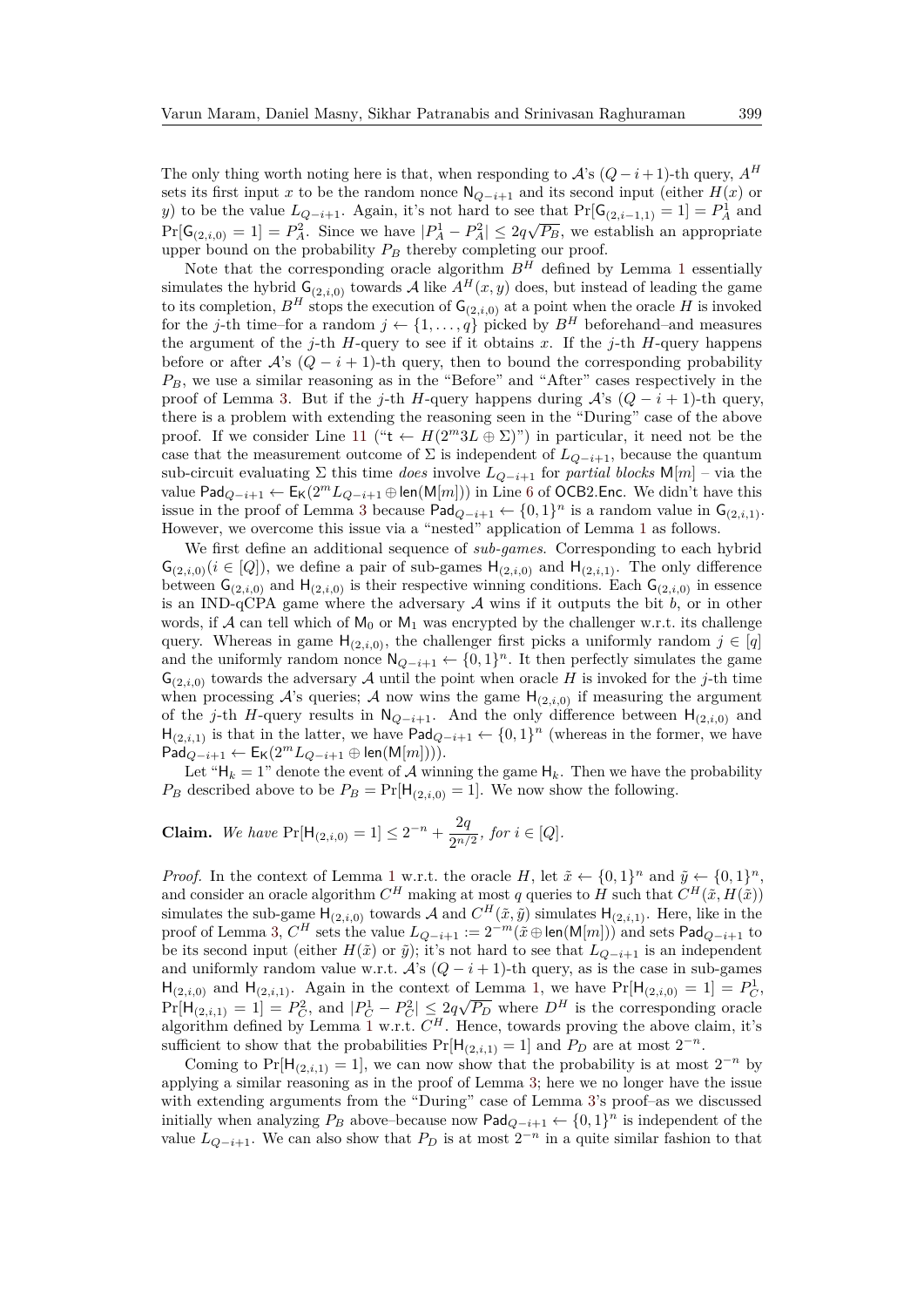The only thing worth noting here is that, when responding to  $\mathcal{A}$ 's  $(Q - i + 1)$ -th query,  $A^H$ sets its first input *x* to be the random nonce  $N_{Q-i+1}$  and its second input (either *H(x)* or *y*) to be the value  $L_{Q-i+1}$ . Again, it's not hard to see that  $Pr[G_{(2,i-1,1)} = 1] = P_A^1$  and  $Pr[\mathsf{G}_{(2,i,0)} = 1] = P_A^2$ . Since we have  $|P_A^1 - P_A^2| \leq 2q\sqrt{P_B}$ , we establish an appropriate upper bound on the probability  $P_B$  thereby completing our proof.

Note that the corresponding oracle algorithm  $B^H$  defined by Lemma [1](#page-9-0) essentially simulates the hybrid  $G_{(2,i,0)}$  towards A like  $A^H(x, y)$  does, but instead of leading the game to its completion,  $B^H$  stops the execution of  $\mathsf{G}_{(2,i,0)}$  at a point when the oracle *H* is invoked for the *j*-th time–for a random  $j \leftarrow \{1, \ldots, q\}$  picked by  $B^H$  beforehand–and measures the argument of the  $j$ -th *H*-query to see if it obtains x. If the  $j$ -th *H*-query happens before or after  $\mathcal{A}$ 's  $(Q - i + 1)$ -th query, then to bound the corresponding probability *PB*, we use a similar reasoning as in the "Before" and "After" cases respectively in the proof of Lemma [3.](#page-17-0) But if the *j*-th *H*-query happens during  $\mathcal{A}$ 's  $(Q - i + 1)$ -th query, there is a problem with extending the reasoning seen in the "During" case of the above proof. If we consider Line [11](#page-14-5) (" $t \leftarrow H(2^m 3L \oplus \Sigma)$ ") in particular, it need not be the case that the measurement outcome of  $\Sigma$  is independent of  $L_{Q-i+1}$ , because the quantum sub-circuit evaluating  $\Sigma$  this time *does* involve  $L_{Q-i+1}$  for *partial blocks* M[*m*] – via the value Pad<sub>*Q*−*i*+1</sub> ←  $E_K(2^m L_{Q-i+1} \oplus \text{len}(M[m]))$  in Line [6](#page-14-1) of OCB2. Enc. We didn't have this issue in the proof of Lemma [3](#page-17-0) because  $\text{Pad}_{Q-i+1}$  ←  $\{0,1\}^n$  is a random value in  $\mathsf{G}_{(2,i,1)}$ . However, we overcome this issue via a "nested" application of Lemma [1](#page-9-0) as follows.

We first define an additional sequence of *sub-games*. Corresponding to each hybrid  $\mathsf{G}_{(2,i,0)}(i \in [Q])$ , we define a pair of sub-games  $\mathsf{H}_{(2,i,0)}$  and  $\mathsf{H}_{(2,i,1)}$ . The only difference between  $\mathsf{G}_{(2,i,0)}$  and  $\mathsf{H}_{(2,i,0)}$  is their respective winning conditions. Each  $\mathsf{G}_{(2,i,0)}$  in essence is an IND-qCPA game where the adversary  $A$  wins if it outputs the bit  $b$ , or in other words, if A can tell which of  $M_0$  or  $M_1$  was encrypted by the challenger w.r.t. its challenge query. Whereas in game  $H_{(2,i,0)}$ , the challenger first picks a uniformly random  $j \in [q]$ and the uniformly random nonce  $\mathsf{N}_{Q-i+1} \leftarrow \{0,1\}^n$ . It then perfectly simulates the game  $G_{(2,i)}$  towards the adversary A until the point when oracle H is invoked for the *j*-th time when processing  $\mathcal{A}$ 's queries;  $\mathcal{A}$  now wins the game  $H_{(2,i,0)}$  if measuring the argument of the *j*-th *H*-query results in  $N_{Q-i+1}$ . And the only difference between  $H_{(2,i,0)}$  and  $H_{(2,i,1)}$  is that in the latter, we have Pad $_{Q-i+1} \leftarrow \{0,1\}^n$  (whereas in the former, we have  $\mathsf{Pad}_{Q-i+1}$  ←  $\mathsf{E}_{\mathsf{K}}(2^m L_{Q-i+1} \oplus \mathsf{len}(\mathsf{M}[m]))$ .

Let " $H_k = 1$ " denote the event of A winning the game  $H_k$ . Then we have the probability  $P_B$  described above to be  $P_B = Pr[H_{(2,i,0)} = 1]$ . We now show the following.

**Claim.** We have 
$$
Pr[H_{(2,i,0)} = 1] \leq 2^{-n} + \frac{2q}{2^{n/2}}
$$
, for  $i \in [Q]$ .

*Proof.* In the context of Lemma [1](#page-9-0) w.r.t. the oracle *H*, let  $\tilde{x} \leftarrow \{0,1\}^n$  and  $\tilde{y} \leftarrow \{0,1\}^n$ , and consider an oracle algorithm  $C^H$  making at most *q* queries to *H* such that  $C^H(\tilde{x}, H(\tilde{x}))$ simulates the sub-game  $H_{(2,i,0)}$  towards A and  $C^H(\tilde{x}, \tilde{y})$  simulates  $H_{(2,i,1)}$ . Here, like in the proof of Lemma [3,](#page-17-0)  $C^H$  sets the value  $L_{Q-i+1} := 2^{-m}(\tilde{x} \oplus \textsf{len}(\mathsf{M}[m]))$  and sets  $\textsf{Pad}_{Q-i+1}$  to be its second input (either  $H(\tilde{x})$  or  $\tilde{y}$ ); it's not hard to see that  $L_{Q-i+1}$  is an independent and uniformly random value w.r.t.  $\mathcal{A}$ 's  $(Q - i + 1)$ -th query, as is the case in sub-games  $H_{(2,i,0)}$  and  $H_{(2,i,1)}$ . Again in the context of Lemma [1,](#page-9-0) we have  $Pr[H_{(2,i,0)} = 1] = P_C^1$ ,  $Pr[\mathsf{H}_{(2,i,1)} = 1] = P_C^2$ , and  $|P_C^1 - P_C^2| \leq 2q\sqrt{P_D}$  where  $D^H$  is the corresponding oracle algorithm defined by Lemma [1](#page-9-0) w.r.t.  $C^H$ . Hence, towards proving the above claim, it's sufficient to show that the probabilities  $Pr[H_{(2,i,1)} = 1]$  and  $P_D$  are at most  $2^{-n}$ .

Coming to Pr[ $H_{(2,i,1)} = 1$ ], we can now show that the probability is at most  $2^{-n}$  by applying a similar reasoning as in the proof of Lemma [3;](#page-17-0) here we no longer have the issue with extending arguments from the "During" case of Lemma [3'](#page-17-0)s proof–as we discussed initially when analyzing  $P_B$  above–because now  $\textsf{Pad}_{Q-i+1} \leftarrow \{0,1\}^n$  is independent of the value  $L_{Q-i+1}$ . We can also show that  $P_D$  is at most  $2^{-n}$  in a quite similar fashion to that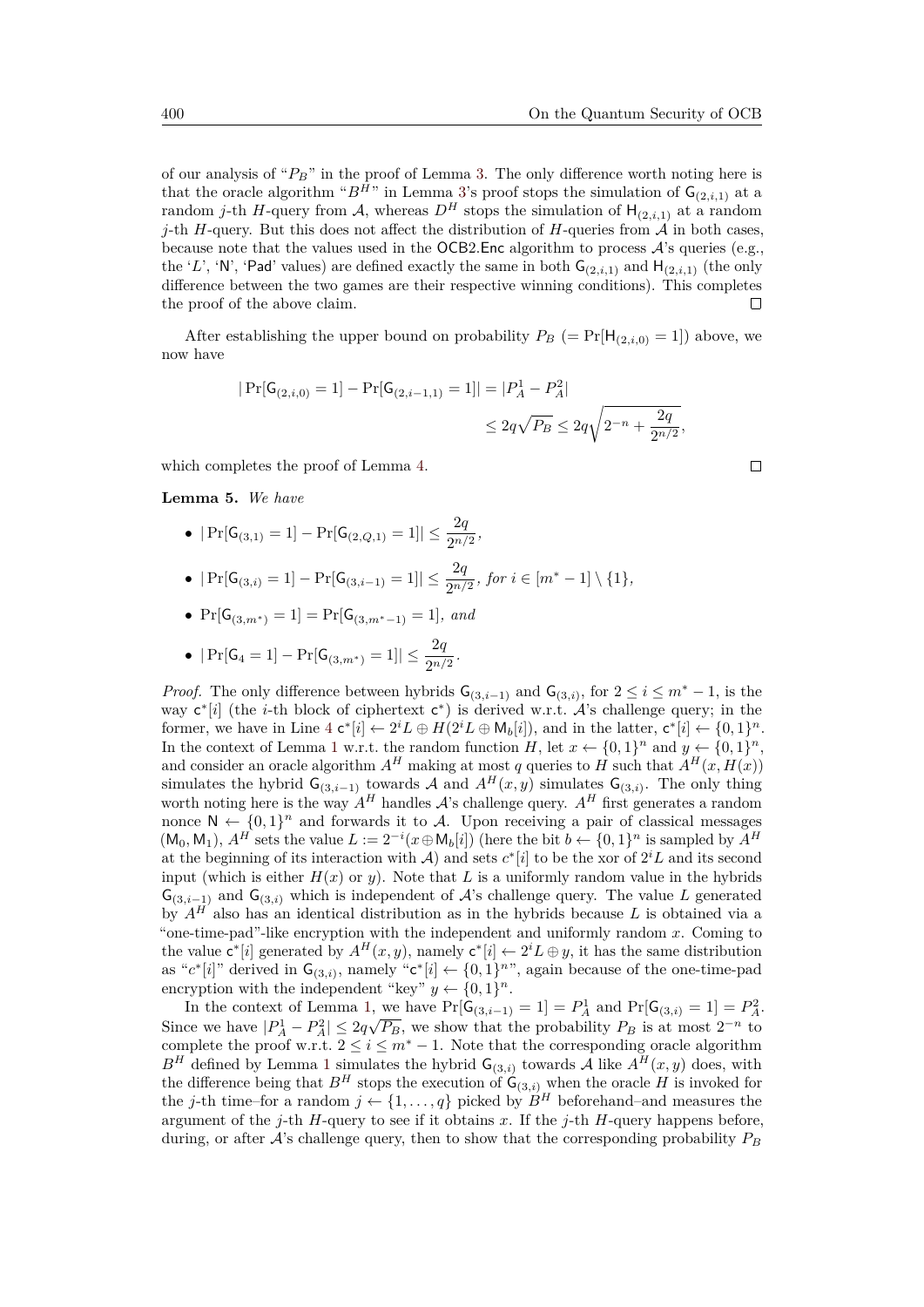of our analysis of "*PB*" in the proof of Lemma [3.](#page-17-0) The only difference worth noting here is that the oracle algorithm " $B^H$ " in Lemma [3'](#page-17-0)s proof stops the simulation of  $G_{(2,i,1)}$  at a random *j*-th *H*-query from A, whereas  $D^H$  stops the simulation of  $H_{(2,i,1)}$  at a random *j*-th *H*-query. But this does not affect the distribution of *H*-queries from  $\mathcal A$  in both cases, because note that the values used in the OCB2*.*Enc algorithm to process A's queries (e.g., the '*L*', 'N', 'Pad' values) are defined exactly the same in both  $G_{(2,i,1)}$  and  $H_{(2,i,1)}$  (the only difference between the two games are their respective winning conditions). This completes the proof of the above claim.

After establishing the upper bound on probability  $P_B$  (= Pr[H<sub>(2,*i,*0)</sub> = 1]) above, we now have

$$
\begin{aligned} |\Pr[\mathsf{G}_{(2,i,0)} = 1] - \Pr[\mathsf{G}_{(2,i-1,1)} = 1]| = |P_A^1 - P_A^2| \\ &\leq 2q\sqrt{P_B} \leq 2q\sqrt{2^{-n} + \frac{2q}{2^{n/2}}}, \end{aligned}
$$

which completes the proof of Lemma [4.](#page-19-0)

#### <span id="page-21-0"></span>**Lemma 5.** *We have*

- $|\Pr[G_{(3,1)} = 1] \Pr[G_{(2,Q,1)} = 1]| \leq \frac{2q}{2^{n/2}},$
- $|\Pr[G_{(3,i)} = 1] \Pr[G_{(3,i-1)} = 1]| \leq \frac{2q}{2^{n/2}}, \text{ for } i \in [m^* 1] \setminus \{1\},\$
- Pr[G(3*,m*∗) = 1] = Pr[G(3*,m*∗−1) = 1]*, and*

• 
$$
|\Pr[\mathsf{G}_4 = 1] - \Pr[\mathsf{G}_{(3,m^*)} = 1]| \leq \frac{2q}{2^{n/2}}.
$$

*Proof.* The only difference between hybrids  $G_{(3,i-1)}$  and  $G_{(3,i)}$ , for  $2 \leq i \leq m^* - 1$ , is the way c<sup>\*</sup>[i] (the *i*-th block of ciphertext c<sup>\*</sup>) is derived w.r.t. A's challenge query; in the former, we have in Line  $4 c^*[i] \leftarrow 2^i L \oplus H(2^i L \oplus M_b[i])$  $4 c^*[i] \leftarrow 2^i L \oplus H(2^i L \oplus M_b[i])$ , and in the latter,  $c^*[i] \leftarrow \{0,1\}^n$ . In the context of Lemma [1](#page-9-0) w.r.t. the random function *H*, let  $x \leftarrow \{0,1\}^n$  and  $y \leftarrow \{0,1\}^n$ , and consider an oracle algorithm  $A^H$  making at most *q* queries to  $H$  such that  $A^H(x, H(x))$ simulates the hybrid  $\mathsf{G}_{(3,i-1)}$  towards A and  $A^H(x, y)$  simulates  $\mathsf{G}_{(3,i)}$ . The only thing worth noting here is the way  $A^H$  handles  $A$ 's challenge query.  $A^H$  first generates a random nonce  $N \leftarrow \{0,1\}^n$  and forwards it to A. Upon receiving a pair of classical messages  $(M_0, M_1)$ ,  $A^H$  sets the value  $L := 2^{-i}(x \oplus M_b[i])$  (here the bit  $b \leftarrow \{0, 1\}^n$  is sampled by  $A^H$ at the beginning of its interaction with  $\mathcal{A}$ ) and sets  $c^*[i]$  to be the xor of  $2^i L$  and its second input (which is either  $H(x)$  or *y*). Note that *L* is a uniformly random value in the hybrids  $\mathsf{G}_{(3,i-1)}$  and  $\mathsf{G}_{(3,i)}$  which is independent of A's challenge query. The value L generated by *A<sup>H</sup>* also has an identical distribution as in the hybrids because *L* is obtained via a "one-time-pad"-like encryption with the independent and uniformly random *x*. Coming to the value  $\mathbf{c}^*[i]$  generated by  $A^H(x, y)$ , namely  $\mathbf{c}^*[i] \leftarrow 2^i L \oplus y$ , it has the same distribution as " $c^*[i]$ " derived in  $\mathsf{G}_{(3,i)}$ , namely " $c^*[i] \leftarrow \{0,1\}^n$ ", again because of the one-time-pad encryption with the independent "key"  $y \leftarrow \{0, 1\}^n$ .

In the context of Lemma [1,](#page-9-0) we have  $Pr[G_{(3,i-1)} = 1] = P_A^1$  and  $Pr[G_{(3,i)} = 1] = P_A^2$ . Since we have  $|P_A^1 - P_A^2| \le 2q\sqrt{P_B}$ , we show that the probability  $P_B$  is at most  $2^{-n}$  to complete the proof w.r.t.  $2 \leq i \leq m^* - 1$ . Note that the corresponding oracle algorithm  $B<sup>H</sup>$  defined by Lemma [1](#page-9-0) simulates the hybrid  $G_{(3,i)}$  towards A like  $A<sup>H</sup>(x, y)$  does, with the difference being that  $B^H$  stops the execution of  $G_{(3,i)}$  when the oracle *H* is invoked for the *j*-th time–for a random  $j \leftarrow \{1, ..., q\}$  picked by  $B^H$  beforehand–and measures the argument of the *j*-th *H*-query to see if it obtains *x*. If the *j*-th *H*-query happens before, during, or after  $A$ 's challenge query, then to show that the corresponding probability  $P_B$ 

 $\Box$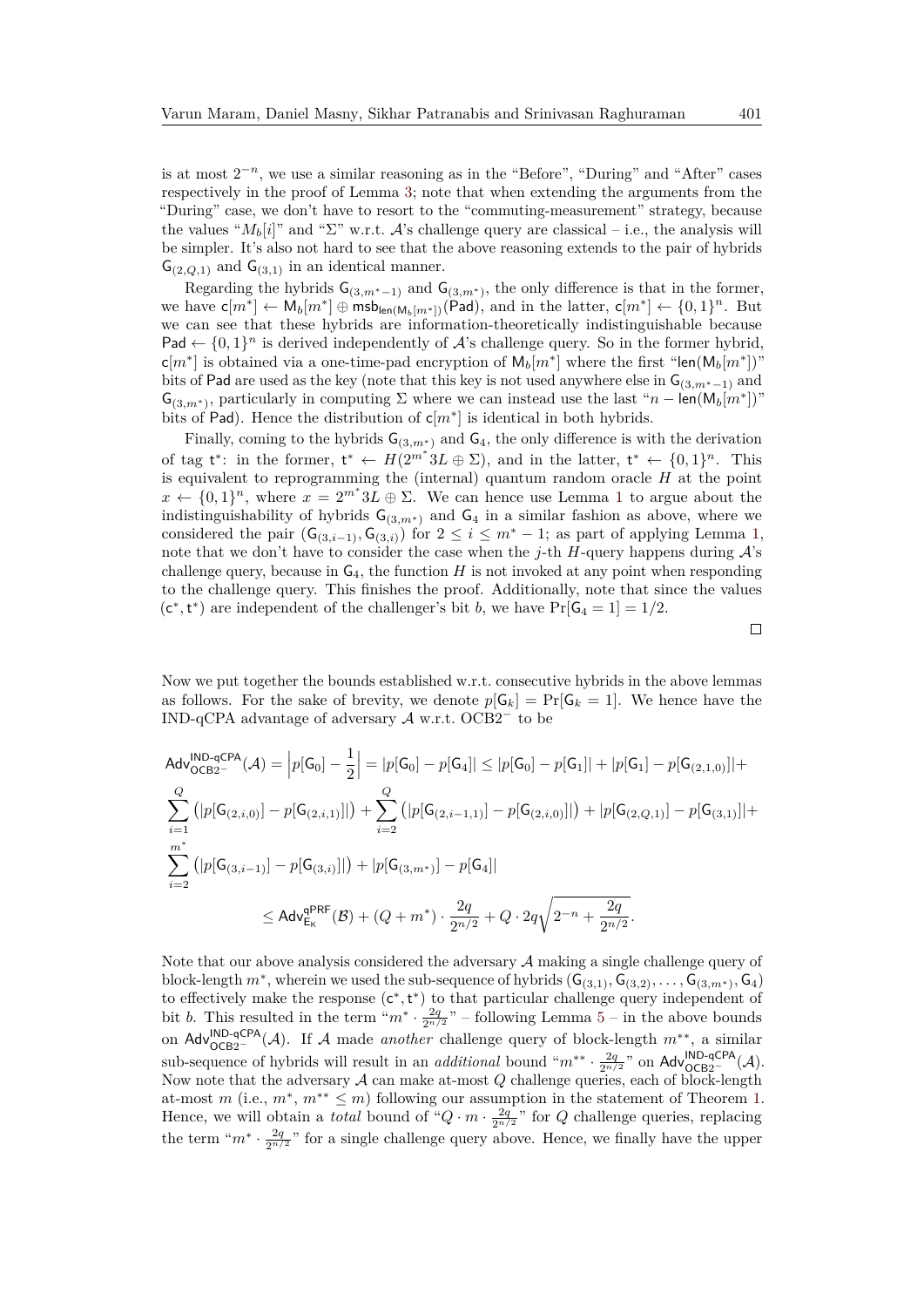is at most  $2^{-n}$ , we use a similar reasoning as in the "Before", "During" and "After" cases respectively in the proof of Lemma [3;](#page-17-0) note that when extending the arguments from the "During" case, we don't have to resort to the "commuting-measurement" strategy, because the values " $M_b[i]$ " and " $\Sigma$ " w.r.t. A's challenge query are classical – i.e., the analysis will be simpler. It's also not hard to see that the above reasoning extends to the pair of hybrids  $G_{(2,Q,1)}$  and  $G_{(3,1)}$  in an identical manner.

Regarding the hybrids  $\mathsf{G}_{(3,m^*-1)}$  and  $\mathsf{G}_{(3,m^*)}$ , the only difference is that in the former, we have  $\mathsf{c}[m^*] \leftarrow \mathsf{M}_b[m^*] \oplus \mathsf{msb}_{\mathsf{len}(\mathsf{M}_b[m^*])}(\mathsf{Pad})$ , and in the latter,  $\mathsf{c}[m^*] \leftarrow \{0,1\}^n$ . But we can see that these hybrids are information-theoretically indistinguishable because Pad  $\leftarrow \{0,1\}^n$  is derived independently of A's challenge query. So in the former hybrid,  $\mathsf{c}[m^*]$  is obtained via a one-time-pad encryption of  $\mathsf{M}_b[m^*]$  where the first "len( $\mathsf{M}_b[m^*])$ " bits of Pad are used as the key (note that this key is not used anywhere else in G(3*,m*∗−1) and  $\mathsf{G}_{(3,m^*)}$ , particularly in computing  $\Sigma$  where we can instead use the last " $n - \mathsf{len}(\mathsf{M}_b[m^*])$ " bits of Pad). Hence the distribution of  $c[m^*]$  is identical in both hybrids.

Finally, coming to the hybrids  $G_{(3,m^*)}$  and  $G_4$ , the only difference is with the derivation of tag  $t^*$ : in the former,  $t^* \leftarrow H(2^{m^*3}L \oplus \Sigma)$ , and in the latter,  $t^* \leftarrow \{0,1\}^n$ . This is equivalent to reprogramming the (internal) quantum random oracle *H* at the point  $x \leftarrow \{0,1\}^n$  $x \leftarrow \{0,1\}^n$  $x \leftarrow \{0,1\}^n$ , where  $x = 2^{m^*} 3L \oplus \Sigma$ . We can hence use Lemma 1 to argue about the indistinguishability of hybrids  $G_{(3,m^*)}$  and  $G_4$  in a similar fashion as above, where we considered the pair  $(G_{(3,i-1)}, G_{(3,i)})$  for  $2 \le i \le m^* - 1$ ; as part of applying Lemma [1,](#page-9-0) note that we don't have to consider the case when the *j*-th *H*-query happens during  $\mathcal{A}$ 's challenge query, because in  $G_4$ , the function  $H$  is not invoked at any point when responding to the challenge query. This finishes the proof. Additionally, note that since the values  $(c^*, t^*)$  are independent of the challenger's bit *b*, we have  $Pr[G_4 = 1] = 1/2$ .

Now we put together the bounds established w.r.t. consecutive hybrids in the above lemmas as follows. For the sake of brevity, we denote  $p[G_k] = \Pr[G_k = 1]$ . We hence have the IND-qCPA advantage of adversary A w.r.t. OCB2<sup>−</sup> to be

$$
Adv_{OCB2}^{\text{IND-QCPA}}(\mathcal{A}) = |p[G_0] - \frac{1}{2}| = |p[G_0] - p[G_4]| \le |p[G_0] - p[G_1]| + |p[G_1] - p[G_{(2,1,0)}]| +
$$
  

$$
\sum_{i=1}^{Q} (|p[G_{(2,i,0)}] - p[G_{(2,i,1)}]|) + \sum_{i=2}^{Q} (|p[G_{(2,i-1,1)}] - p[G_{(2,i,0)}]|) + |p[G_{(2,Q,1)}] - p[G_{(3,1)}]| +
$$
  

$$
\sum_{i=2}^{m^*} (|p[G_{(3,i-1)}] - p[G_{(3,i)}]|) + |p[G_{(3,m^*)}] - p[G_4]|
$$
  

$$
\leq Adv_{E_K}^{qPRF}(\mathcal{B}) + (Q + m^*) \cdot \frac{2q}{2^{n/2}} + Q \cdot 2q \sqrt{2^{-n} + \frac{2q}{2^{n/2}}}.
$$

Note that our above analysis considered the adversary  $A$  making a single challenge query of block-length  $m^*$ , wherein we used the sub-sequence of hybrids  $(G_{(3,1)}, G_{(3,2)}, \ldots, G_{(3,m^*)}, G_4)$ to effectively make the response  $(c^*, t^*)$  to that particular challenge query independent of bit *b*. This resulted in the term " $m^* \cdot \frac{2q}{2n/2}$ " – following Lemma [5](#page-21-0) – in the above bounds on Adv<sup>IND-qCPA</sup>(A). If A made *another* challenge query of block-length  $m^{**}$ , a similar sub-sequence of hybrids will result in an *additional* bound " $m^{**} \cdot \frac{2q}{2^{n/2}}$ " on  $\text{Adv}_{\text{OCB2}^-}^{\text{IND-qCPA}}(\mathcal{A})$ . Now note that the adversary A can make at-most *Q* challenge queries, each of block-length at-most *m* (i.e.,  $m^*$ ,  $m^{**} \leq m$ ) following our assumption in the statement of Theorem [1.](#page-16-2) Hence, we will obtain a *total* bound of " $Q \cdot m \cdot \frac{2q}{2^{n/2}}$ " for  $Q$  challenge queries, replacing the term " $m^* \cdot \frac{2q}{2n/2}$ " for a single challenge query above. Hence, we finally have the upper

 $\Box$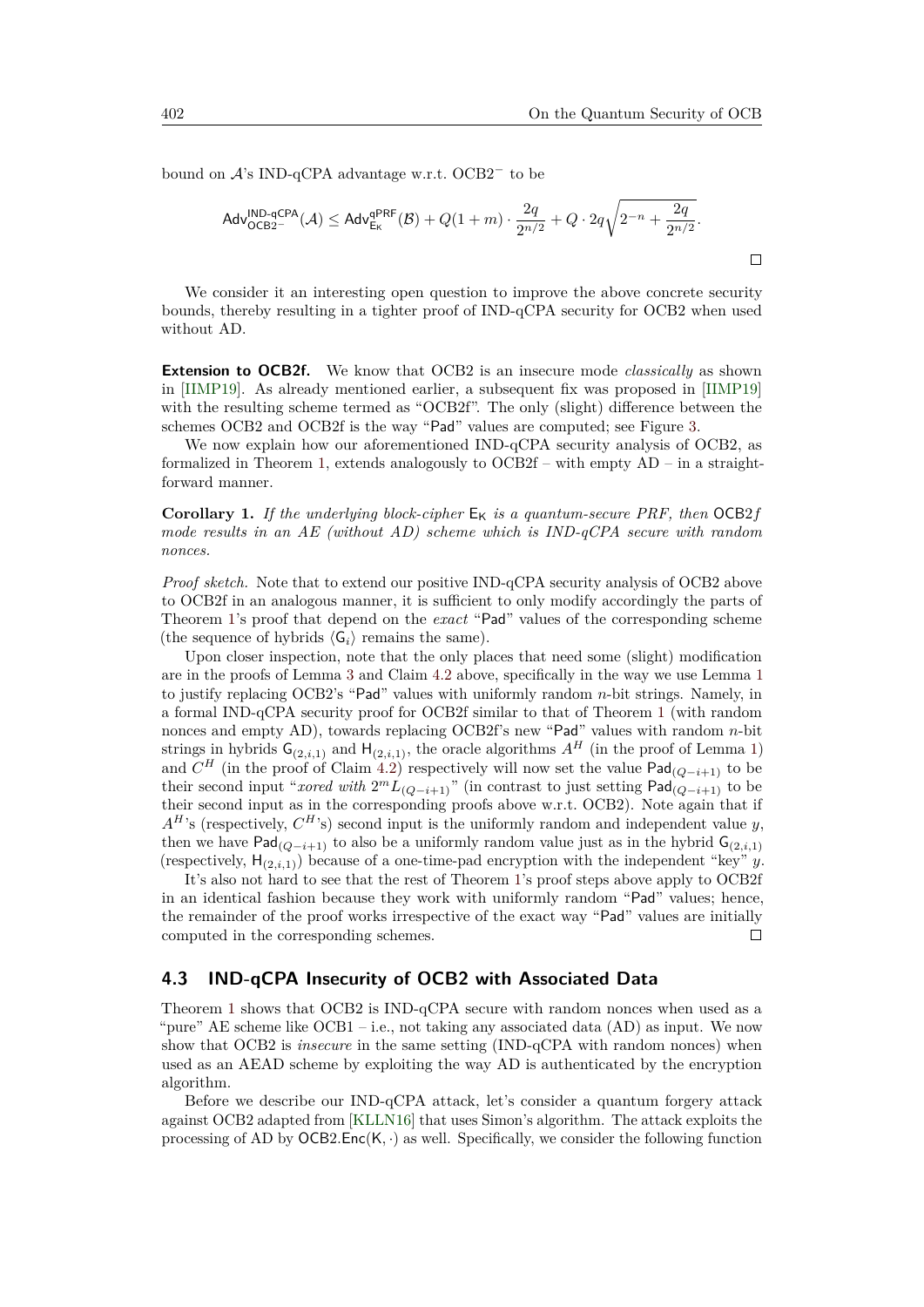bound on A's IND-qCPA advantage w.r.t. OCB2<sup>−</sup> to be

$$
\mathsf{Adv}_{\mathsf{OCB2}^-}^{\mathsf{IND}\text{-}\mathsf{qCPA}}(\mathcal{A}) \leq \mathsf{Adv}_{\mathsf{E_K}}^{\mathsf{qPRF}}(\mathcal{B}) + Q(1+m) \cdot \frac{2q}{2^{n/2}} + Q \cdot 2q\sqrt{2^{-n} + \frac{2q}{2^{n/2}}}.
$$

We consider it an interesting open question to improve the above concrete security bounds, thereby resulting in a tighter proof of IND-qCPA security for OCB2 when used without AD.

**Extension to OCB2f.** We know that OCB2 is an insecure mode *classically* as shown in [\[IIMP19\]](#page-34-8). As already mentioned earlier, a subsequent fix was proposed in [\[IIMP19\]](#page-34-8) with the resulting scheme termed as "OCB2f". The only (slight) difference between the schemes OCB2 and OCB2f is the way "Pad" values are computed; see Figure [3.](#page-14-3)

We now explain how our aforementioned IND-qCPA security analysis of OCB2, as formalized in Theorem [1,](#page-16-2) extends analogously to OCB2f – with empty AD – in a straightforward manner.

**Corollary 1.** If the underlying block-cipher  $E_K$  is a quantum-secure PRF, then  $OCB2f$ *mode results in an AE (without AD) scheme which is IND-qCPA secure with random nonces.*

*Proof sketch.* Note that to extend our positive IND-qCPA security analysis of OCB2 above to OCB2f in an analogous manner, it is sufficient to only modify accordingly the parts of Theorem [1'](#page-16-2)s proof that depend on the *exact* "Pad" values of the corresponding scheme (the sequence of hybrids  $\langle G_i \rangle$  remains the same).

Upon closer inspection, note that the only places that need some (slight) modification are in the proofs of Lemma [3](#page-17-0) and Claim [4.2](#page-19-0) above, specifically in the way we use Lemma [1](#page-9-0) to justify replacing OCB2's "Pad" values with uniformly random *n*-bit strings. Namely, in a formal IND-qCPA security proof for OCB2f similar to that of Theorem [1](#page-16-2) (with random nonces and empty AD), towards replacing OCB2f's new "Pad" values with random *n*-bit strings in hybrids  $G_{(2,i,1)}$  $G_{(2,i,1)}$  $G_{(2,i,1)}$  and  $H_{(2,i,1)}$ , the oracle algorithms  $A^H$  (in the proof of Lemma 1) and  $C^H$  (in the proof of Claim [4.2\)](#page-19-0) respectively will now set the value  $\mathsf{Pad}_{(Q-i+1)}$  to be their second input "*xored with*  $2^m L_{(Q-i+1)}$ " (in contrast to just setting  $\textsf{Pad}_{(Q-i+1)}$  to be their second input as in the corresponding proofs above w.r.t. OCB2). Note again that if  $A<sup>H</sup>$ 's (respectively,  $C<sup>H</sup>$ 's) second input is the uniformly random and independent value *y*, then we have  $\text{Pad}_{(Q-i+1)}$  to also be a uniformly random value just as in the hybrid  $\mathsf{G}_{(2,i,1)}$ (respectively,  $H_{(2,i,1)}$ ) because of a one-time-pad encryption with the independent "key" *y*.

It's also not hard to see that the rest of Theorem [1'](#page-16-2)s proof steps above apply to OCB2f in an identical fashion because they work with uniformly random "Pad" values; hence, the remainder of the proof works irrespective of the exact way "Pad" values are initially computed in the corresponding schemes.  $\Box$ 

#### <span id="page-23-0"></span>**4.3 IND-qCPA Insecurity of OCB2 with Associated Data**

Theorem [1](#page-16-2) shows that OCB2 is IND-qCPA secure with random nonces when used as a "pure" AE scheme like  $OCB1 - i.e.,$  not taking any associated data  $(AD)$  as input. We now show that OCB2 is *insecure* in the same setting (IND-qCPA with random nonces) when used as an AEAD scheme by exploiting the way AD is authenticated by the encryption algorithm.

Before we describe our IND-qCPA attack, let's consider a quantum forgery attack against OCB2 adapted from [\[KLLN16\]](#page-34-4) that uses Simon's algorithm. The attack exploits the processing of AD by OCB2*.*Enc(K*,* ·) as well. Specifically, we consider the following function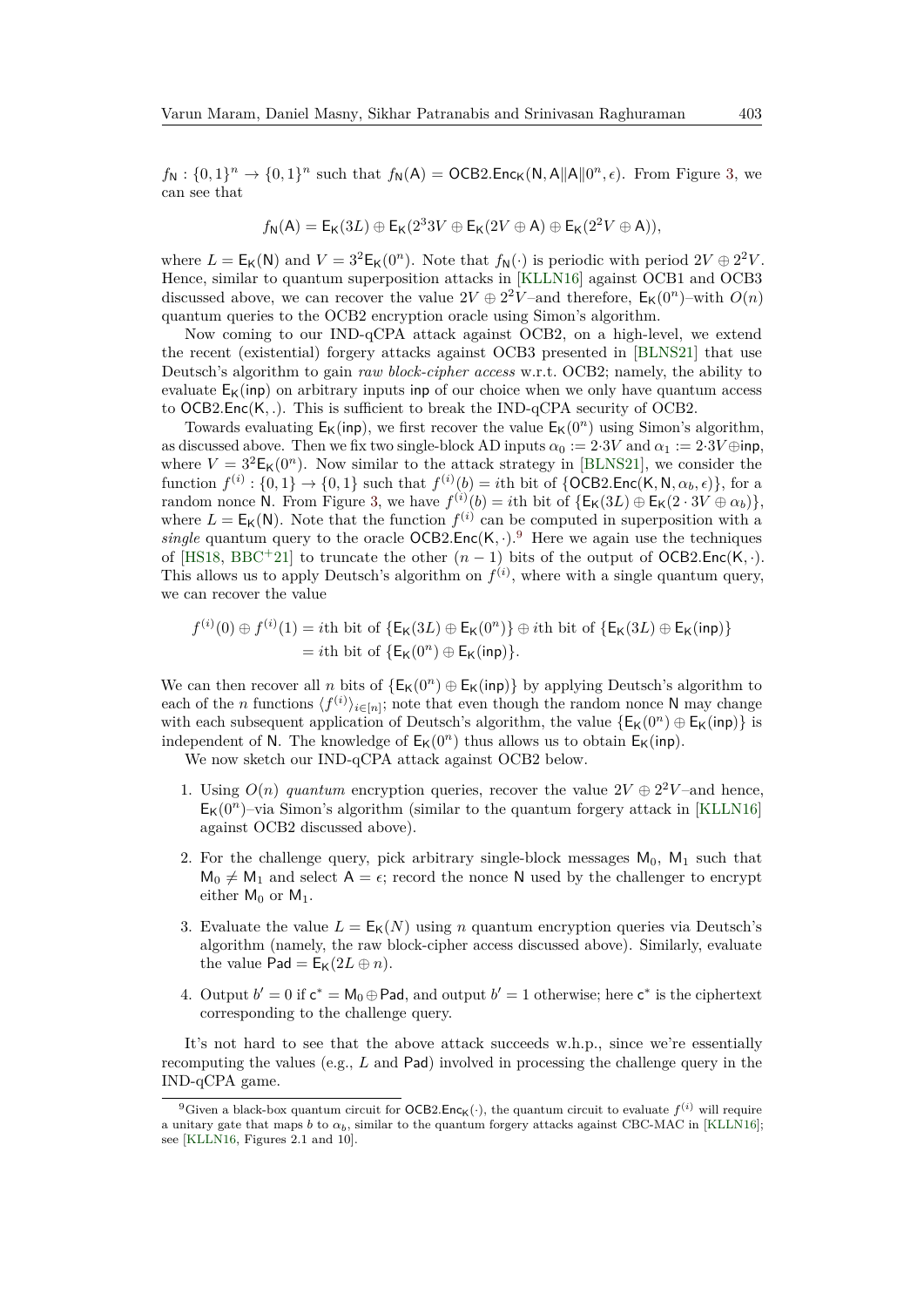$f_N: \{0,1\}^n \to \{0,1\}^n$  such that  $f_N(A) = OCB2$ *.*Enc<sub>K</sub>(N*,A*||A||0<sup>n</sup>,  $\epsilon$ ). From Figure [3,](#page-14-3) we can see that

$$
f_{\mathsf{N}}(\mathsf{A}) = \mathsf{E}_{\mathsf{K}}(3L) \oplus \mathsf{E}_{\mathsf{K}}(2^3 3V \oplus \mathsf{E}_{\mathsf{K}}(2V \oplus \mathsf{A}) \oplus \mathsf{E}_{\mathsf{K}}(2^2 V \oplus \mathsf{A})),
$$

where  $L = E_K(N)$  and  $V = 3^2 E_K(0^n)$ . Note that  $f_N(\cdot)$  is periodic with period  $2V \oplus 2^2 V$ . Hence, similar to quantum superposition attacks in [\[KLLN16\]](#page-34-4) against OCB1 and OCB3 discussed above, we can recover the value  $2V \oplus 2^2V$ -and therefore,  $E_K(0^n)$ -with  $O(n)$ quantum queries to the OCB2 encryption oracle using Simon's algorithm.

Now coming to our IND-qCPA attack against OCB2, on a high-level, we extend the recent (existential) forgery attacks against OCB3 presented in [\[BLNS21\]](#page-33-5) that use Deutsch's algorithm to gain *raw block-cipher access* w.r.t. OCB2; namely, the ability to evaluate  $E_K(inp)$  on arbitrary inputs inp of our choice when we only have quantum access to OCB2*.*Enc(K*, .*). This is sufficient to break the IND-qCPA security of OCB2.

Towards evaluating  $E_K(inp)$ , we first recover the value  $E_K(0^n)$  using Simon's algorithm, as discussed above. Then we fix two single-block AD inputs  $\alpha_0 := 2.3V$  and  $\alpha_1 := 2.3V \oplus \text{inp}$ , where  $V = 3^2 \mathsf{E}_{\mathsf{K}}(0^n)$ . Now similar to the attack strategy in [\[BLNS21\]](#page-33-5), we consider the  $f^{(i)}: \{0,1\} \rightarrow \{0,1\}$  such that  $f^{(i)}(b) = i$ th bit of  $\{OCB2.Enc(K, N, \alpha_b, \epsilon)\},$  for a random nonce N. From Figure [3,](#page-14-3) we have  $f^{(i)}(b) = i$ th bit of  $\{E_{\mathsf{K}}(3L) \oplus E_{\mathsf{K}}(2 \cdot 3V \oplus \alpha_b)\},$ where  $L = E_K(N)$ . Note that the function  $f^{(i)}$  can be computed in superposition with a *single* quantum query to the oracle  $OCB2.Enc(K, \cdot).$ <sup>[9](#page-24-0)</sup> Here we again use the techniques of [\[HS18,](#page-33-12) [BBC](#page-32-9)<sup>+</sup>21] to truncate the other  $(n-1)$  bits of the output of OCB2.Enc(K, ·). This allows us to apply Deutsch's algorithm on  $f^{(i)}$ , where with a single quantum query, we can recover the value

$$
f^{(i)}(0) \oplus f^{(i)}(1) = i\text{th bit of } \{ \mathsf{E}_{\mathsf{K}}(3L) \oplus \mathsf{E}_{\mathsf{K}}(0^n) \} \oplus i\text{th bit of } \{ \mathsf{E}_{\mathsf{K}}(3L) \oplus \mathsf{E}_{\mathsf{K}}(\text{inp}) \}
$$
  
= *i*th bit of  $\{ \mathsf{E}_{\mathsf{K}}(0^n) \oplus \mathsf{E}_{\mathsf{K}}(\text{inp}) \}.$ 

We can then recover all *n* bits of  $\{E_K(0^n) \oplus E_K(\text{inp})\}$  by applying Deutsch's algorithm to each of the *n* functions  $\langle f^{(i)} \rangle_{i \in [n]}$ ; note that even though the random nonce N may change with each subsequent application of Deutsch's algorithm, the value  ${E_K(0^n) \oplus E_K(inp)}$  is independent of N. The knowledge of  $E_K(0^n)$  thus allows us to obtain  $E_K(inp)$ .

We now sketch our IND-qCPA attack against OCB2 below.

- 1. Using  $O(n)$  *quantum* encryption queries, recover the value  $2V \oplus 2^2V$ -and hence,  $E_K(0^n)$ –via Simon's algorithm (similar to the quantum forgery attack in [\[KLLN16\]](#page-34-4) against OCB2 discussed above).
- 2. For the challenge query, pick arbitrary single-block messages  $M_0$ ,  $M_1$  such that  $M_0 \neq M_1$  and select  $A = \epsilon$ ; record the nonce N used by the challenger to encrypt either  $M_0$  or  $M_1$ .
- 3. Evaluate the value  $L = E_K(N)$  using *n* quantum encryption queries via Deutsch's algorithm (namely, the raw block-cipher access discussed above). Similarly, evaluate the value  $\text{Pad} = \text{E}_{\mathbf{K}}(2L \oplus n)$ .
- 4. Output  $b' = 0$  if  $c^* = M_0 \oplus$  Pad, and output  $b' = 1$  otherwise; here  $c^*$  is the ciphertext corresponding to the challenge query.

It's not hard to see that the above attack succeeds w.h.p., since we're essentially recomputing the values (e.g., *L* and Pad) involved in processing the challenge query in the IND-qCPA game.

<span id="page-24-0"></span><sup>&</sup>lt;sup>9</sup>Given a black-box quantum circuit for  $OCB2.Enc<sub>K</sub>(.)$ , the quantum circuit to evaluate  $f<sup>(i)</sup>$  will require a unitary gate that maps *b* to  $\alpha_b$ , similar to the quantum forgery attacks against CBC-MAC in [\[KLLN16\]](#page-34-4); see [\[KLLN16,](#page-34-4) Figures 2.1 and 10].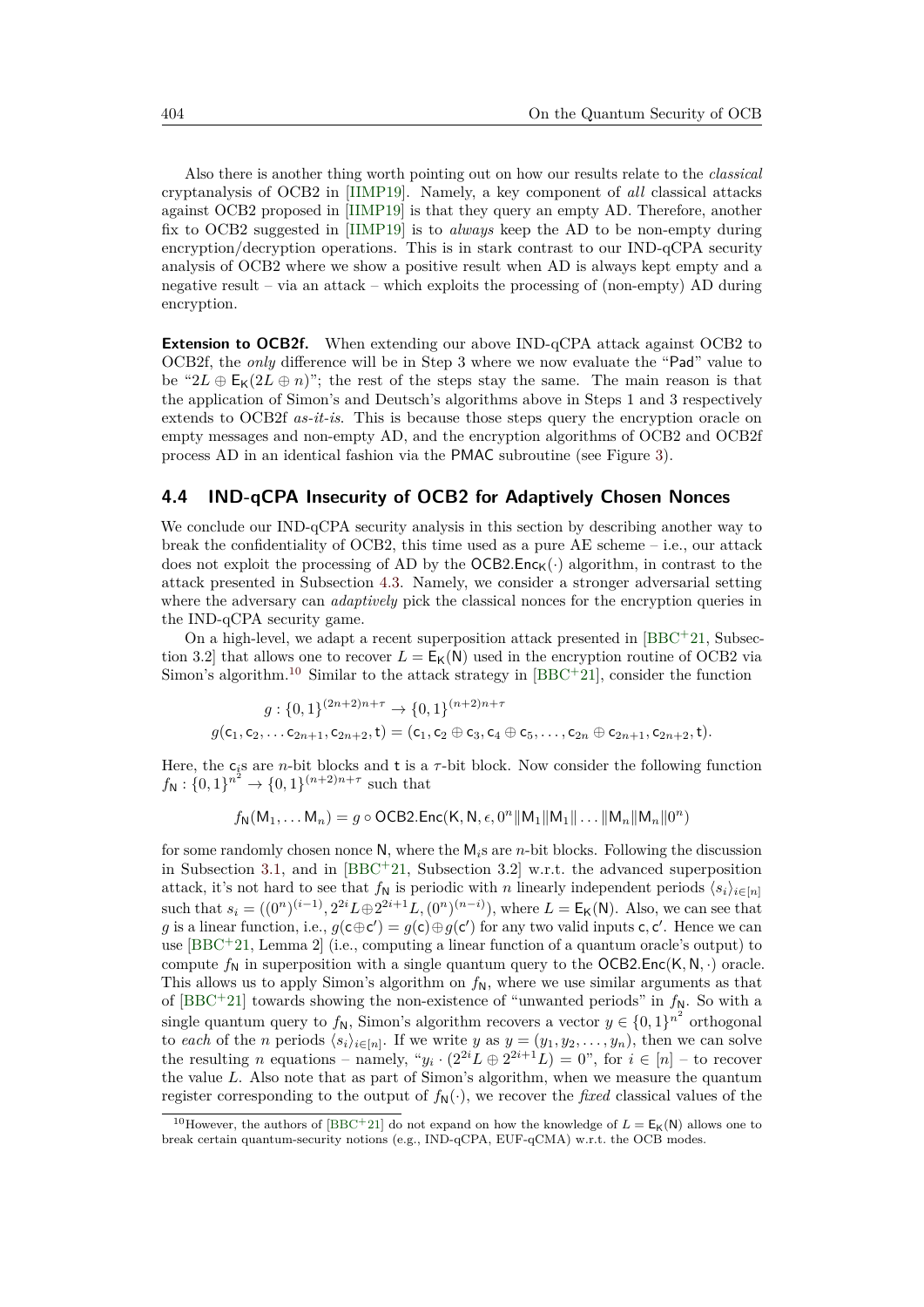Also there is another thing worth pointing out on how our results relate to the *classical* cryptanalysis of OCB2 in [\[IIMP19\]](#page-34-8). Namely, a key component of *all* classical attacks against OCB2 proposed in [\[IIMP19\]](#page-34-8) is that they query an empty AD. Therefore, another fix to OCB2 suggested in [\[IIMP19\]](#page-34-8) is to *always* keep the AD to be non-empty during encryption/decryption operations. This is in stark contrast to our IND-qCPA security analysis of OCB2 where we show a positive result when AD is always kept empty and a negative result – via an attack – which exploits the processing of (non-empty) AD during encryption.

**Extension to OCB2f.** When extending our above IND-qCPA attack against OCB2 to OCB2f, the *only* difference will be in Step 3 where we now evaluate the "Pad" value to be " $2L \oplus E_K(2L \oplus n)$ "; the rest of the steps stay the same. The main reason is that the application of Simon's and Deutsch's algorithms above in Steps 1 and 3 respectively extends to OCB2f *as-it-is*. This is because those steps query the encryption oracle on empty messages and non-empty AD, and the encryption algorithms of OCB2 and OCB2f process AD in an identical fashion via the PMAC subroutine (see Figure [3\)](#page-14-3).

#### <span id="page-25-1"></span>**4.4 IND-qCPA Insecurity of OCB2 for Adaptively Chosen Nonces**

We conclude our IND-qCPA security analysis in this section by describing another way to break the confidentiality of OCB2, this time used as a pure AE scheme – i.e., our attack does not exploit the processing of AD by the  $OCB2$ . Enc<sub>K</sub>( $\cdot$ ) algorithm, in contrast to the attack presented in Subsection [4.3.](#page-23-0) Namely, we consider a stronger adversarial setting where the adversary can *adaptively* pick the classical nonces for the encryption queries in the IND-qCPA security game.

On a high-level, we adapt a recent superposition attack presented in  $[BBC+21, Subsec [BBC+21, Subsec$ tion 3.2] that allows one to recover  $L = E_K(N)$  used in the encryption routine of OCB2 via Simon's algorithm.<sup>[10](#page-25-0)</sup> Similar to the attack strategy in  $[BBC+21]$  $[BBC+21]$ , consider the function

$$
g: \{0,1\}^{(2n+2)n+\tau} \to \{0,1\}^{(n+2)n+\tau}
$$
  

$$
g(\mathsf{c}_1, \mathsf{c}_2, \dots \mathsf{c}_{2n+1}, \mathsf{c}_{2n+2}, \mathsf{t}) = (\mathsf{c}_1, \mathsf{c}_2 \oplus \mathsf{c}_3, \mathsf{c}_4 \oplus \mathsf{c}_5, \dots, \mathsf{c}_{2n} \oplus \mathsf{c}_{2n+1}, \mathsf{c}_{2n+2}, \mathsf{t}).
$$

Here, the  $c_i$ s are *n*-bit blocks and t is a  $\tau$ -bit block. Now consider the following function  $f_{\mathsf{N}}: \{0,1\}^{n^2} \to \{0,1\}^{(n+2)n+\tau}$  such that

$$
f_{\mathsf{N}}(\mathsf{M}_1, \ldots \mathsf{M}_n) = g \circ \mathsf{OCB2}.\mathsf{Enc}(\mathsf{K}, \mathsf{N}, \epsilon, 0^n \|\mathsf{M}_1\|\mathsf{M}_1\|\ldots \|\mathsf{M}_n \|\mathsf{M}_n\|0^n)
$$

for some randomly chosen nonce N, where the M*i*s are *n*-bit blocks. Following the discussion in Subsection [3.1,](#page-10-3) and in [\[BBC](#page-32-9)<sup>+</sup>21, Subsection 3.2] w.r.t. the advanced superposition attack, it's not hard to see that  $f_N$  is periodic with *n* linearly independent periods  $\langle s_i \rangle_{i \in [n]}$ such that  $s_i = ((0^n)^{(i-1)}, 2^{2i}L \oplus 2^{2i+1}L, (0^n)^{(n-i)})$ , where  $L = E_K(N)$ . Also, we can see that g is a linear function, i.e.,  $g(c \oplus c') = g(c) \oplus g(c')$  for any two valid inputs c, c'. Hence we can use [\[BBC](#page-32-9)<sup>+</sup>21, Lemma 2] (i.e., computing a linear function of a quantum oracle's output) to compute  $f_N$  in superposition with a single quantum query to the OCB2.Enc(K, N, ·) oracle. This allows us to apply Simon's algorithm on  $f_N$ , where we use similar arguments as that of  $[BBC + 21]$  $[BBC + 21]$  towards showing the non-existence of "unwanted periods" in  $f_N$ . So with a single quantum query to  $f_N$ , Simon's algorithm recovers a vector  $y \in \{0,1\}^{n^2}$  orthogonal to *each* of the *n* periods  $\langle s_i \rangle_{i \in [n]}$ . If we write *y* as  $y = (y_1, y_2, \dots, y_n)$ , then we can solve the resulting *n* equations – namely, " $y_i \cdot (2^{2i}L \oplus 2^{2i+1}L) = 0$ ", for  $i \in [n]$  – to recover the value *L*. Also note that as part of Simon's algorithm, when we measure the quantum register corresponding to the output of  $f_N(\cdot)$ , we recover the *fixed* classical values of the

<span id="page-25-0"></span><sup>&</sup>lt;sup>10</sup>However, the authors of [\[BBC](#page-32-9)<sup>+</sup>21] do not expand on how the knowledge of  $L = E_K(N)$  allows one to break certain quantum-security notions (e.g., IND-qCPA, EUF-qCMA) w.r.t. the OCB modes.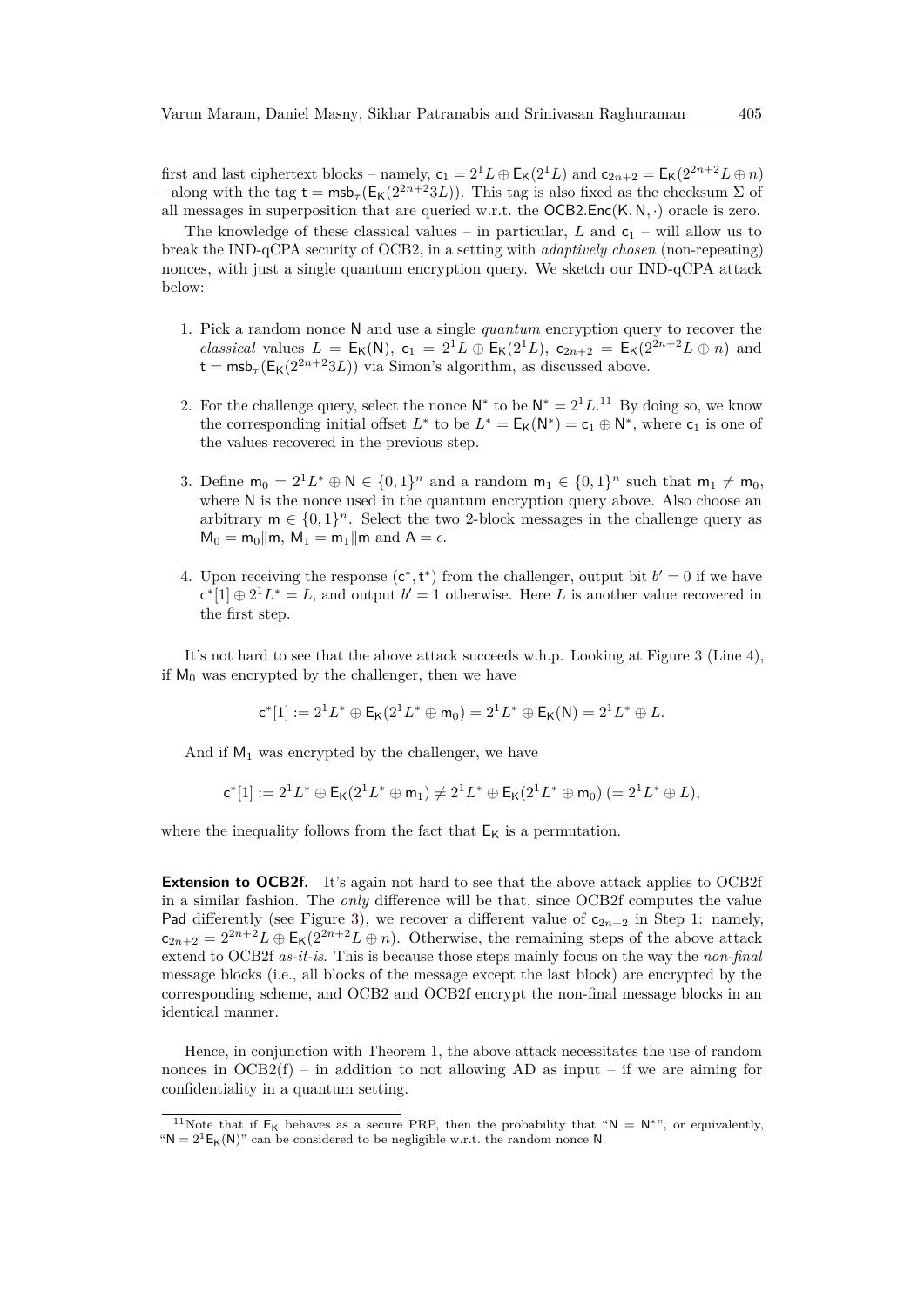first and last ciphertext blocks – namely,  $c_1 = 2^1L \oplus E_K(2^1L)$  and  $c_{2n+2} = E_K(2^{2n+2}L \oplus n)$ – along with the tag  $t = msb_\tau(E_K(2^{2n+2}3L))$ . This tag is also fixed as the checksum  $\Sigma$  of all messages in superposition that are queried w.r.t. the OCB2*.*Enc(K*,* N*,* ·) oracle is zero.

The knowledge of these classical values – in particular, *L* and  $c_1$  – will allow us to break the IND-qCPA security of OCB2, in a setting with *adaptively chosen* (non-repeating) nonces, with just a single quantum encryption query. We sketch our IND-qCPA attack below:

- 1. Pick a random nonce N and use a single *quantum* encryption query to recover the *classical* values  $L = E_K(N)$ ,  $c_1 = 2^1 L \oplus E_K(2^1 L)$ ,  $c_{2n+2} = E_K(2^{2n+2} L \oplus n)$  and  $t = msb_\tau(E_K(2^{2n+2}3L))$  via Simon's algorithm, as discussed above.
- 2. For the challenge query, select the nonce  $\mathsf{N}^*$  to be  $\mathsf{N}^* = 2^1 L^{11}$  $\mathsf{N}^* = 2^1 L^{11}$  $\mathsf{N}^* = 2^1 L^{11}$  By doing so, we know the corresponding initial offset  $L^*$  to be  $L^* = E_K(N^*) = c_1 \oplus N^*$ , where  $c_1$  is one of the values recovered in the previous step.
- 3. Define  $m_0 = 2^1 L^* \oplus N \in \{0,1\}^n$  and a random  $m_1 \in \{0,1\}^n$  such that  $m_1 \neq m_0$ , where N is the nonce used in the quantum encryption query above. Also choose an arbitrary  $m \in \{0,1\}^n$ . Select the two 2-block messages in the challenge query as  $M_0 = m_0 || m$ ,  $M_1 = m_1 || m$  and  $A = \epsilon$ .
- 4. Upon receiving the response  $(c^*, t^*)$  from the challenger, output bit  $b' = 0$  if we have  $c^*[1] \oplus 2^1 L^* = L$ , and output  $b' = 1$  otherwise. Here L is another value recovered in the first step.

It's not hard to see that the above attack succeeds w.h.p. Looking at Figure [3](#page-14-3) (Line [4\)](#page-14-4), if  $M_0$  was encrypted by the challenger, then we have

$$
\mathsf{c}^*[1]:=2^1L^*\oplus \mathsf{E}_{\mathsf{K}}(2^1L^*\oplus \mathsf{m}_0)=2^1L^*\oplus \mathsf{E}_{\mathsf{K}}(\mathsf{N})=2^1L^*\oplus L.
$$

And if  $M_1$  was encrypted by the challenger, we have

$$
c^*[1]:=2^1L^*\oplus \mathsf{E}_{{\sf K}}(2^1L^*\oplus {\sf m}_1)\neq 2^1L^*\oplus \mathsf{E}_{{\sf K}}(2^1L^*\oplus {\sf m}_0)\ (=2^1L^*\oplus L),
$$

where the inequality follows from the fact that  $E_K$  is a permutation.

**Extension to OCB2f.** It's again not hard to see that the above attack applies to OCB2f in a similar fashion. The *only* difference will be that, since OCB2f computes the value Pad differently (see Figure [3\)](#page-14-3), we recover a different value of  $c_{2n+2}$  in Step 1: namely,  $c_{2n+2} = 2^{2n+2}L \oplus \mathsf{E}_{\mathsf{K}}(2^{2n+2}L \oplus n)$ . Otherwise, the remaining steps of the above attack extend to OCB2f *as-it-is*. This is because those steps mainly focus on the way the *non-final* message blocks (i.e., all blocks of the message except the last block) are encrypted by the corresponding scheme, and OCB2 and OCB2f encrypt the non-final message blocks in an identical manner.

Hence, in conjunction with Theorem [1,](#page-16-2) the above attack necessitates the use of random nonces in  $OCB2(f)$  – in addition to not allowing AD as input – if we are aiming for confidentiality in a quantum setting.

<span id="page-26-0"></span><sup>&</sup>lt;sup>11</sup>Note that if  $E_K$  behaves as a secure PRP, then the probability that "N = N<sup>\*"</sup>, or equivalently, " $N = 2^1E_K(N)$ " can be considered to be negligible w.r.t. the random nonce N.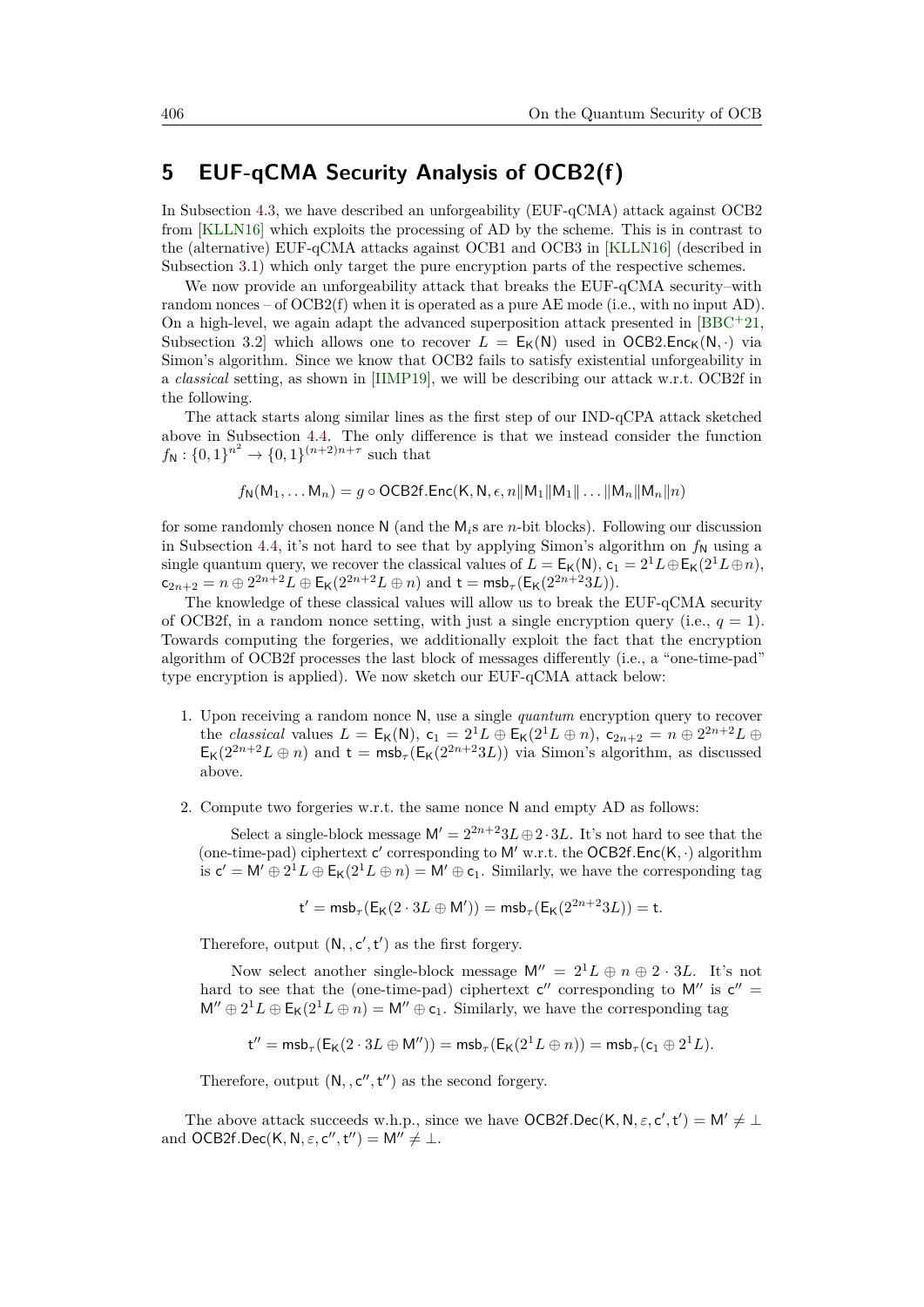### <span id="page-27-0"></span>**5 EUF-qCMA Security Analysis of OCB2(f)**

In Subsection [4.3,](#page-23-0) we have described an unforgeability (EUF-qCMA) attack against OCB2 from [\[KLLN16\]](#page-34-4) which exploits the processing of AD by the scheme. This is in contrast to the (alternative) EUF-qCMA attacks against OCB1 and OCB3 in [\[KLLN16\]](#page-34-4) (described in Subsection [3.1\)](#page-10-3) which only target the pure encryption parts of the respective schemes.

We now provide an unforgeability attack that breaks the EUF-qCMA security–with random nonces – of  $OCB2(f)$  when it is operated as a pure AE mode (i.e., with no input AD). On a high-level, we again adapt the advanced superposition attack presented in  $[BBC+21,$  $[BBC+21,$ Subsection 3.2 which allows one to recover  $L = E_K(N)$  used in OCB2.Enc<sub>K</sub>(N, ·) via Simon's algorithm. Since we know that OCB2 fails to satisfy existential unforgeability in a *classical* setting, as shown in [\[IIMP19\]](#page-34-8), we will be describing our attack w.r.t. OCB2f in the following.

The attack starts along similar lines as the first step of our IND-qCPA attack sketched above in Subsection [4.4.](#page-25-1) The only difference is that we instead consider the function  $f_{\mathsf{N}}: \{0,1\}^{n^2} \to \{0,1\}^{(n+2)n+\tau}$  such that

$$
f_{\mathsf{N}}(\mathsf{M}_1,\ldots \mathsf{M}_n)=g\circ \mathsf{OCB2f}.\mathsf{Enc}(\mathsf{K},\mathsf{N},\epsilon,n\|\mathsf{M}_1\|\mathsf{M}_1\|\ldots\|\mathsf{M}_n\|\mathsf{M}_n\|n)
$$

for some randomly chosen nonce N (and the M*i*s are *n*-bit blocks). Following our discussion in Subsection [4.4,](#page-25-1) it's not hard to see that by applying Simon's algorithm on  $f_N$  using a single quantum query, we recover the classical values of  $L = E_K(N)$ ,  $c_1 = 2^1 L \oplus E_K(2^1 L \oplus n)$ ,  $c_{2n+2} = n \oplus 2^{2n+2}L \oplus \mathsf{E}_{\mathsf{K}}(2^{2n+2}L \oplus n)$  and  $\mathsf{t} = \mathsf{msb}_{\tau}(\mathsf{E}_{\mathsf{K}}(2^{2n+2}3L)).$ 

The knowledge of these classical values will allow us to break the EUF-qCMA security of OCB2f, in a random nonce setting, with just a single encryption query (i.e.,  $q = 1$ ). Towards computing the forgeries, we additionally exploit the fact that the encryption algorithm of OCB2f processes the last block of messages differently (i.e., a "one-time-pad" type encryption is applied). We now sketch our EUF-qCMA attack below:

- 1. Upon receiving a random nonce N, use a single *quantum* encryption query to recover the *classical* values  $L = \mathsf{E}_{\mathsf{K}}(\mathsf{N}), \mathsf{c}_1 = 2^1 L \oplus \mathsf{E}_{\mathsf{K}}(2^1 L \oplus n), \mathsf{c}_{2n+2} = n \oplus 2^{2n+2} L \oplus$  $E_K(2^{2n+2}L \oplus n)$  and  $t = msb_\tau(E_K(2^{2n+2}3L))$  via Simon's algorithm, as discussed above.
- 2. Compute two forgeries w.r.t. the same nonce N and empty AD as follows:

Select a single-block message  $M' = 2^{2n+2}3L \oplus 2 \cdot 3L$ . It's not hard to see that the (one-time-pad) ciphertext c' corresponding to M' w.r.t. the OCB2f.Enc(K, ·) algorithm is  $c' = M' \oplus 2^1 L \oplus E_K(2^1 L \oplus n) = M' \oplus c_1$ . Similarly, we have the corresponding tag

$$
\mathsf{t}' = \mathsf{msb}_{\tau}(\mathsf{E}_{\mathsf{K}}(2 \cdot 3L \oplus \mathsf{M}')) = \mathsf{msb}_{\tau}(\mathsf{E}_{\mathsf{K}}(2^{2n+2}3L)) = \mathsf{t}.
$$

Therefore, output  $(N, c', t')$  as the first forgery.

Now select another single-block message  $M'' = 2^1L \oplus n \oplus 2 \cdot 3L$ . It's not hard to see that the (one-time-pad) ciphertext  $c''$  corresponding to M'' is  $c'' =$  $M'' \oplus 2^1 L \oplus E_K(2^1 L \oplus n) = M'' \oplus c_1$ . Similarly, we have the corresponding tag

$$
\mathsf{t}''=\mathsf{msb}_\tau(\mathsf{E_K}(2\cdot 3L\oplus \mathsf{M}''))=\mathsf{msb}_\tau(\mathsf{E_K}(2^1L\oplus n))=\mathsf{msb}_\tau(\mathsf{c}_1\oplus 2^1L).
$$

Therefore, output  $(N, c'', t'')$  as the second forgery.

The above attack succeeds w.h.p., since we have  $OCB2f, Dec(K, N, \varepsilon, c', t') = M' \neq \bot$ and  $OCB2f, Dec(K, N, \varepsilon, c'', t'') = M'' \neq \bot.$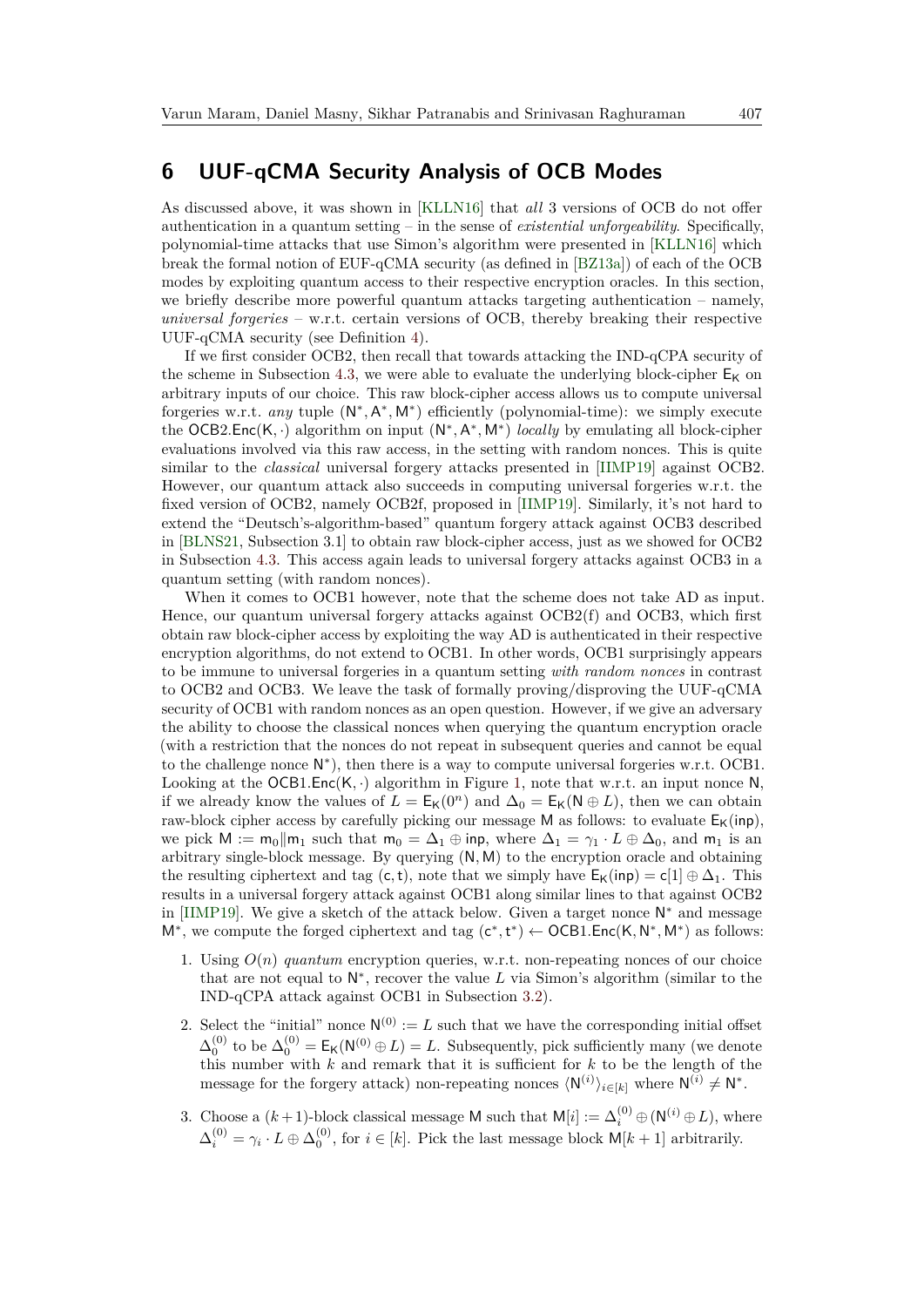### <span id="page-28-0"></span>**6 UUF-qCMA Security Analysis of OCB Modes**

As discussed above, it was shown in [\[KLLN16\]](#page-34-4) that *all* 3 versions of OCB do not offer authentication in a quantum setting – in the sense of *existential unforgeability*. Specifically, polynomial-time attacks that use Simon's algorithm were presented in [\[KLLN16\]](#page-34-4) which break the formal notion of EUF-qCMA security (as defined in [\[BZ13a\]](#page-33-1)) of each of the OCB modes by exploiting quantum access to their respective encryption oracles. In this section, we briefly describe more powerful quantum attacks targeting authentication – namely, *universal forgeries* – w.r.t. certain versions of OCB, thereby breaking their respective UUF-qCMA security (see Definition [4\)](#page-9-1).

If we first consider OCB2, then recall that towards attacking the IND-qCPA security of the scheme in Subsection [4.3,](#page-23-0) we were able to evaluate the underlying block-cipher  $E_K$  on arbitrary inputs of our choice. This raw block-cipher access allows us to compute universal forgeries w.r.t. *any* tuple  $(N^*, A^*, M^*)$  efficiently (polynomial-time): we simply execute the OCB2.Enc(K, ·) algorithm on input (N<sup>\*</sup>, A<sup>\*</sup>, M<sup>\*</sup>) *locally* by emulating all block-cipher evaluations involved via this raw access, in the setting with random nonces. This is quite similar to the *classical* universal forgery attacks presented in [\[IIMP19\]](#page-34-8) against OCB2. However, our quantum attack also succeeds in computing universal forgeries w.r.t. the fixed version of OCB2, namely OCB2f, proposed in [\[IIMP19\]](#page-34-8). Similarly, it's not hard to extend the "Deutsch's-algorithm-based" quantum forgery attack against OCB3 described in [\[BLNS21,](#page-33-5) Subsection 3.1] to obtain raw block-cipher access, just as we showed for OCB2 in Subsection [4.3.](#page-23-0) This access again leads to universal forgery attacks against OCB3 in a quantum setting (with random nonces).

When it comes to OCB1 however, note that the scheme does not take AD as input. Hence, our quantum universal forgery attacks against OCB2(f) and OCB3, which first obtain raw block-cipher access by exploiting the way AD is authenticated in their respective encryption algorithms, do not extend to OCB1. In other words, OCB1 surprisingly appears to be immune to universal forgeries in a quantum setting *with random nonces* in contrast to OCB2 and OCB3. We leave the task of formally proving/disproving the UUF-qCMA security of OCB1 with random nonces as an open question. However, if we give an adversary the ability to choose the classical nonces when querying the quantum encryption oracle (with a restriction that the nonces do not repeat in subsequent queries and cannot be equal to the challenge nonce  $N^*$ ), then there is a way to compute universal forgeries w.r.t. OCB1. Looking at the  $OCB1.Enc(K, \cdot)$  algorithm in Figure [1,](#page-11-0) note that w.r.t. an input nonce N, if we already know the values of  $L = \mathsf{E}_{\mathsf{K}}(0^n)$  and  $\Delta_0 = \mathsf{E}_{\mathsf{K}}(\mathsf{N} \oplus L)$ , then we can obtain raw-block cipher access by carefully picking our message M as follows: to evaluate  $E_K(inp)$ , we pick  $M := m_0||m_1$  such that  $m_0 = \Delta_1 \oplus \text{inp}$ , where  $\Delta_1 = \gamma_1 \cdot L \oplus \Delta_0$ , and  $m_1$  is an arbitrary single-block message. By querying (N*,* M) to the encryption oracle and obtaining the resulting ciphertext and tag (c, t), note that we simply have  $E_K(inp) = c[1] \oplus \Delta_1$ . This results in a universal forgery attack against OCB1 along similar lines to that against OCB2 in [\[IIMP19\]](#page-34-8). We give a sketch of the attack below. Given a target nonce  $N^*$  and message M<sup>\*</sup>, we compute the forged ciphertext and tag (c<sup>\*</sup>,t<sup>\*</sup>) ← OCB1.Enc(K, N<sup>\*</sup>, M<sup>\*</sup>) as follows:

- 1. Using  $O(n)$  *quantum* encryption queries, w.r.t. non-repeating nonces of our choice that are not equal to  $\mathsf{N}^*$ , recover the value  $L$  via Simon's algorithm (similar to the IND-qCPA attack against OCB1 in Subsection [3.2\)](#page-11-6).
- 2. Select the "initial" nonce  $N^{(0)} := L$  such that we have the corresponding initial offset  $\Delta_0^{(0)}$  to be  $\Delta_0^{(0)} = \mathsf{E}_{\mathsf{K}}(\mathsf{N}^{(0)} \oplus L) = L$ . Subsequently, pick sufficiently many (we denote this number with *k* and remark that it is sufficient for *k* to be the length of the message for the forgery attack) non-repeating nonces  $\langle N^{(i)} \rangle_{i \in [k]}$  where  $N^{(i)} \neq N^*$ .
- 3. Choose a  $(k+1)$ -block classical message M such that  $M[i] := \Delta_i^{(0)} \oplus (N^{(i)} \oplus L)$ , where  $\Delta_i^{(0)} = \gamma_i \cdot L \oplus \Delta_0^{(0)}$ , for  $i \in [k]$ . Pick the last message block  $M[k+1]$  arbitrarily.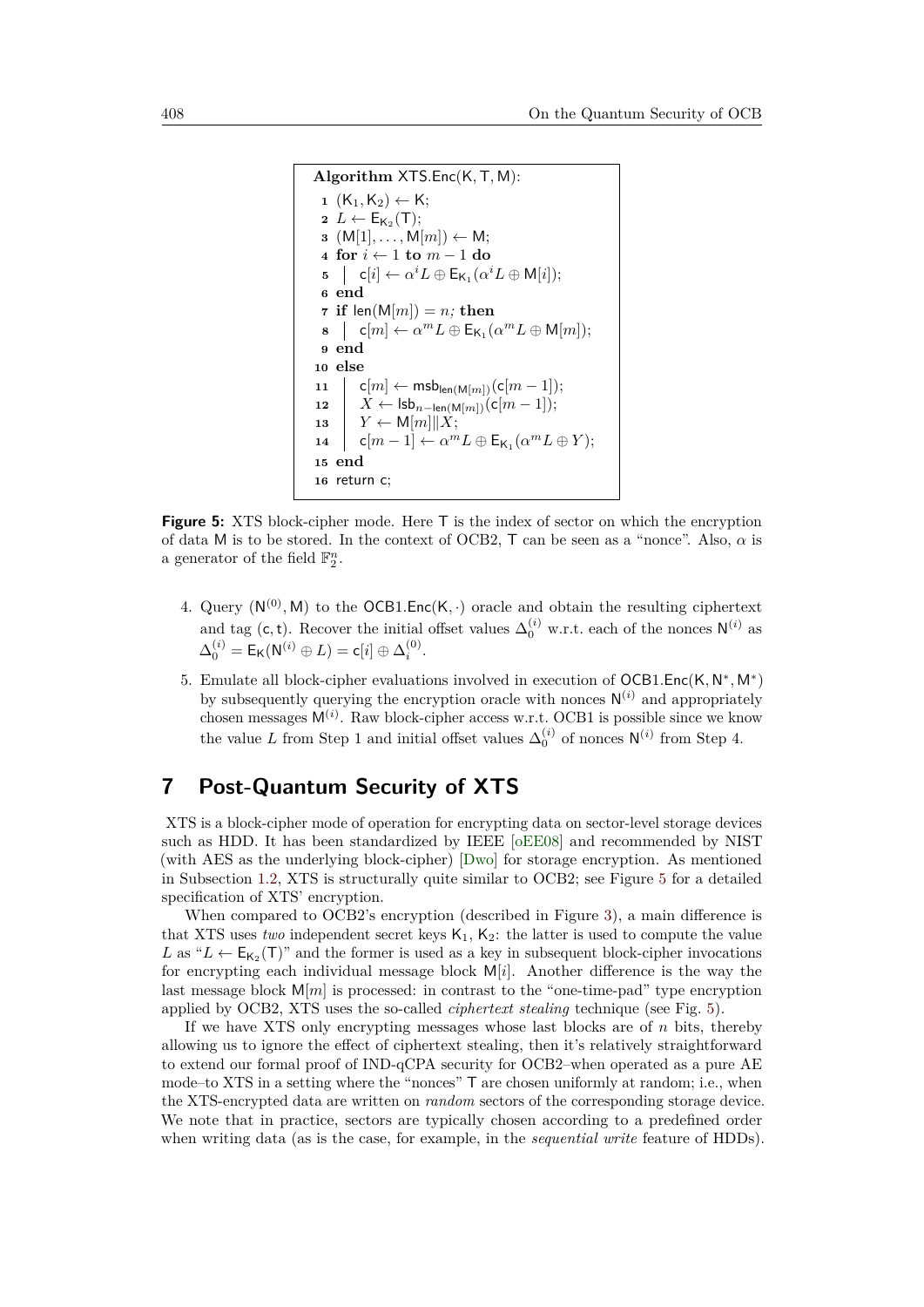```
Algorithm XTS.Enc(K,T, M):
 1 (K<sub>1</sub>, K<sub>2</sub>) ← K;
  2 L \leftarrow E_{\mathsf{K}_2}(\mathsf{T});\mathbf{3} \ (\mathsf{M}[1], \ldots, \mathsf{M}[m]) \leftarrow \mathsf{M};4 for i ← 1 to m − 1 do
  \mathsf{b} \mathsf{c}[i] \leftarrow \alpha^i L \oplus \mathsf{E}_{\mathsf{K}_1}(\alpha^i L \oplus \mathsf{M}[i]);6 end
 7 if len(M[m]) = n; then
  \mathbf{s} \quad | \quad \mathsf{c}[m] \leftarrow \alpha^m L \oplus \mathsf{E}_{\mathsf{K}_1}(\alpha^m L \oplus \mathsf{M}[m]);9 end
10 else
11 \vert c[m] ← msb<sub>len(M[m])(c[m − 1]);</sub>
12 X ← lsbn−len(M[m])(c[m − 1]);
\mathbf{13} \quad Y \leftarrow \mathsf{M}[m] \| X;\mathsf{14} c[m-1] \leftarrow \alpha^m L \oplus \mathsf{E}_{\mathsf{K}_1}(\alpha^m L \oplus Y);15 end
16 return c;
```
**Figure 5:** XTS block-cipher mode. Here T is the index of sector on which the encryption of data M is to be stored. In the context of OCB2, T can be seen as a "nonce". Also, *α* is a generator of the field  $\mathbb{F}_2^n$ .

- 4. Query  $(N^{(0)}, M)$  to the OCB1.Enc $(K, \cdot)$  oracle and obtain the resulting ciphertext and tag (c, t). Recover the initial offset values  $\Delta_0^{(i)}$  w.r.t. each of the nonces  $N^{(i)}$  as  $\Delta_0^{(i)} = \mathsf{E}_{\mathsf{K}}(\mathsf{N}^{(i)} \oplus L) = \mathsf{c}[i] \oplus \Delta_i^{(0)}.$
- 5. Emulate all block-cipher evaluations involved in execution of OCB1.Enc(K, N<sup>∗</sup>, M<sup>∗</sup>) by subsequently querying the encryption oracle with nonces  $\mathsf{N}^{(i)}$  and appropriately chosen messages  $M^{(i)}$ . Raw block-cipher access w.r.t. OCB1 is possible since we know the value *L* from Step 1 and initial offset values  $\Delta_0^{(i)}$  of nonces  $N^{(i)}$  from Step 4.

### <span id="page-29-0"></span>**7 Post-Quantum Security of XTS**

XTS is a block-cipher mode of operation for encrypting data on sector-level storage devices such as HDD. It has been standardized by IEEE [\[oEE08\]](#page-34-9) and recommended by NIST (with AES as the underlying block-cipher) [\[Dwo\]](#page-33-9) for storage encryption. As mentioned in Subsection [1.2,](#page-5-1) XTS is structurally quite similar to OCB2; see Figure [5](#page-29-1) for a detailed specification of XTS' encryption.

When compared to OCB2's encryption (described in Figure [3\)](#page-14-3), a main difference is that XTS uses *two* independent secret keys  $K_1$ ,  $K_2$ : the latter is used to compute the value L as " $L \leftarrow E_{K_2}(T)$ " and the former is used as a key in subsequent block-cipher invocations for encrypting each individual message block M[*i*]. Another difference is the way the last message block  $M[m]$  is processed: in contrast to the "one-time-pad" type encryption applied by OCB2, XTS uses the so-called *ciphertext stealing* technique (see Fig. [5\)](#page-29-1).

If we have XTS only encrypting messages whose last blocks are of *n* bits, thereby allowing us to ignore the effect of ciphertext stealing, then it's relatively straightforward to extend our formal proof of IND-qCPA security for OCB2–when operated as a pure AE mode–to XTS in a setting where the "nonces" T are chosen uniformly at random; i.e., when the XTS-encrypted data are written on *random* sectors of the corresponding storage device. We note that in practice, sectors are typically chosen according to a predefined order when writing data (as is the case, for example, in the *sequential write* feature of HDDs).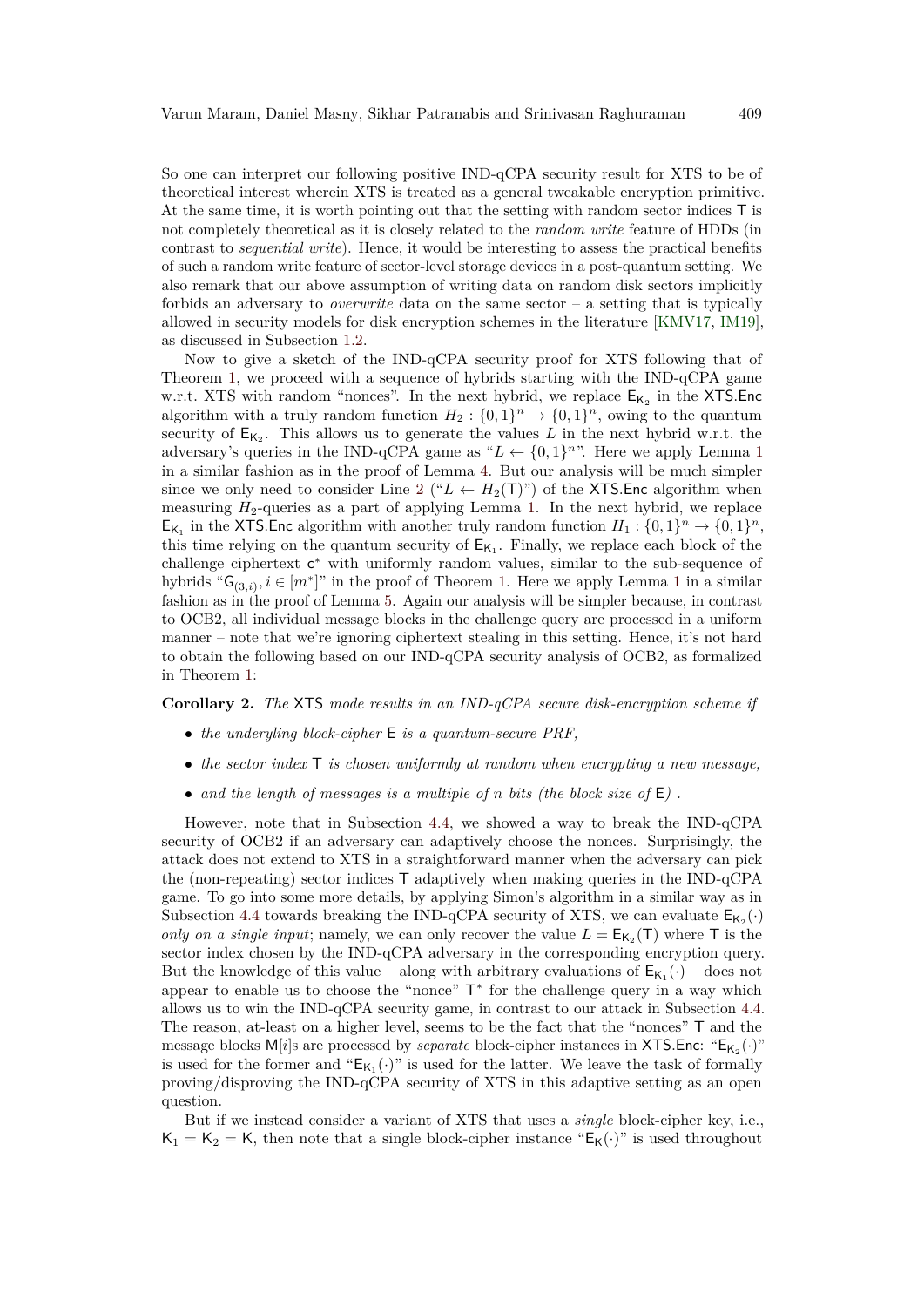So one can interpret our following positive IND-qCPA security result for XTS to be of theoretical interest wherein XTS is treated as a general tweakable encryption primitive. At the same time, it is worth pointing out that the setting with random sector indices T is not completely theoretical as it is closely related to the *random write* feature of HDDs (in contrast to *sequential write*). Hence, it would be interesting to assess the practical benefits of such a random write feature of sector-level storage devices in a post-quantum setting. We also remark that our above assumption of writing data on random disk sectors implicitly forbids an adversary to *overwrite* data on the same sector – a setting that is typically allowed in security models for disk encryption schemes in the literature [\[KMV17,](#page-34-10) [IM19\]](#page-34-11), as discussed in Subsection [1.2.](#page-5-1)

Now to give a sketch of the IND-qCPA security proof for XTS following that of Theorem [1,](#page-16-2) we proceed with a sequence of hybrids starting with the IND-qCPA game w.r.t. XTS with random "nonces". In the next hybrid, we replace  $E_{K_2}$  in the XTS. Enc algorithm with a truly random function  $H_2: \{0,1\}^n \to \{0,1\}^n$ , owing to the quantum security of  $E_{K_2}$ . This allows us to generate the values L in the next hybrid w.r.t. the adversary's queries in the IND-qCPA game as " $L \leftarrow \{0, 1\}^{n}$  $L \leftarrow \{0, 1\}^{n}$  $L \leftarrow \{0, 1\}^{n}$ ". Here we apply Lemma 1 in a similar fashion as in the proof of Lemma [4.](#page-19-0) But our analysis will be much simpler since we only need to consider Line [2](#page-29-2) (" $L \leftarrow H_2(T)$ ") of the XTS. Enc algorithm when measuring *H*2-queries as a part of applying Lemma [1.](#page-9-0) In the next hybrid, we replace  $E_{K_1}$  in the XTS. Enc algorithm with another truly random function  $H_1: \{0,1\}^n \to \{0,1\}^n$ , this time relying on the quantum security of  $E_{K_1}$ . Finally, we replace each block of the challenge ciphertext c <sup>∗</sup> with uniformly random values, similar to the sub-sequence of hybrids " $G_{(3,i)}$ ,  $i \in [m^*]$ " in the proof of Theorem [1.](#page-16-2) Here we apply Lemma [1](#page-9-0) in a similar fashion as in the proof of Lemma [5.](#page-21-0) Again our analysis will be simpler because, in contrast to OCB2, all individual message blocks in the challenge query are processed in a uniform manner – note that we're ignoring ciphertext stealing in this setting. Hence, it's not hard to obtain the following based on our IND-qCPA security analysis of OCB2, as formalized in Theorem [1:](#page-16-2)

#### **Corollary 2.** *The* XTS *mode results in an IND-qCPA secure disk-encryption scheme if*

- *the underyling block-cipher* E *is a quantum-secure PRF,*
- *the sector index* T *is chosen uniformly at random when encrypting a new message,*
- *and the length of messages is a multiple of n bits (the block size of* E*) .*

However, note that in Subsection [4.4,](#page-25-1) we showed a way to break the IND-qCPA security of OCB2 if an adversary can adaptively choose the nonces. Surprisingly, the attack does not extend to XTS in a straightforward manner when the adversary can pick the (non-repeating) sector indices T adaptively when making queries in the IND-qCPA game. To go into some more details, by applying Simon's algorithm in a similar way as in Subsection [4.4](#page-25-1) towards breaking the IND-qCPA security of XTS, we can evaluate  $E_{K_2}(\cdot)$ *only on a single input*; namely, we can only recover the value  $L = E_{K_2}(T)$  where T is the sector index chosen by the IND-qCPA adversary in the corresponding encryption query. But the knowledge of this value – along with arbitrary evaluations of  $E_{K_1}(\cdot)$  – does not appear to enable us to choose the "nonce"  $T^*$  for the challenge query in a way which allows us to win the IND-qCPA security game, in contrast to our attack in Subsection [4.4.](#page-25-1) The reason, at-least on a higher level, seems to be the fact that the "nonces" T and the message blocks  $M[i]$ s are processed by *separate* block-cipher instances in XTS.Enc: " $E_{K_2}(\cdot)$ " is used for the former and " $E_{K_1}(\cdot)$ " is used for the latter. We leave the task of formally proving/disproving the IND-qCPA security of XTS in this adaptive setting as an open question.

But if we instead consider a variant of XTS that uses a *single* block-cipher key, i.e.,  $K_1 = K_2 = K$ , then note that a single block-cipher instance " $E_K(\cdot)$ " is used throughout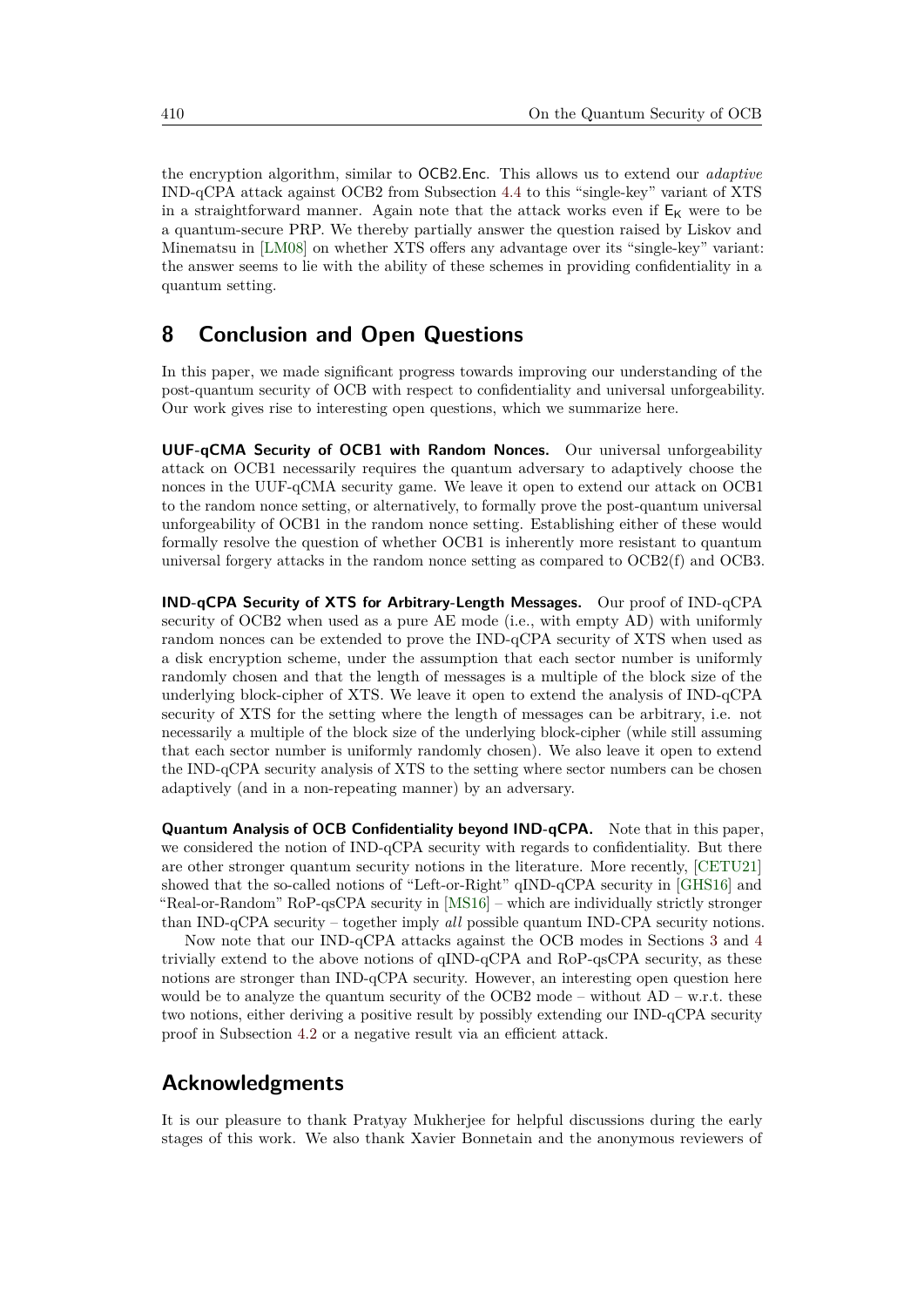the encryption algorithm, similar to OCB2*.*Enc. This allows us to extend our *adaptive* IND-qCPA attack against OCB2 from Subsection [4.4](#page-25-1) to this "single-key" variant of XTS in a straightforward manner. Again note that the attack works even if  $E_K$  were to be a quantum-secure PRP. We thereby partially answer the question raised by Liskov and Minematsu in [\[LM08\]](#page-34-12) on whether XTS offers any advantage over its "single-key" variant: the answer seems to lie with the ability of these schemes in providing confidentiality in a quantum setting.

# <span id="page-31-0"></span>**8 Conclusion and Open Questions**

In this paper, we made significant progress towards improving our understanding of the post-quantum security of OCB with respect to confidentiality and universal unforgeability. Our work gives rise to interesting open questions, which we summarize here.

**UUF-qCMA Security of OCB1 with Random Nonces.** Our universal unforgeability attack on OCB1 necessarily requires the quantum adversary to adaptively choose the nonces in the UUF-qCMA security game. We leave it open to extend our attack on OCB1 to the random nonce setting, or alternatively, to formally prove the post-quantum universal unforgeability of OCB1 in the random nonce setting. Establishing either of these would formally resolve the question of whether OCB1 is inherently more resistant to quantum universal forgery attacks in the random nonce setting as compared to OCB2(f) and OCB3.

**IND-qCPA Security of XTS for Arbitrary-Length Messages.** Our proof of IND-qCPA security of OCB2 when used as a pure AE mode (i.e., with empty AD) with uniformly random nonces can be extended to prove the IND-qCPA security of XTS when used as a disk encryption scheme, under the assumption that each sector number is uniformly randomly chosen and that the length of messages is a multiple of the block size of the underlying block-cipher of XTS. We leave it open to extend the analysis of IND-qCPA security of XTS for the setting where the length of messages can be arbitrary, i.e. not necessarily a multiple of the block size of the underlying block-cipher (while still assuming that each sector number is uniformly randomly chosen). We also leave it open to extend the IND-qCPA security analysis of XTS to the setting where sector numbers can be chosen adaptively (and in a non-repeating manner) by an adversary.

**Quantum Analysis of OCB Confidentiality beyond IND-qCPA.** Note that in this paper, we considered the notion of IND-qCPA security with regards to confidentiality. But there are other stronger quantum security notions in the literature. More recently, [\[CETU21\]](#page-33-10) showed that the so-called notions of "Left-or-Right" qIND-qCPA security in [\[GHS16\]](#page-33-4) and "Real-or-Random" RoP-qsCPA security in [\[MS16\]](#page-34-13) – which are individually strictly stronger than IND-qCPA security – together imply *all* possible quantum IND-CPA security notions.

Now note that our IND-qCPA attacks against the OCB modes in Sections [3](#page-10-0) and [4](#page-14-0) trivially extend to the above notions of qIND-qCPA and RoP-qsCPA security, as these notions are stronger than IND-qCPA security. However, an interesting open question here would be to analyze the quantum security of the OCB2 mode – without  $AD - w.r.t.$  these two notions, either deriving a positive result by possibly extending our IND-qCPA security proof in Subsection [4.2](#page-16-1) or a negative result via an efficient attack.

### **Acknowledgments**

It is our pleasure to thank Pratyay Mukherjee for helpful discussions during the early stages of this work. We also thank Xavier Bonnetain and the anonymous reviewers of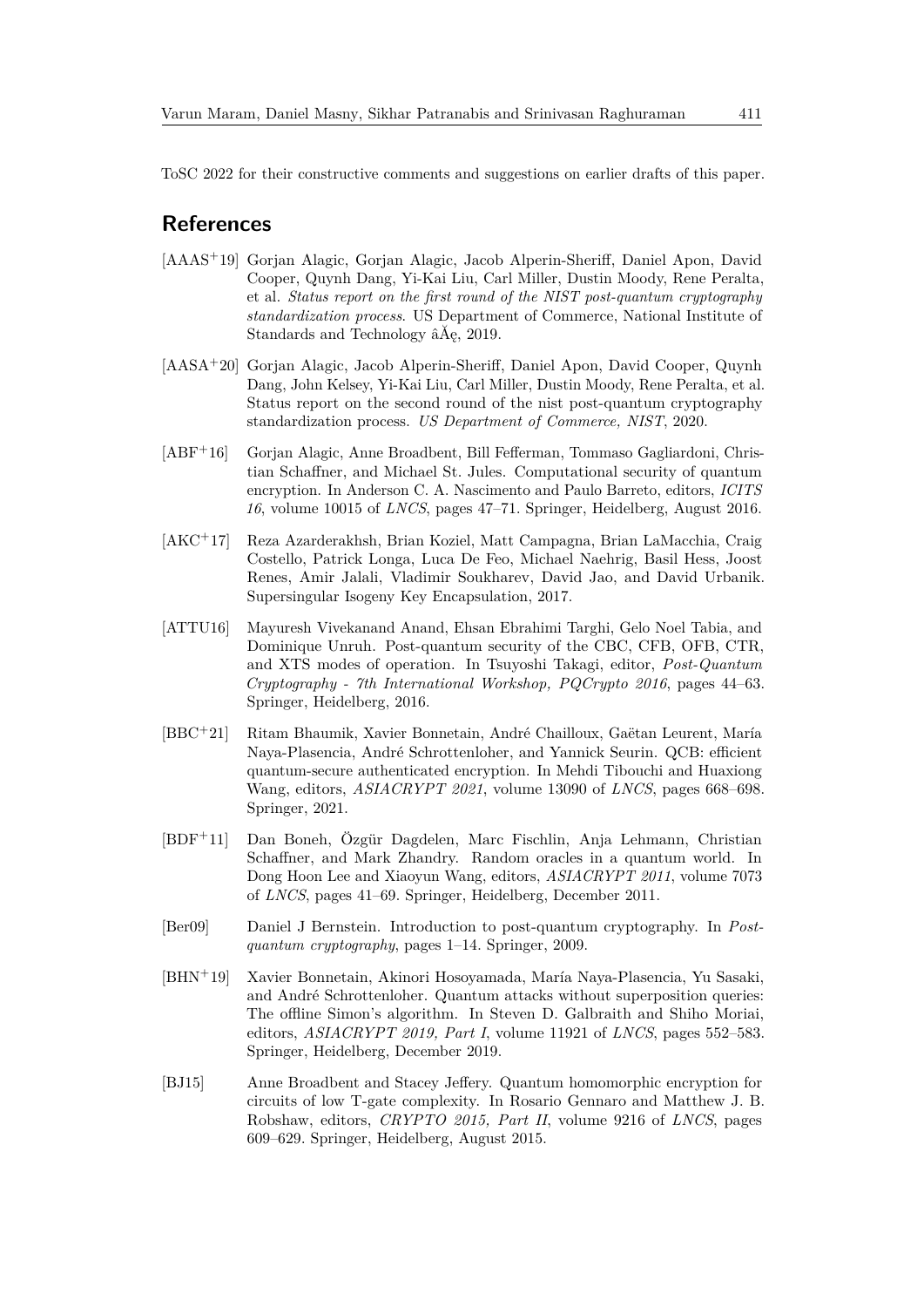ToSC 2022 for their constructive comments and suggestions on earlier drafts of this paper.

### **References**

- <span id="page-32-1"></span>[AAAS<sup>+</sup>19] Gorjan Alagic, Gorjan Alagic, Jacob Alperin-Sheriff, Daniel Apon, David Cooper, Quynh Dang, Yi-Kai Liu, Carl Miller, Dustin Moody, Rene Peralta, et al. *Status report on the first round of the NIST post-quantum cryptography standardization process*. US Department of Commerce, National Institute of Standards and Technology âĂę, 2019.
- <span id="page-32-2"></span>[AASA<sup>+</sup>20] Gorjan Alagic, Jacob Alperin-Sheriff, Daniel Apon, David Cooper, Quynh Dang, John Kelsey, Yi-Kai Liu, Carl Miller, Dustin Moody, Rene Peralta, et al. Status report on the second round of the nist post-quantum cryptography standardization process. *US Department of Commerce, NIST*, 2020.
- <span id="page-32-6"></span>[ABF<sup>+</sup>16] Gorjan Alagic, Anne Broadbent, Bill Fefferman, Tommaso Gagliardoni, Christian Schaffner, and Michael St. Jules. Computational security of quantum encryption. In Anderson C. A. Nascimento and Paulo Barreto, editors, *ICITS 16*, volume 10015 of *LNCS*, pages 47–71. Springer, Heidelberg, August 2016.
- <span id="page-32-0"></span>[AKC<sup>+</sup>17] Reza Azarderakhsh, Brian Koziel, Matt Campagna, Brian LaMacchia, Craig Costello, Patrick Longa, Luca De Feo, Michael Naehrig, Basil Hess, Joost Renes, Amir Jalali, Vladimir Soukharev, David Jao, and David Urbanik. Supersingular Isogeny Key Encapsulation, 2017.
- <span id="page-32-7"></span>[ATTU16] Mayuresh Vivekanand Anand, Ehsan Ebrahimi Targhi, Gelo Noel Tabia, and Dominique Unruh. Post-quantum security of the CBC, CFB, OFB, CTR, and XTS modes of operation. In Tsuyoshi Takagi, editor, *Post-Quantum Cryptography - 7th International Workshop, PQCrypto 2016*, pages 44–63. Springer, Heidelberg, 2016.
- <span id="page-32-9"></span>[BBC<sup>+</sup>21] Ritam Bhaumik, Xavier Bonnetain, André Chailloux, Gaëtan Leurent, María Naya-Plasencia, André Schrottenloher, and Yannick Seurin. QCB: efficient quantum-secure authenticated encryption. In Mehdi Tibouchi and Huaxiong Wang, editors, *ASIACRYPT 2021*, volume 13090 of *LNCS*, pages 668–698. Springer, 2021.
- <span id="page-32-4"></span>[BDF<sup>+</sup>11] Dan Boneh, Özgür Dagdelen, Marc Fischlin, Anja Lehmann, Christian Schaffner, and Mark Zhandry. Random oracles in a quantum world. In Dong Hoon Lee and Xiaoyun Wang, editors, *ASIACRYPT 2011*, volume 7073 of *LNCS*, pages 41–69. Springer, Heidelberg, December 2011.
- <span id="page-32-3"></span>[Ber09] Daniel J Bernstein. Introduction to post-quantum cryptography. In *Postquantum cryptography*, pages 1–14. Springer, 2009.
- <span id="page-32-8"></span>[BHN<sup>+</sup>19] Xavier Bonnetain, Akinori Hosoyamada, María Naya-Plasencia, Yu Sasaki, and André Schrottenloher. Quantum attacks without superposition queries: The offline Simon's algorithm. In Steven D. Galbraith and Shiho Moriai, editors, *ASIACRYPT 2019, Part I*, volume 11921 of *LNCS*, pages 552–583. Springer, Heidelberg, December 2019.
- <span id="page-32-5"></span>[BJ15] Anne Broadbent and Stacey Jeffery. Quantum homomorphic encryption for circuits of low T-gate complexity. In Rosario Gennaro and Matthew J. B. Robshaw, editors, *CRYPTO 2015, Part II*, volume 9216 of *LNCS*, pages 609–629. Springer, Heidelberg, August 2015.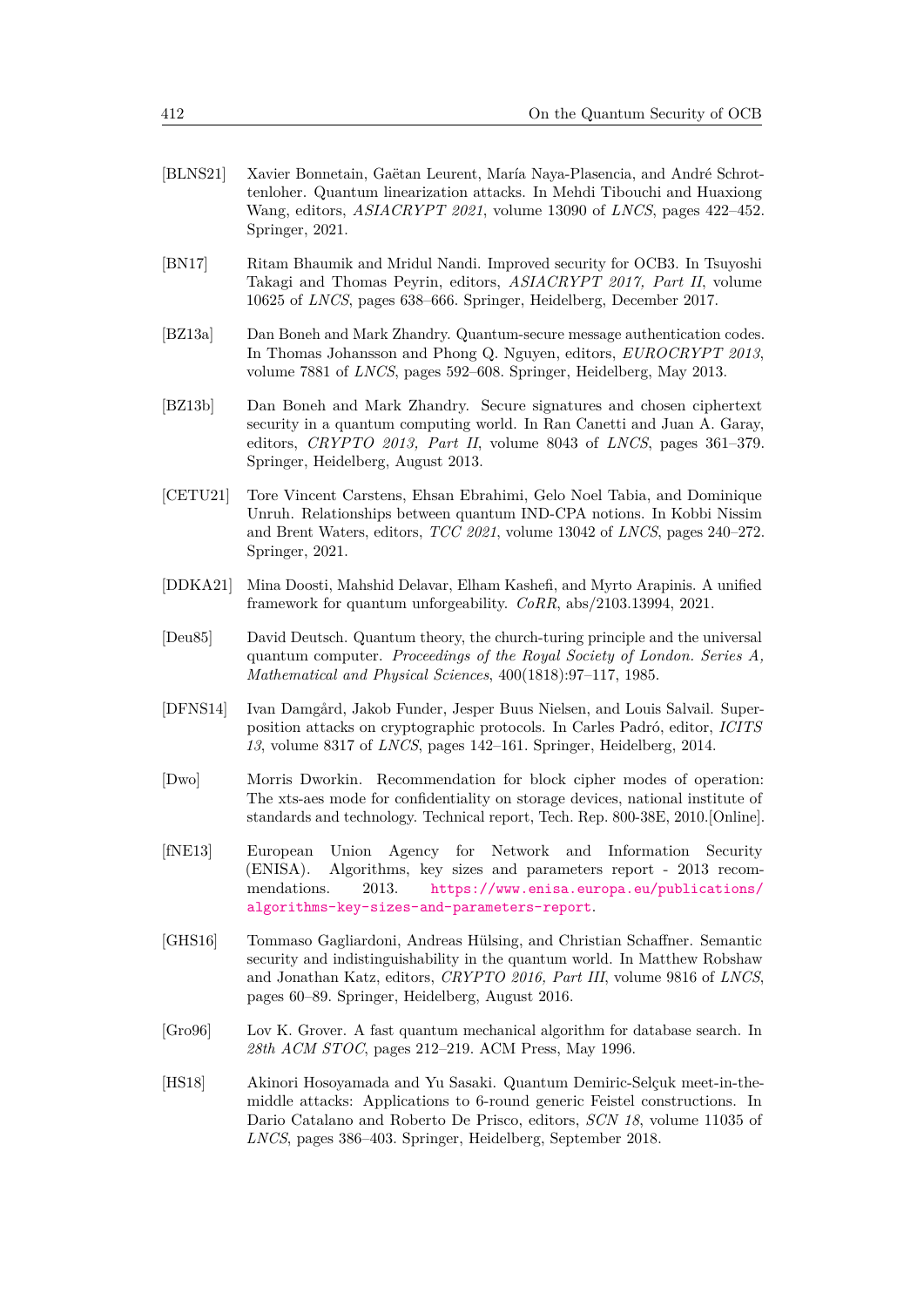- <span id="page-33-5"></span>[BLNS21] Xavier Bonnetain, Gaëtan Leurent, María Naya-Plasencia, and André Schrottenloher. Quantum linearization attacks. In Mehdi Tibouchi and Huaxiong Wang, editors, *ASIACRYPT 2021*, volume 13090 of *LNCS*, pages 422–452. Springer, 2021.
- <span id="page-33-7"></span>[BN17] Ritam Bhaumik and Mridul Nandi. Improved security for OCB3. In Tsuyoshi Takagi and Thomas Peyrin, editors, *ASIACRYPT 2017, Part II*, volume 10625 of *LNCS*, pages 638–666. Springer, Heidelberg, December 2017.
- <span id="page-33-1"></span>[BZ13a] Dan Boneh and Mark Zhandry. Quantum-secure message authentication codes. In Thomas Johansson and Phong Q. Nguyen, editors, *EUROCRYPT 2013*, volume 7881 of *LNCS*, pages 592–608. Springer, Heidelberg, May 2013.
- <span id="page-33-2"></span>[BZ13b] Dan Boneh and Mark Zhandry. Secure signatures and chosen ciphertext security in a quantum computing world. In Ran Canetti and Juan A. Garay, editors, *CRYPTO 2013, Part II*, volume 8043 of *LNCS*, pages 361–379. Springer, Heidelberg, August 2013.
- <span id="page-33-10"></span>[CETU21] Tore Vincent Carstens, Ehsan Ebrahimi, Gelo Noel Tabia, and Dominique Unruh. Relationships between quantum IND-CPA notions. In Kobbi Nissim and Brent Waters, editors, *TCC 2021*, volume 13042 of *LNCS*, pages 240–272. Springer, 2021.
- <span id="page-33-11"></span>[DDKA21] Mina Doosti, Mahshid Delavar, Elham Kashefi, and Myrto Arapinis. A unified framework for quantum unforgeability. *CoRR*, abs/2103.13994, 2021.
- <span id="page-33-8"></span>[Deu85] David Deutsch. Quantum theory, the church-turing principle and the universal quantum computer. *Proceedings of the Royal Society of London. Series A, Mathematical and Physical Sciences*, 400(1818):97–117, 1985.
- <span id="page-33-3"></span>[DFNS14] Ivan Damgård, Jakob Funder, Jesper Buus Nielsen, and Louis Salvail. Superposition attacks on cryptographic protocols. In Carles Padró, editor, *ICITS 13*, volume 8317 of *LNCS*, pages 142–161. Springer, Heidelberg, 2014.
- <span id="page-33-9"></span>[Dwo] Morris Dworkin. Recommendation for block cipher modes of operation: The xts-aes mode for confidentiality on storage devices, national institute of standards and technology. Technical report, Tech. Rep. 800-38E, 2010.[Online].
- <span id="page-33-6"></span>[fNE13] European Union Agency for Network and Information Security (ENISA). Algorithms, key sizes and parameters report - 2013 recommendations. 2013. [https://www.enisa.europa.eu/publications/](https://www.enisa.europa.eu/publications/algorithms-key-sizes-and-parameters-report) [algorithms-key-sizes-and-parameters-report](https://www.enisa.europa.eu/publications/algorithms-key-sizes-and-parameters-report).
- <span id="page-33-4"></span>[GHS16] Tommaso Gagliardoni, Andreas Hülsing, and Christian Schaffner. Semantic security and indistinguishability in the quantum world. In Matthew Robshaw and Jonathan Katz, editors, *CRYPTO 2016, Part III*, volume 9816 of *LNCS*, pages 60–89. Springer, Heidelberg, August 2016.
- <span id="page-33-0"></span>[Gro96] Lov K. Grover. A fast quantum mechanical algorithm for database search. In *28th ACM STOC*, pages 212–219. ACM Press, May 1996.
- <span id="page-33-12"></span>[HS18] Akinori Hosoyamada and Yu Sasaki. Quantum Demiric-Selçuk meet-in-themiddle attacks: Applications to 6-round generic Feistel constructions. In Dario Catalano and Roberto De Prisco, editors, *SCN 18*, volume 11035 of *LNCS*, pages 386–403. Springer, Heidelberg, September 2018.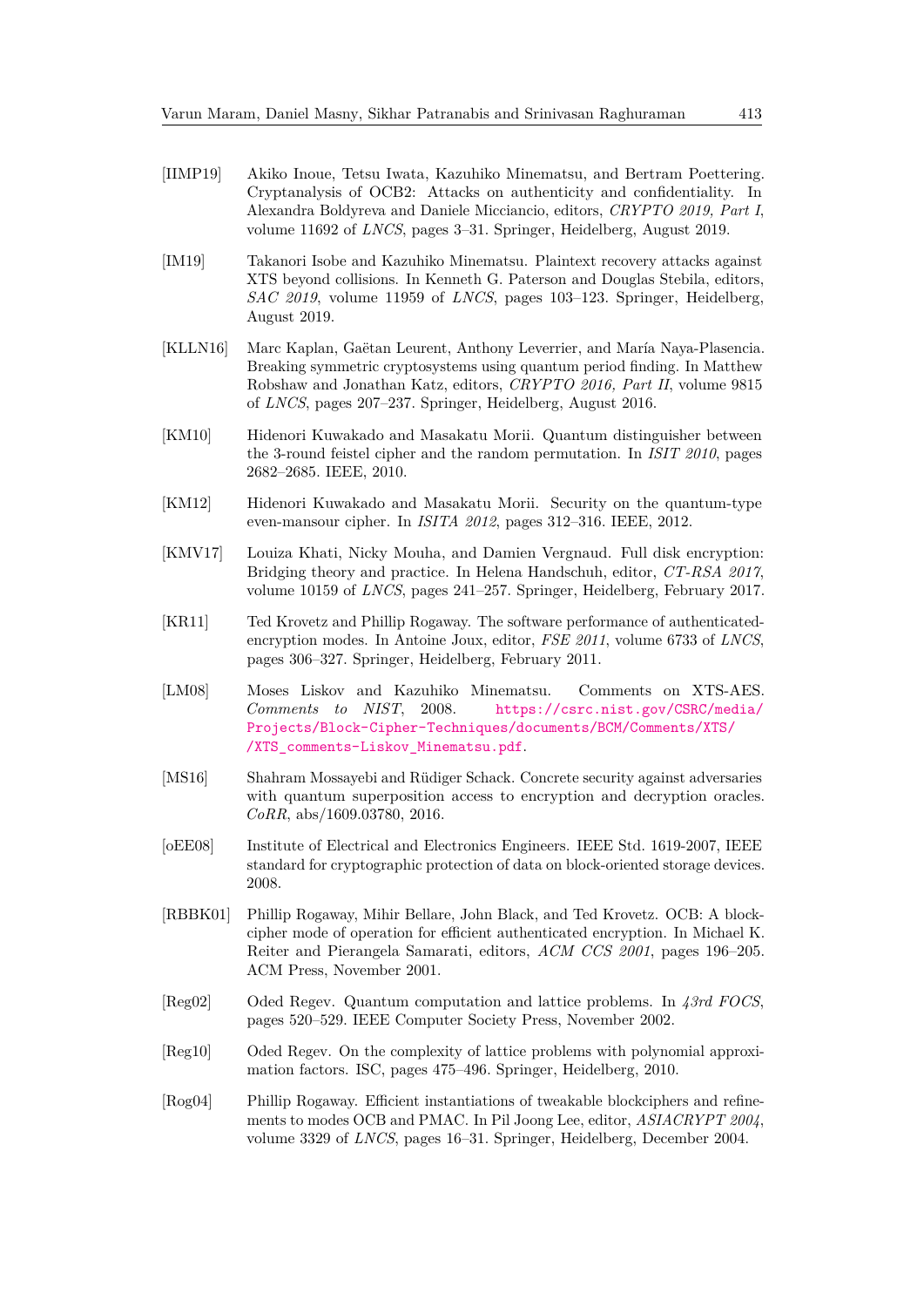- <span id="page-34-8"></span>[IIMP19] Akiko Inoue, Tetsu Iwata, Kazuhiko Minematsu, and Bertram Poettering. Cryptanalysis of OCB2: Attacks on authenticity and confidentiality. In Alexandra Boldyreva and Daniele Micciancio, editors, *CRYPTO 2019, Part I*, volume 11692 of *LNCS*, pages 3–31. Springer, Heidelberg, August 2019.
- <span id="page-34-11"></span>[IM19] Takanori Isobe and Kazuhiko Minematsu. Plaintext recovery attacks against XTS beyond collisions. In Kenneth G. Paterson and Douglas Stebila, editors, *SAC 2019*, volume 11959 of *LNCS*, pages 103–123. Springer, Heidelberg, August 2019.
- <span id="page-34-4"></span>[KLLN16] Marc Kaplan, Gaëtan Leurent, Anthony Leverrier, and María Naya-Plasencia. Breaking symmetric cryptosystems using quantum period finding. In Matthew Robshaw and Jonathan Katz, editors, *CRYPTO 2016, Part II*, volume 9815 of *LNCS*, pages 207–237. Springer, Heidelberg, August 2016.
- <span id="page-34-2"></span>[KM10] Hidenori Kuwakado and Masakatu Morii. Quantum distinguisher between the 3-round feistel cipher and the random permutation. In *ISIT 2010*, pages 2682–2685. IEEE, 2010.
- <span id="page-34-3"></span>[KM12] Hidenori Kuwakado and Masakatu Morii. Security on the quantum-type even-mansour cipher. In *ISITA 2012*, pages 312–316. IEEE, 2012.
- <span id="page-34-10"></span>[KMV17] Louiza Khati, Nicky Mouha, and Damien Vergnaud. Full disk encryption: Bridging theory and practice. In Helena Handschuh, editor, *CT-RSA 2017*, volume 10159 of *LNCS*, pages 241–257. Springer, Heidelberg, February 2017.
- <span id="page-34-7"></span>[KR11] Ted Krovetz and Phillip Rogaway. The software performance of authenticatedencryption modes. In Antoine Joux, editor, *FSE 2011*, volume 6733 of *LNCS*, pages 306–327. Springer, Heidelberg, February 2011.
- <span id="page-34-12"></span>[LM08] Moses Liskov and Kazuhiko Minematsu. Comments on XTS-AES. *Comments to NIST*, 2008. [https://csrc.nist.gov/CSRC/media/](https://csrc.nist.gov/CSRC/media/Projects/Block-Cipher-Techniques/documents/BCM/Comments/XTS//XTS_comments-Liskov_Minematsu.pdf) [Projects/Block-Cipher-Techniques/documents/BCM/Comments/XTS/](https://csrc.nist.gov/CSRC/media/Projects/Block-Cipher-Techniques/documents/BCM/Comments/XTS//XTS_comments-Liskov_Minematsu.pdf) [/XTS\\_comments-Liskov\\_Minematsu.pdf](https://csrc.nist.gov/CSRC/media/Projects/Block-Cipher-Techniques/documents/BCM/Comments/XTS//XTS_comments-Liskov_Minematsu.pdf).
- <span id="page-34-13"></span>[MS16] Shahram Mossayebi and Rüdiger Schack. Concrete security against adversaries with quantum superposition access to encryption and decryption oracles. *CoRR*, abs/1609.03780, 2016.
- <span id="page-34-9"></span>[oEE08] Institute of Electrical and Electronics Engineers. IEEE Std. 1619-2007, IEEE standard for cryptographic protection of data on block-oriented storage devices. 2008.
- <span id="page-34-5"></span>[RBBK01] Phillip Rogaway, Mihir Bellare, John Black, and Ted Krovetz. OCB: A blockcipher mode of operation for efficient authenticated encryption. In Michael K. Reiter and Pierangela Samarati, editors, *ACM CCS 2001*, pages 196–205. ACM Press, November 2001.
- <span id="page-34-0"></span>[Reg02] Oded Regev. Quantum computation and lattice problems. In *43rd FOCS*, pages 520–529. IEEE Computer Society Press, November 2002.
- <span id="page-34-1"></span>[Reg10] Oded Regev. On the complexity of lattice problems with polynomial approximation factors. ISC, pages 475–496. Springer, Heidelberg, 2010.
- <span id="page-34-6"></span>[Rog04] Phillip Rogaway. Efficient instantiations of tweakable blockciphers and refinements to modes OCB and PMAC. In Pil Joong Lee, editor, *ASIACRYPT 2004*, volume 3329 of *LNCS*, pages 16–31. Springer, Heidelberg, December 2004.